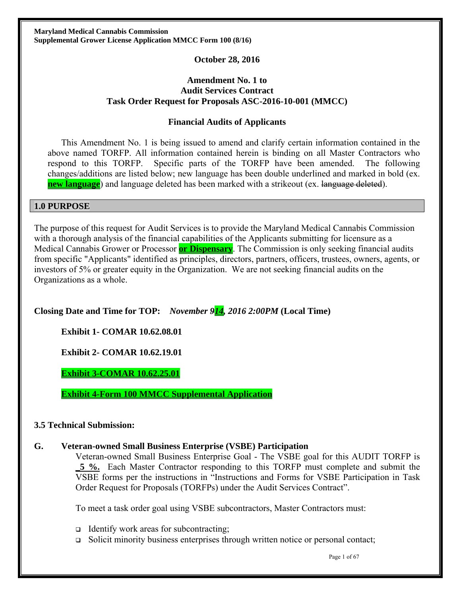## **October 28, 2016**

## **Amendment No. 1 to Audit Services Contract Task Order Request for Proposals ASC-2016-10-001 (MMCC)**

## **Financial Audits of Applicants**

This Amendment No. 1 is being issued to amend and clarify certain information contained in the above named TORFP. All information contained herein is binding on all Master Contractors who respond to this TORFP. Specific parts of the TORFP have been amended. The following changes/additions are listed below; new language has been double underlined and marked in bold (ex. **new language**) and language deleted has been marked with a strikeout (ex. language deleted).

### **1.0 PURPOSE**

The purpose of this request for Audit Services is to provide the Maryland Medical Cannabis Commission with a thorough analysis of the financial capabilities of the Applicants submitting for licensure as a Medical Cannabis Grower or Processor **or Dispensary**. The Commission is only seeking financial audits from specific "Applicants" identified as principles, directors, partners, officers, trustees, owners, agents, or investors of 5% or greater equity in the Organization. We are not seeking financial audits on the Organizations as a whole.

## **Closing Date and Time for TOP:** *November 914, 2016 2:00PM* **(Local Time)**

**Exhibit 1- COMAR 10.62.08.01** 

**Exhibit 2- COMAR 10.62.19.01** 

**Exhibit 3-COMAR 10.62.25.01** 

**Exhibit 4-Form 100 MMCC Supplemental Application**

## **3.5 Technical Submission:**

## **G. Veteran-owned Small Business Enterprise (VSBE) Participation**

Veteran-owned Small Business Enterprise Goal - The VSBE goal for this AUDIT TORFP is **\_5 %.** Each Master Contractor responding to this TORFP must complete and submit the VSBE forms per the instructions in "Instructions and Forms for VSBE Participation in Task Order Request for Proposals (TORFPs) under the Audit Services Contract".

To meet a task order goal using VSBE subcontractors, Master Contractors must:

- Identify work areas for subcontracting;
- $\Box$  Solicit minority business enterprises through written notice or personal contact;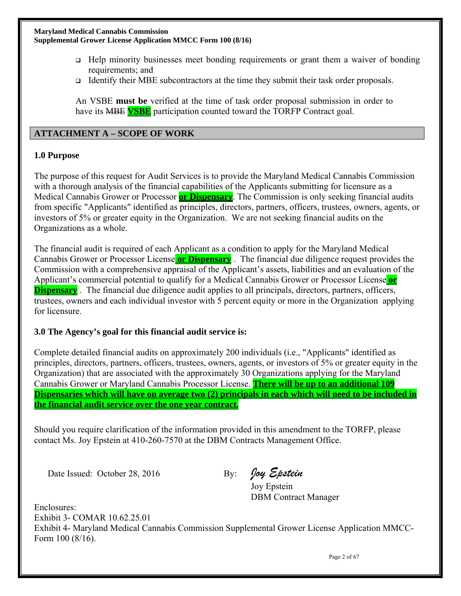- Help minority businesses meet bonding requirements or grant them a waiver of bonding requirements; and
- Identify their MBE subcontractors at the time they submit their task order proposals.

An VSBE **must be** verified at the time of task order proposal submission in order to have its MBE **VSBE** participation counted toward the TORFP Contract goal.

## **ATTACHMENT A – SCOPE OF WORK**

## **1.0 Purpose**

The purpose of this request for Audit Services is to provide the Maryland Medical Cannabis Commission with a thorough analysis of the financial capabilities of the Applicants submitting for licensure as a Medical Cannabis Grower or Processor **or Dispensary**. The Commission is only seeking financial audits from specific "Applicants" identified as principles, directors, partners, officers, trustees, owners, agents, or investors of 5% or greater equity in the Organization. We are not seeking financial audits on the Organizations as a whole.

The financial audit is required of each Applicant as a condition to apply for the Maryland Medical Cannabis Grower or Processor License **or Dispensary** . The financial due diligence request provides the Commission with a comprehensive appraisal of the Applicant's assets, liabilities and an evaluation of the Applicant's commercial potential to qualify for a Medical Cannabis Grower or Processor License **or Dispensary**. The financial due diligence audit applies to all principals, directors, partners, officers, trustees, owners and each individual investor with 5 percent equity or more in the Organization applying for licensure.

## **3.0 The Agency's goal for this financial audit service is:**

Complete detailed financial audits on approximately 200 individuals (i.e., "Applicants" identified as principles, directors, partners, officers, trustees, owners, agents, or investors of 5% or greater equity in the Organization) that are associated with the approximately 30 Organizations applying for the Maryland Cannabis Grower or Maryland Cannabis Processor License. **There will be up to an additional 109 Dispensaries which will have on average two (2) principals in each which will need to be included in the financial audit service over the one year contract.** 

Should you require clarification of the information provided in this amendment to the TORFP, please contact Ms. Joy Epstein at 410-260-7570 at the DBM Contracts Management Office.

Date Issued: October 28, 2016 By: Oay Epstein

Joy Epstein DBM Contract Manager

Enclosures: Exhibit 3- COMAR 10.62.25.01

Exhibit 4- Maryland Medical Cannabis Commission Supplemental Grower License Application MMCC-Form 100 (8/16).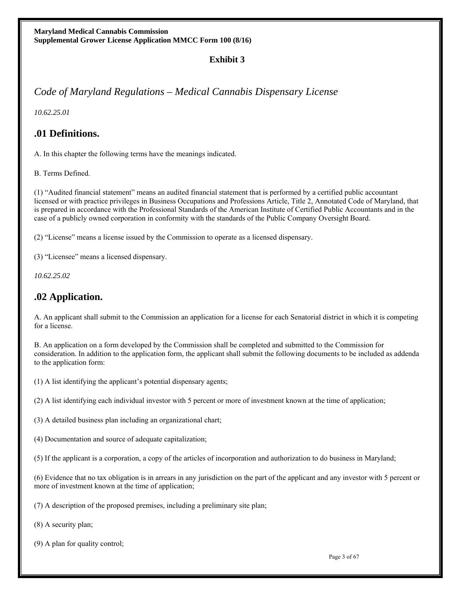## **Exhibit 3**

## *Code of Maryland Regulations – Medical Cannabis Dispensary License*

*10.62.25.01* 

## **.01 Definitions.**

A. In this chapter the following terms have the meanings indicated.

B. Terms Defined.

(1) "Audited financial statement" means an audited financial statement that is performed by a certified public accountant licensed or with practice privileges in Business Occupations and Professions Article, Title 2, Annotated Code of Maryland, that is prepared in accordance with the Professional Standards of the American Institute of Certified Public Accountants and in the case of a publicly owned corporation in conformity with the standards of the Public Company Oversight Board.

(2) "License" means a license issued by the Commission to operate as a licensed dispensary.

(3) "Licensee" means a licensed dispensary.

*10.62.25.02* 

## **.02 Application.**

A. An applicant shall submit to the Commission an application for a license for each Senatorial district in which it is competing for a license.

B. An application on a form developed by the Commission shall be completed and submitted to the Commission for consideration. In addition to the application form, the applicant shall submit the following documents to be included as addenda to the application form:

(1) A list identifying the applicant's potential dispensary agents;

(2) A list identifying each individual investor with 5 percent or more of investment known at the time of application;

(3) A detailed business plan including an organizational chart;

(4) Documentation and source of adequate capitalization;

(5) If the applicant is a corporation, a copy of the articles of incorporation and authorization to do business in Maryland;

(6) Evidence that no tax obligation is in arrears in any jurisdiction on the part of the applicant and any investor with 5 percent or more of investment known at the time of application;

(7) A description of the proposed premises, including a preliminary site plan;

(8) A security plan;

(9) A plan for quality control;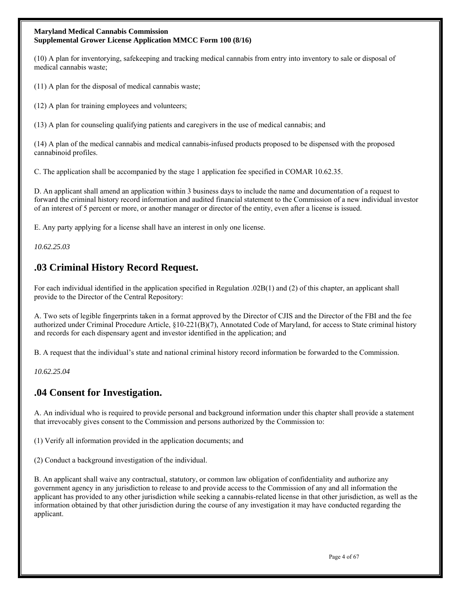(10) A plan for inventorying, safekeeping and tracking medical cannabis from entry into inventory to sale or disposal of medical cannabis waste;

(11) A plan for the disposal of medical cannabis waste;

(12) A plan for training employees and volunteers;

(13) A plan for counseling qualifying patients and caregivers in the use of medical cannabis; and

(14) A plan of the medical cannabis and medical cannabis-infused products proposed to be dispensed with the proposed cannabinoid profiles.

C. The application shall be accompanied by the stage 1 application fee specified in COMAR 10.62.35.

D. An applicant shall amend an application within 3 business days to include the name and documentation of a request to forward the criminal history record information and audited financial statement to the Commission of a new individual investor of an interest of 5 percent or more, or another manager or director of the entity, even after a license is issued.

E. Any party applying for a license shall have an interest in only one license.

*10.62.25.03* 

## **.03 Criminal History Record Request.**

For each individual identified in the application specified in Regulation .02B(1) and (2) of this chapter, an applicant shall provide to the Director of the Central Repository:

A. Two sets of legible fingerprints taken in a format approved by the Director of CJIS and the Director of the FBI and the fee authorized under Criminal Procedure Article, §10-221(B)(7), Annotated Code of Maryland, for access to State criminal history and records for each dispensary agent and investor identified in the application; and

B. A request that the individual's state and national criminal history record information be forwarded to the Commission.

*10.62.25.04* 

## **.04 Consent for Investigation.**

A. An individual who is required to provide personal and background information under this chapter shall provide a statement that irrevocably gives consent to the Commission and persons authorized by the Commission to:

(1) Verify all information provided in the application documents; and

(2) Conduct a background investigation of the individual.

B. An applicant shall waive any contractual, statutory, or common law obligation of confidentiality and authorize any government agency in any jurisdiction to release to and provide access to the Commission of any and all information the applicant has provided to any other jurisdiction while seeking a cannabis-related license in that other jurisdiction, as well as the information obtained by that other jurisdiction during the course of any investigation it may have conducted regarding the applicant.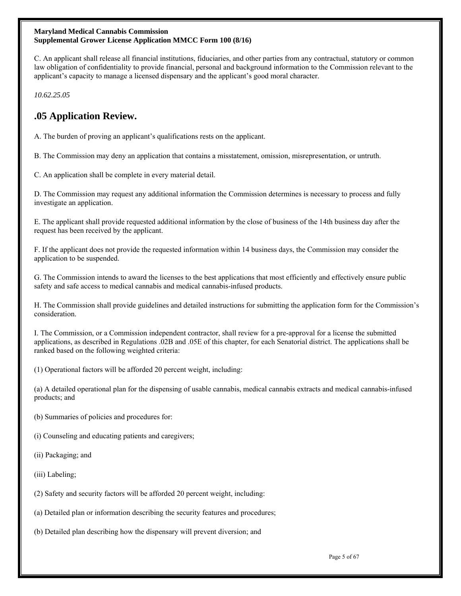C. An applicant shall release all financial institutions, fiduciaries, and other parties from any contractual, statutory or common law obligation of confidentiality to provide financial, personal and background information to the Commission relevant to the applicant's capacity to manage a licensed dispensary and the applicant's good moral character.

*10.62.25.05* 

## **.05 Application Review.**

A. The burden of proving an applicant's qualifications rests on the applicant.

B. The Commission may deny an application that contains a misstatement, omission, misrepresentation, or untruth.

C. An application shall be complete in every material detail.

D. The Commission may request any additional information the Commission determines is necessary to process and fully investigate an application.

E. The applicant shall provide requested additional information by the close of business of the 14th business day after the request has been received by the applicant.

F. If the applicant does not provide the requested information within 14 business days, the Commission may consider the application to be suspended.

G. The Commission intends to award the licenses to the best applications that most efficiently and effectively ensure public safety and safe access to medical cannabis and medical cannabis-infused products.

H. The Commission shall provide guidelines and detailed instructions for submitting the application form for the Commission's consideration.

I. The Commission, or a Commission independent contractor, shall review for a pre-approval for a license the submitted applications, as described in Regulations .02B and .05E of this chapter, for each Senatorial district. The applications shall be ranked based on the following weighted criteria:

(1) Operational factors will be afforded 20 percent weight, including:

(a) A detailed operational plan for the dispensing of usable cannabis, medical cannabis extracts and medical cannabis-infused products; and

- (b) Summaries of policies and procedures for:
- (i) Counseling and educating patients and caregivers;
- (ii) Packaging; and
- (iii) Labeling;
- (2) Safety and security factors will be afforded 20 percent weight, including:
- (a) Detailed plan or information describing the security features and procedures;
- (b) Detailed plan describing how the dispensary will prevent diversion; and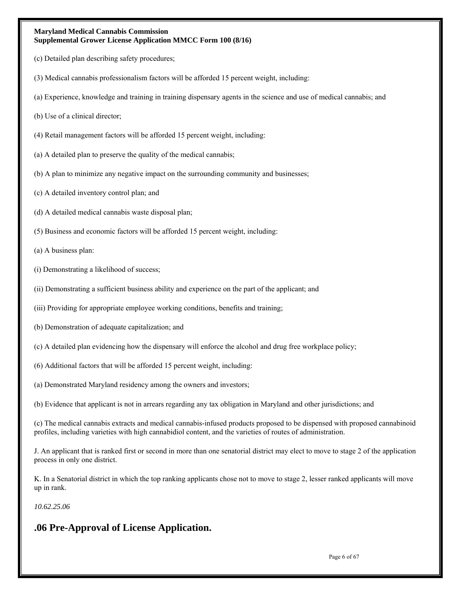- (c) Detailed plan describing safety procedures;
- (3) Medical cannabis professionalism factors will be afforded 15 percent weight, including:
- (a) Experience, knowledge and training in training dispensary agents in the science and use of medical cannabis; and
- (b) Use of a clinical director;
- (4) Retail management factors will be afforded 15 percent weight, including:
- (a) A detailed plan to preserve the quality of the medical cannabis;
- (b) A plan to minimize any negative impact on the surrounding community and businesses;
- (c) A detailed inventory control plan; and
- (d) A detailed medical cannabis waste disposal plan;
- (5) Business and economic factors will be afforded 15 percent weight, including:
- (a) A business plan:
- (i) Demonstrating a likelihood of success;
- (ii) Demonstrating a sufficient business ability and experience on the part of the applicant; and
- (iii) Providing for appropriate employee working conditions, benefits and training;
- (b) Demonstration of adequate capitalization; and
- (c) A detailed plan evidencing how the dispensary will enforce the alcohol and drug free workplace policy;
- (6) Additional factors that will be afforded 15 percent weight, including:
- (a) Demonstrated Maryland residency among the owners and investors;
- (b) Evidence that applicant is not in arrears regarding any tax obligation in Maryland and other jurisdictions; and

(c) The medical cannabis extracts and medical cannabis-infused products proposed to be dispensed with proposed cannabinoid profiles, including varieties with high cannabidiol content, and the varieties of routes of administration.

J. An applicant that is ranked first or second in more than one senatorial district may elect to move to stage 2 of the application process in only one district.

K. In a Senatorial district in which the top ranking applicants chose not to move to stage 2, lesser ranked applicants will move up in rank.

*10.62.25.06* 

## **.06 Pre-Approval of License Application.**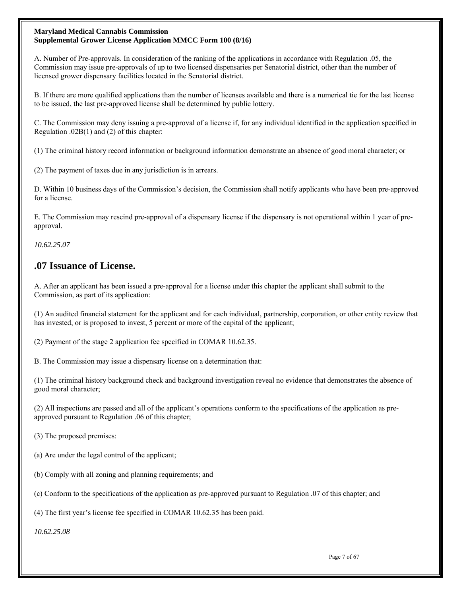A. Number of Pre-approvals. In consideration of the ranking of the applications in accordance with Regulation .05, the Commission may issue pre-approvals of up to two licensed dispensaries per Senatorial district, other than the number of licensed grower dispensary facilities located in the Senatorial district.

B. If there are more qualified applications than the number of licenses available and there is a numerical tie for the last license to be issued, the last pre-approved license shall be determined by public lottery.

C. The Commission may deny issuing a pre-approval of a license if, for any individual identified in the application specified in Regulation .02B(1) and (2) of this chapter:

(1) The criminal history record information or background information demonstrate an absence of good moral character; or

(2) The payment of taxes due in any jurisdiction is in arrears.

D. Within 10 business days of the Commission's decision, the Commission shall notify applicants who have been pre-approved for a license.

E. The Commission may rescind pre-approval of a dispensary license if the dispensary is not operational within 1 year of preapproval.

*10.62.25.07* 

## **.07 Issuance of License.**

A. After an applicant has been issued a pre-approval for a license under this chapter the applicant shall submit to the Commission, as part of its application:

(1) An audited financial statement for the applicant and for each individual, partnership, corporation, or other entity review that has invested, or is proposed to invest, 5 percent or more of the capital of the applicant;

(2) Payment of the stage 2 application fee specified in COMAR 10.62.35.

B. The Commission may issue a dispensary license on a determination that:

(1) The criminal history background check and background investigation reveal no evidence that demonstrates the absence of good moral character;

(2) All inspections are passed and all of the applicant's operations conform to the specifications of the application as preapproved pursuant to Regulation .06 of this chapter;

(3) The proposed premises:

(a) Are under the legal control of the applicant;

(b) Comply with all zoning and planning requirements; and

(c) Conform to the specifications of the application as pre-approved pursuant to Regulation .07 of this chapter; and

(4) The first year's license fee specified in COMAR 10.62.35 has been paid.

*10.62.25.08*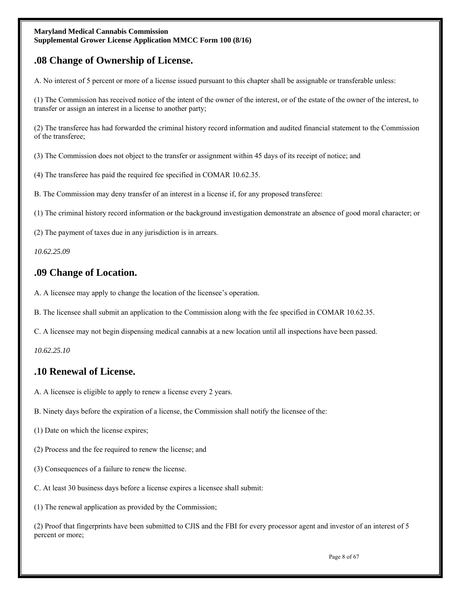## **.08 Change of Ownership of License.**

A. No interest of 5 percent or more of a license issued pursuant to this chapter shall be assignable or transferable unless:

(1) The Commission has received notice of the intent of the owner of the interest, or of the estate of the owner of the interest, to transfer or assign an interest in a license to another party;

(2) The transferee has had forwarded the criminal history record information and audited financial statement to the Commission of the transferee;

(3) The Commission does not object to the transfer or assignment within 45 days of its receipt of notice; and

(4) The transferee has paid the required fee specified in COMAR 10.62.35.

B. The Commission may deny transfer of an interest in a license if, for any proposed transferee:

(1) The criminal history record information or the background investigation demonstrate an absence of good moral character; or

(2) The payment of taxes due in any jurisdiction is in arrears.

*10.62.25.09* 

## **.09 Change of Location.**

A. A licensee may apply to change the location of the licensee's operation.

B. The licensee shall submit an application to the Commission along with the fee specified in COMAR 10.62.35.

C. A licensee may not begin dispensing medical cannabis at a new location until all inspections have been passed.

*10.62.25.10* 

## **.10 Renewal of License.**

- A. A licensee is eligible to apply to renew a license every 2 years.
- B. Ninety days before the expiration of a license, the Commission shall notify the licensee of the:
- (1) Date on which the license expires;
- (2) Process and the fee required to renew the license; and
- (3) Consequences of a failure to renew the license.
- C. At least 30 business days before a license expires a licensee shall submit:
- (1) The renewal application as provided by the Commission;

(2) Proof that fingerprints have been submitted to CJIS and the FBI for every processor agent and investor of an interest of 5 percent or more;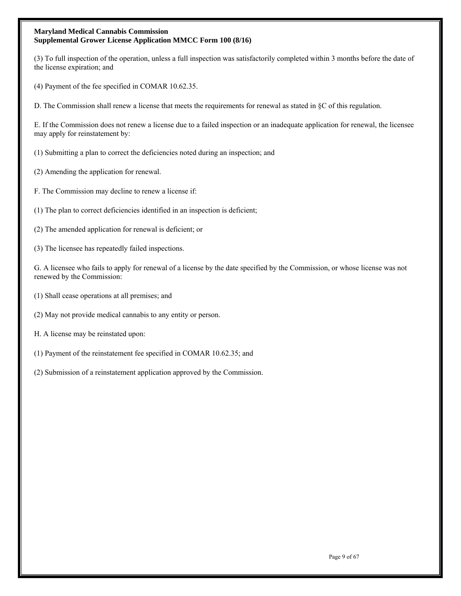(3) To full inspection of the operation, unless a full inspection was satisfactorily completed within 3 months before the date of the license expiration; and

(4) Payment of the fee specified in COMAR 10.62.35.

D. The Commission shall renew a license that meets the requirements for renewal as stated in §C of this regulation.

E. If the Commission does not renew a license due to a failed inspection or an inadequate application for renewal, the licensee may apply for reinstatement by:

- (1) Submitting a plan to correct the deficiencies noted during an inspection; and
- (2) Amending the application for renewal.
- F. The Commission may decline to renew a license if:
- (1) The plan to correct deficiencies identified in an inspection is deficient;
- (2) The amended application for renewal is deficient; or
- (3) The licensee has repeatedly failed inspections.

G. A licensee who fails to apply for renewal of a license by the date specified by the Commission, or whose license was not renewed by the Commission:

- (1) Shall cease operations at all premises; and
- (2) May not provide medical cannabis to any entity or person.
- H. A license may be reinstated upon:
- (1) Payment of the reinstatement fee specified in COMAR 10.62.35; and
- (2) Submission of a reinstatement application approved by the Commission.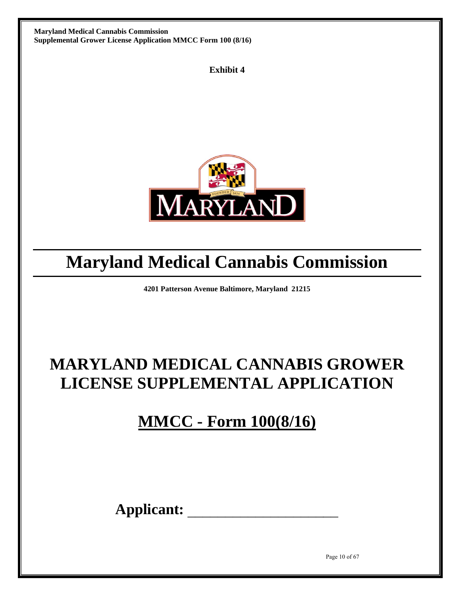**Exhibit 4** 



# **Maryland Medical Cannabis Commission**

**4201 Patterson Avenue Baltimore, Maryland 21215** 

# **MARYLAND MEDICAL CANNABIS GROWER LICENSE SUPPLEMENTAL APPLICATION**

**MMCC - Form 100(8/16)** 

**Applicant:** \_\_\_\_\_\_\_\_\_\_\_\_\_\_\_\_\_\_\_\_

Page 10 of 67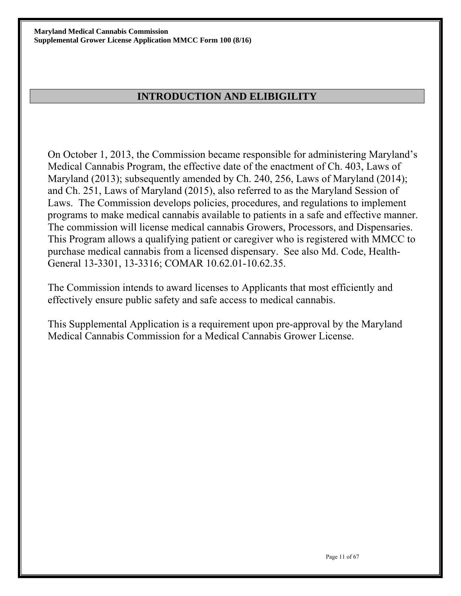## **INTRODUCTION AND ELIBIGILITY**

On October 1, 2013, the Commission became responsible for administering Maryland's Medical Cannabis Program, the effective date of the enactment of Ch. 403, Laws of Maryland (2013); subsequently amended by Ch. 240, 256, Laws of Maryland (2014); and Ch. 251, Laws of Maryland (2015), also referred to as the Maryland Session of Laws. The Commission develops policies, procedures, and regulations to implement programs to make medical cannabis available to patients in a safe and effective manner. The commission will license medical cannabis Growers, Processors, and Dispensaries. This Program allows a qualifying patient or caregiver who is registered with MMCC to purchase medical cannabis from a licensed dispensary. See also Md. Code, Health-General 13-3301, 13-3316; COMAR 10.62.01-10.62.35.

The Commission intends to award licenses to Applicants that most efficiently and effectively ensure public safety and safe access to medical cannabis.

This Supplemental Application is a requirement upon pre-approval by the Maryland Medical Cannabis Commission for a Medical Cannabis Grower License.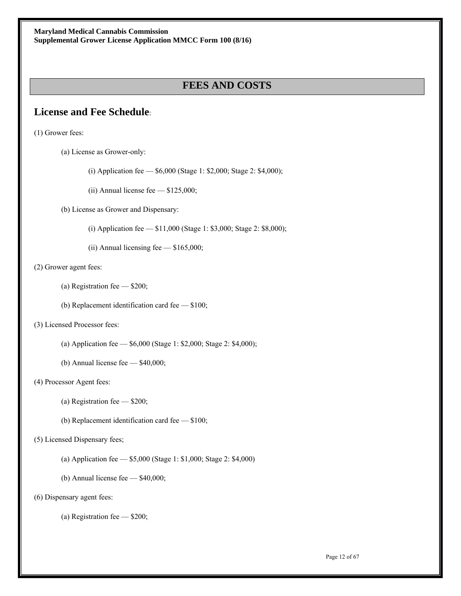## **FEES AND COSTS**

## **License and Fee Schedule**:

(1) Grower fees:

- (a) License as Grower-only:
	- (i) Application fee \$6,000 (Stage 1: \$2,000; Stage 2: \$4,000);
	- (ii) Annual license fee \$125,000;

(b) License as Grower and Dispensary:

- (i) Application fee \$11,000 (Stage 1: \$3,000; Stage 2: \$8,000);
- (ii) Annual licensing fee  $-$  \$165,000;

#### (2) Grower agent fees:

- (a) Registration fee \$200;
- (b) Replacement identification card fee \$100;

### (3) Licensed Processor fees:

- (a) Application fee \$6,000 (Stage 1: \$2,000; Stage 2: \$4,000);
- (b) Annual license fee \$40,000;

#### (4) Processor Agent fees:

- (a) Registration fee \$200;
- (b) Replacement identification card fee \$100;

#### (5) Licensed Dispensary fees;

- (a) Application fee \$5,000 (Stage 1: \$1,000; Stage 2: \$4,000)
- (b) Annual license fee \$40,000;

#### (6) Dispensary agent fees:

(a) Registration fee — \$200;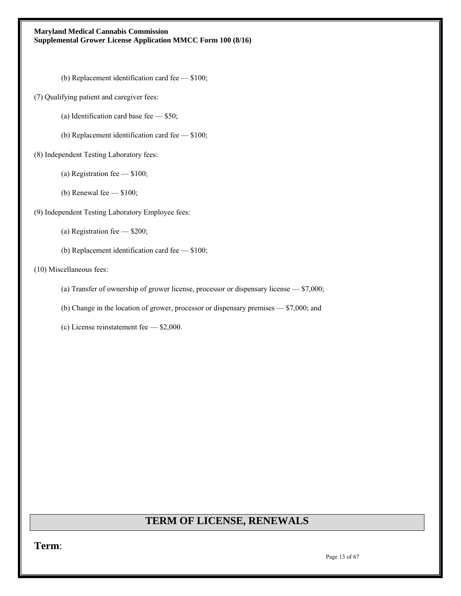(b) Replacement identification card fee — \$100;

(7) Qualifying patient and caregiver fees:

- (a) Identification card base fee \$50;
- (b) Replacement identification card fee \$100;
- (8) Independent Testing Laboratory fees:
	- (a) Registration fee \$100;
	- (b) Renewal fee \$100;
- (9) Independent Testing Laboratory Employee fees:
	- (a) Registration fee \$200;
	- (b) Replacement identification card fee \$100;

#### (10) Miscellaneous fees:

- (a) Transfer of ownership of grower license, processor or dispensary license \$7,000;
- (b) Change in the location of grower, processor or dispensary premises \$7,000; and
- (c) License reinstatement fee \$2,000.

## **TERM OF LICENSE, RENEWALS**

**Term**: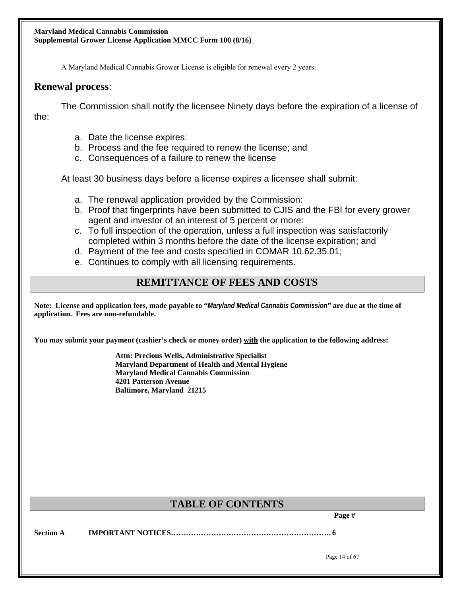A Maryland Medical Cannabis Grower License is eligible for renewal every 2 years.

## **Renewal process**:

The Commission shall notify the licensee Ninety days before the expiration of a license of the:

- a. Date the license expires:
- b. Process and the fee required to renew the license; and
- c. Consequences of a failure to renew the license

At least 30 business days before a license expires a licensee shall submit:

- a. The renewal application provided by the Commission:
- b. Proof that fingerprints have been submitted to CJIS and the FBI for every grower agent and investor of an interest of 5 percent or more:
- c. To full inspection of the operation, unless a full inspection was satisfactorily completed within 3 months before the date of the license expiration; and
- d. Payment of the fee and costs specified in COMAR 10.62.35.01;
- e. Continues to comply with all licensing requirements.

## **REMITTANCE OF FEES AND COSTS**

**Note: License and application fees, made payable to "***Maryland Medical Cannabis Commission***" are due at the time of application. Fees are non-refundable.** 

**You may submit your payment (cashier's check or money order) with the application to the following address:** 

 **Attn: Precious Wells, Administrative Specialist Maryland Department of Health and Mental Hygiene Maryland Medical Cannabis Commission 4201 Patterson Avenue Baltimore, Maryland 21215** 

# TABLE OF CONTENTS **Page #**

**Section A IMPORTANT NOTICES………………………………………………………. 6**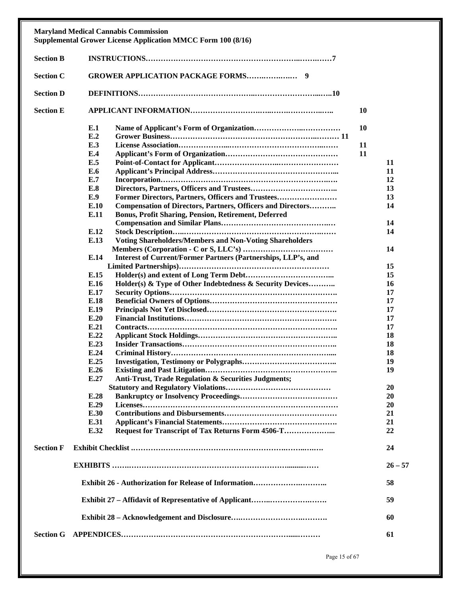|                  | <b>Maryland Medical Cannabis Commission</b><br><b>Supplemental Grower License Application MMCC Form 100 (8/16)</b> |    |           |
|------------------|--------------------------------------------------------------------------------------------------------------------|----|-----------|
| <b>Section B</b> |                                                                                                                    |    |           |
| <b>Section C</b> |                                                                                                                    |    |           |
| <b>Section D</b> |                                                                                                                    |    |           |
| <b>Section E</b> |                                                                                                                    | 10 |           |
|                  | E.1                                                                                                                | 10 |           |
|                  | E.2                                                                                                                |    |           |
|                  | E.3                                                                                                                | 11 |           |
|                  | E.4                                                                                                                | 11 |           |
|                  | E.5                                                                                                                |    | 11        |
|                  | E.6                                                                                                                |    | 11        |
|                  | E.7                                                                                                                |    | 12        |
|                  | E.8                                                                                                                |    | 13        |
|                  | E.9<br>Former Directors, Partners, Officers and Trustees                                                           |    | 13        |
|                  | E.10<br><b>Compensation of Directors, Partners, Officers and Directors</b>                                         |    | 14        |
|                  | E.11<br><b>Bonus, Profit Sharing, Pension, Retirement, Deferred</b>                                                |    |           |
|                  |                                                                                                                    |    | 14        |
|                  | E.12                                                                                                               |    | 14        |
|                  | <b>Voting Shareholders/Members and Non-Voting Shareholders</b><br>E.13                                             |    |           |
|                  |                                                                                                                    |    | 14        |
|                  | Interest of Current/Former Partners (Partnerships, LLP's, and<br>E.14                                              |    |           |
|                  |                                                                                                                    |    | 15        |
|                  | E.15                                                                                                               |    | 15        |
|                  | E.16<br>Holder(s) & Type of Other Indebtedness & Security Devices                                                  |    | 16        |
|                  | E.17                                                                                                               |    | 17        |
|                  | E.18                                                                                                               |    | 17        |
|                  | E.19                                                                                                               |    | 17        |
|                  | E.20                                                                                                               |    |           |
|                  | E.21                                                                                                               |    | 17<br>17  |
|                  |                                                                                                                    |    |           |
|                  | E.22                                                                                                               |    | 18        |
|                  | E.23                                                                                                               |    | 18        |
|                  | E.24                                                                                                               |    | 18        |
|                  | E.25                                                                                                               |    | 19        |
|                  | E.26                                                                                                               |    | 19        |
|                  | E.27<br>Anti-Trust, Trade Regulation & Securities Judgments;                                                       |    |           |
|                  |                                                                                                                    |    | 20        |
|                  | E.28                                                                                                               |    | 20        |
|                  | E.29                                                                                                               |    | 20        |
|                  | E.30                                                                                                               |    | 21        |
|                  | E.31                                                                                                               |    | 21        |
|                  | E.32                                                                                                               |    | 22        |
| <b>Section F</b> |                                                                                                                    |    | 24        |
|                  |                                                                                                                    |    | $26 - 57$ |
|                  |                                                                                                                    |    | 58        |
|                  |                                                                                                                    |    | 59        |
|                  |                                                                                                                    |    | 60        |
| <b>Section G</b> |                                                                                                                    |    | 61        |

Page 15 of 67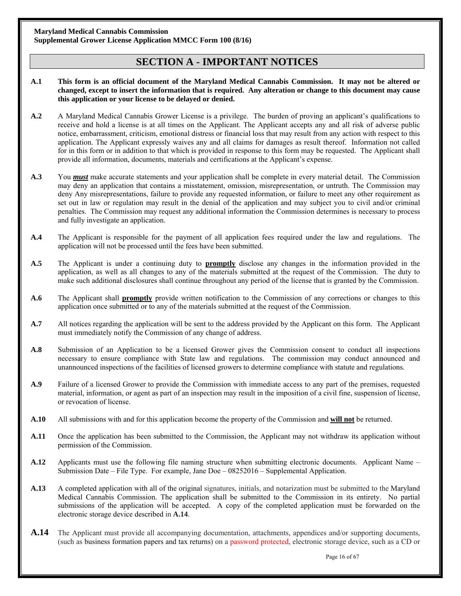## **SECTION A - IMPORTANT NOTICES**

#### **A.1 This form is an official document of the Maryland Medical Cannabis Commission. It may not be altered or changed, except to insert the information that is required. Any alteration or change to this document may cause this application or your license to be delayed or denied.**

- **A.2** A Maryland Medical Cannabis Grower License is a privilege. The burden of proving an applicant's qualifications to receive and hold a license is at all times on the Applicant. The Applicant accepts any and all risk of adverse public notice, embarrassment, criticism, emotional distress or financial loss that may result from any action with respect to this application. The Applicant expressly waives any and all claims for damages as result thereof. Information not called for in this form or in addition to that which is provided in response to this form may be requested. The Applicant shall provide all information, documents, materials and certifications at the Applicant's expense.
- **A.3** You *must* make accurate statements and your application shall be complete in every material detail. The Commission may deny an application that contains a misstatement, omission, misrepresentation, or untruth. The Commission may deny Any misrepresentations, failure to provide any requested information, or failure to meet any other requirement as set out in law or regulation may result in the denial of the application and may subject you to civil and/or criminal penalties. The Commission may request any additional information the Commission determines is necessary to process and fully investigate an application.
- **A.4** The Applicant is responsible for the payment of all application fees required under the law and regulations. The application will not be processed until the fees have been submitted.
- **A.5** The Applicant is under a continuing duty to **promptly** disclose any changes in the information provided in the application, as well as all changes to any of the materials submitted at the request of the Commission. The duty to make such additional disclosures shall continue throughout any period of the license that is granted by the Commission.
- **A.6** The Applicant shall **promptly** provide written notification to the Commission of any corrections or changes to this application once submitted or to any of the materials submitted at the request of the Commission.
- **A.7** All notices regarding the application will be sent to the address provided by the Applicant on this form. The Applicant must immediately notify the Commission of any change of address.
- **A.8** Submission of an Application to be a licensed Grower gives the Commission consent to conduct all inspections necessary to ensure compliance with State law and regulations. The commission may conduct announced and unannounced inspections of the facilities of licensed growers to determine compliance with statute and regulations.
- **A.9** Failure of a licensed Grower to provide the Commission with immediate access to any part of the premises, requested material, information, or agent as part of an inspection may result in the imposition of a civil fine, suspension of license, or revocation of license.
- **A.10** All submissions with and for this application become the property of the Commission and **will not** be returned.
- **A.11** Once the application has been submitted to the Commission, the Applicant may not withdraw its application without permission of the Commission.
- **A.12** Applicants must use the following file naming structure when submitting electronic documents. Applicant Name Submission Date – File Type. For example, Jane Doe – 08252016 – Supplemental Application.
- **A.13** A completed application with all of the original signatures, initials, and notarization must be submitted to the Maryland Medical Cannabis Commission. The application shall be submitted to the Commission in its entirety. No partial submissions of the application will be accepted. A copy of the completed application must be forwarded on the electronic storage device described in **A.14**.
- **A.14** The Applicant must provide all accompanying documentation, attachments, appendices and/or supporting documents, (such as business formation papers and tax returns) on a password protected, electronic storage device, such as a CD or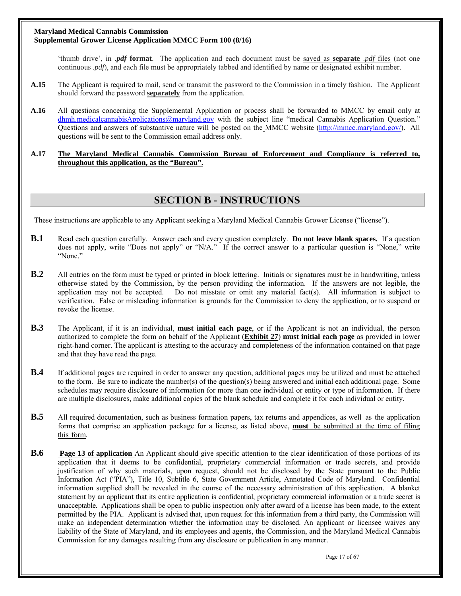'thumb drive', in .*pdf* **format**. The application and each document must be saved as **separate** .*pdf* files (not one continuous .*pdf*), and each file must be appropriately tabbed and identified by name or designated exhibit number.

- **A.15** The Applicant is required to mail, send or transmit the password to the Commission in a timely fashion. The Applicant should forward the password **separately** from the application.
- **A.16** All questions concerning the Supplemental Application or process shall be forwarded to MMCC by email only at dhmh.medicalcannabisApplications@maryland.gov with the subject line "medical Cannabis Application Question." Questions and answers of substantive nature will be posted on the MMCC website (http://mmcc.maryland.gov/). All questions will be sent to the Commission email address only.

#### **A.17 The Maryland Medical Cannabis Commission Bureau of Enforcement and Compliance is referred to, throughout this application, as the "Bureau".**

## **SECTION B - INSTRUCTIONS**

These instructions are applicable to any Applicant seeking a Maryland Medical Cannabis Grower License ("license").

- **B.1** Read each question carefully. Answer each and every question completely. **Do not leave blank spaces.** If a question does not apply, write "Does not apply" or "N/A." If the correct answer to a particular question is "None," write "None."
- **B.2** All entries on the form must be typed or printed in block lettering. Initials or signatures must be in handwriting, unless otherwise stated by the Commission, by the person providing the information. If the answers are not legible, the application may not be accepted. Do not misstate or omit any material fact(s). All information is subject to verification. False or misleading information is grounds for the Commission to deny the application, or to suspend or revoke the license.
- **B.3** The Applicant, if it is an individual, **must initial each page**, or if the Applicant is not an individual, the person authorized to complete the form on behalf of the Applicant (**Exhibit 27**) **must initial each page** as provided in lower right-hand corner. The applicant is attesting to the accuracy and completeness of the information contained on that page and that they have read the page.
- **B.4** If additional pages are required in order to answer any question, additional pages may be utilized and must be attached to the form. Be sure to indicate the number(s) of the question(s) being answered and initial each additional page. Some schedules may require disclosure of information for more than one individual or entity or type of information. If there are multiple disclosures, make additional copies of the blank schedule and complete it for each individual or entity.
- **B.5** All required documentation, such as business formation papers, tax returns and appendices, as well as the application forms that comprise an application package for a license, as listed above, **must** be submitted at the time of filing this form.
- **B.6** Page 13 of application An Applicant should give specific attention to the clear identification of those portions of its application that it deems to be confidential, proprietary commercial information or trade secrets, and provide justification of why such materials, upon request, should not be disclosed by the State pursuant to the Public Information Act ("PIA"), Title 10, Subtitle 6, State Government Article, Annotated Code of Maryland. Confidential information supplied shall be revealed in the course of the necessary administration of this application. A blanket statement by an applicant that its entire application is confidential, proprietary commercial information or a trade secret is unacceptable. Applications shall be open to public inspection only after award of a license has been made, to the extent permitted by the PIA. Applicant is advised that, upon request for this information from a third party, the Commission will make an independent determination whether the information may be disclosed. An applicant or licensee waives any liability of the State of Maryland, and its employees and agents, the Commission, and the Maryland Medical Cannabis Commission for any damages resulting from any disclosure or publication in any manner.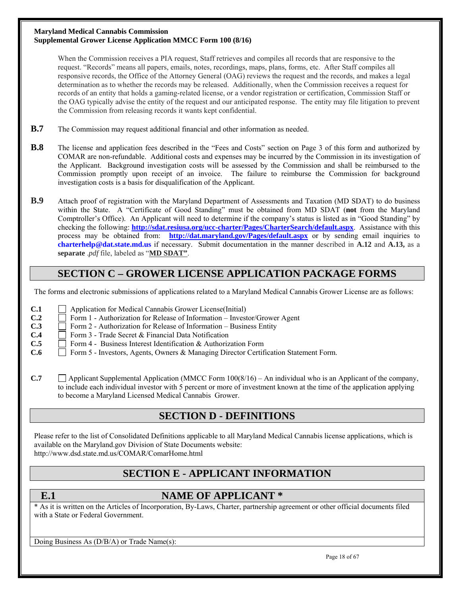When the Commission receives a PIA request, Staff retrieves and compiles all records that are responsive to the request. "Records" means all papers, emails, notes, recordings, maps, plans, forms, etc. After Staff compiles all responsive records, the Office of the Attorney General (OAG) reviews the request and the records, and makes a legal determination as to whether the records may be released. Additionally, when the Commission receives a request for records of an entity that holds a gaming-related license, or a vendor registration or certification, Commission Staff or the OAG typically advise the entity of the request and our anticipated response. The entity may file litigation to prevent the Commission from releasing records it wants kept confidential.

- **B.7** The Commission may request additional financial and other information as needed.
- **B.8** The license and application fees described in the "Fees and Costs" section on Page 3 of this form and authorized by COMAR are non-refundable. Additional costs and expenses may be incurred by the Commission in its investigation of the Applicant. Background investigation costs will be assessed by the Commission and shall be reimbursed to the Commission promptly upon receipt of an invoice. The failure to reimburse the Commission for background investigation costs is a basis for disqualification of the Applicant.
- **B.9** Attach proof of registration with the Maryland Department of Assessments and Taxation (MD SDAT) to do business within the State. A "Certificate of Good Standing" must be obtained from MD SDAT (**not** from the Maryland Comptroller's Office). An Applicant will need to determine if the company's status is listed as in "Good Standing" by checking the following: **http://sdat.resiusa.org/ucc-charter/Pages/CharterSearch/default.aspx**. Assistance with this process may be obtained from: **http://dat.maryland.gov/Pages/default.aspx** or by sending email inquiries to **charterhelp@dat.state.md.us** if necessary. Submit documentation in the manner described in **A.12** and **A.13,** as a **separate** .*pdf* file, labeled as "**MD SDAT"**.

## **SECTION C – GROWER LICENSE APPLICATION PACKAGE FORMS**

The forms and electronic submissions of applications related to a Maryland Medical Cannabis Grower License are as follows:

- **C.1** Application for Medical Cannabis Grower License(Initial)
- **C.2**  $\Box$  Form 1 Authorization for Release of Information Investor/Grower Agent
- **C.3**  $\Box$  Form 2 Authorization for Release of Information Business Entity
- **C.4**  $\Box$  Form 3 Trade Secret & Financial Data Notification
- **C.5**  $\Box$  Form 4 Business Interest Identification & Authorization Form
- **C.6** Form 5 Investors, Agents, Owners & Managing Director Certification Statement Form.
- **C.7** Applicant Supplemental Application (MMCC Form  $100(8/16)$  An individual who is an Applicant of the company, to include each individual investor with 5 percent or more of investment known at the time of the application applying to become a Maryland Licensed Medical Cannabis Grower.

## **SECTION D - DEFINITIONS**

Please refer to the list of Consolidated Definitions applicable to all Maryland Medical Cannabis license applications, which is available on the Maryland.gov Division of State Documents website: http://www.dsd.state.md.us/COMAR/ComarHome.html

## **SECTION E - APPLICANT INFORMATION**

## **E.1** NAME OF APPLICANT \*

\* As it is written on the Articles of Incorporation, By-Laws, Charter, partnership agreement or other official documents filed with a State or Federal Government.

Doing Business As (D/B/A) or Trade Name(s):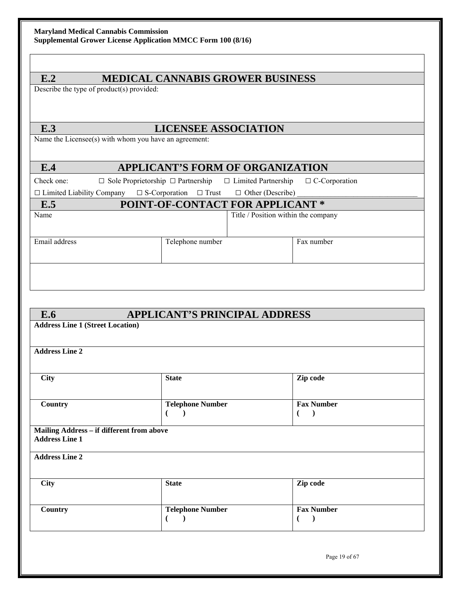## **E.2 MEDICAL CANNABIS GROWER BUSINESS**

Describe the type of product(s) provided:

## **E.3 LICENSEE ASSOCIATION**

Name the Licensee(s) with whom you have an agreement:

## **E.4 APPLICANT'S FORM OF ORGANIZATION**

Check one:  $\Box$  Sole Proprietorship  $\Box$  Partnership  $\Box$  Limited Partnership  $\Box$  C-Corporation

| $\Box$ Limited Liability Company $\Box$ S-Corporation $\Box$ Trust $\Box$ Other (Describe) |  |  |
|--------------------------------------------------------------------------------------------|--|--|

# **E.5 POINT-OF-CONTACT FOR APPLICANT \*** Name Title / Position within the company Email address Fax number Fax number

## **E.6 APPLICANT'S PRINCIPAL ADDRESS**

| <b>Address Line 2</b>                                              |                              |                                                                          |  |
|--------------------------------------------------------------------|------------------------------|--------------------------------------------------------------------------|--|
| <b>City</b>                                                        | <b>State</b>                 | Zip code                                                                 |  |
| Country                                                            | <b>Telephone Number</b><br>€ | <b>Fax Number</b><br>$\overline{\phantom{a}}$<br>$\overline{\mathbf{r}}$ |  |
| Mailing Address - if different from above<br><b>Address Line 1</b> |                              |                                                                          |  |
| <b>Address Line 2</b>                                              |                              |                                                                          |  |
|                                                                    |                              |                                                                          |  |
| <b>City</b>                                                        | <b>State</b>                 | Zip code                                                                 |  |

Page 19 of 67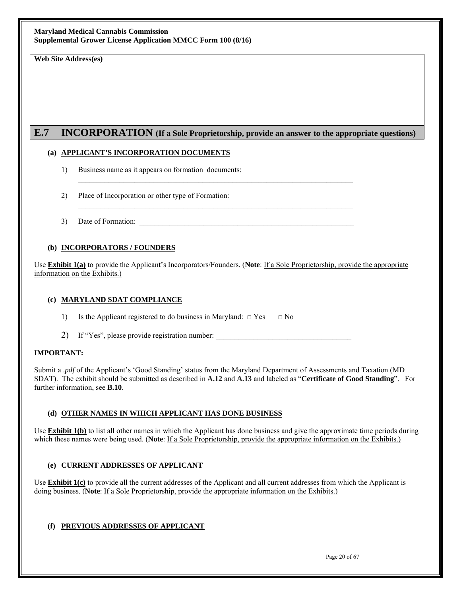**Web Site Address(es)** 

## **E.7 INCORPORATION (If a Sole Proprietorship, provide an answer to the appropriate questions)**

 $\_$  , and the set of the set of the set of the set of the set of the set of the set of the set of the set of the set of the set of the set of the set of the set of the set of the set of the set of the set of the set of th

 $\_$  , and the set of the set of the set of the set of the set of the set of the set of the set of the set of the set of the set of the set of the set of the set of the set of the set of the set of the set of the set of th

### **(a) APPLICANT'S INCORPORATION DOCUMENTS**

- 1) Business name as it appears on formation documents:
- 2) Place of Incorporation or other type of Formation:
- 3) Date of Formation:

#### **(b) INCORPORATORS / FOUNDERS**

Use **Exhibit 1(a)** to provide the Applicant's Incorporators/Founders. (**Note**: If a Sole Proprietorship, provide the appropriate information on the Exhibits.)

#### **(c) MARYLAND SDAT COMPLIANCE**

- 1) Is the Applicant registered to do business in Maryland:  $\Box$  Yes  $\Box$  No
- 2) If "Yes", please provide registration number:

#### **IMPORTANT:**

Submit a .*pdf* of the Applicant's 'Good Standing' status from the Maryland Department of Assessments and Taxation (MD SDAT). The exhibit should be submitted as described in **A.12** and **A.13** and labeled as "**Certificate of Good Standing**". For further information, see **B.10**.

### **(d) OTHER NAMES IN WHICH APPLICANT HAS DONE BUSINESS**

Use **Exhibit 1(b)** to list all other names in which the Applicant has done business and give the approximate time periods during which these names were being used. (**Note**: If a Sole Proprietorship, provide the appropriate information on the Exhibits.)

### **(e) CURRENT ADDRESSES OF APPLICANT**

Use **Exhibit 1(c)** to provide all the current addresses of the Applicant and all current addresses from which the Applicant is doing business. (**Note**: If a Sole Proprietorship, provide the appropriate information on the Exhibits.)

### **(f) PREVIOUS ADDRESSES OF APPLICANT**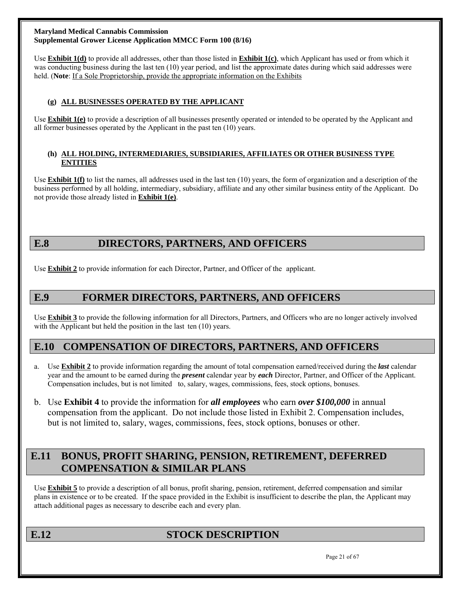Use **Exhibit 1(d)** to provide all addresses, other than those listed in **Exhibit 1(c)**, which Applicant has used or from which it was conducting business during the last ten (10) year period, and list the approximate dates during which said addresses were held. (**Note**: If a Sole Proprietorship, provide the appropriate information on the Exhibits

### **(g) ALL BUSINESSES OPERATED BY THE APPLICANT**

Use **Exhibit 1(e)** to provide a description of all businesses presently operated or intended to be operated by the Applicant and all former businesses operated by the Applicant in the past ten (10) years.

#### **(h) ALL HOLDING, INTERMEDIARIES, SUBSIDIARIES, AFFILIATES OR OTHER BUSINESS TYPE ENTITIES**

Use **Exhibit 1(f)** to list the names, all addresses used in the last ten (10) years, the form of organization and a description of the business performed by all holding, intermediary, subsidiary, affiliate and any other similar business entity of the Applicant. Do not provide those already listed in **Exhibit 1(e)**.

## **E.8 DIRECTORS, PARTNERS, AND OFFICERS**

Use **Exhibit 2** to provide information for each Director, Partner, and Officer of the applicant.

## **E.9 FORMER DIRECTORS, PARTNERS, AND OFFICERS**

Use **Exhibit 3** to provide the following information for all Directors, Partners, and Officers who are no longer actively involved with the Applicant but held the position in the last ten (10) years.

## **E.10 COMPENSATION OF DIRECTORS, PARTNERS, AND OFFICERS**

- a. Use **Exhibit 2** to provide information regarding the amount of total compensation earned/received during the *last* calendar year and the amount to be earned during the *present* calendar year by *each* Director, Partner, and Officer of the Applicant. Compensation includes, but is not limited to, salary, wages, commissions, fees, stock options, bonuses.
- b. Use **Exhibit 4** to provide the information for *all employees* who earn *over \$100,000* in annual compensation from the applicant. Do not include those listed in Exhibit 2. Compensation includes, but is not limited to, salary, wages, commissions, fees, stock options, bonuses or other.

## **E.11 BONUS, PROFIT SHARING, PENSION, RETIREMENT, DEFERRED COMPENSATION & SIMILAR PLANS**

Use **Exhibit 5** to provide a description of all bonus, profit sharing, pension, retirement, deferred compensation and similar plans in existence or to be created. If the space provided in the Exhibit is insufficient to describe the plan, the Applicant may attach additional pages as necessary to describe each and every plan.

## **E.12** STOCK DESCRIPTION

Page 21 of 67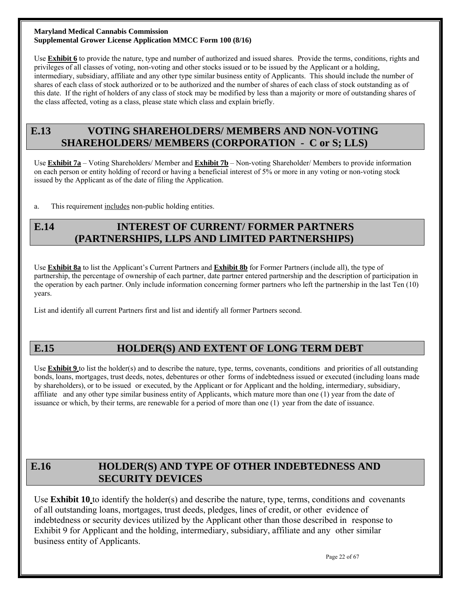Use **Exhibit 6** to provide the nature, type and number of authorized and issued shares. Provide the terms, conditions, rights and privileges of all classes of voting, non-voting and other stocks issued or to be issued by the Applicant or a holding, intermediary, subsidiary, affiliate and any other type similar business entity of Applicants. This should include the number of shares of each class of stock authorized or to be authorized and the number of shares of each class of stock outstanding as of this date. If the right of holders of any class of stock may be modified by less than a majority or more of outstanding shares of the class affected, voting as a class, please state which class and explain briefly.

## **E.13 VOTING SHAREHOLDERS/ MEMBERS AND NON-VOTING SHAREHOLDERS/ MEMBERS (CORPORATION - C or S; LLS)**

Use **Exhibit 7a** – Voting Shareholders/ Member and **Exhibit 7b** – Non-voting Shareholder/ Members to provide information on each person or entity holding of record or having a beneficial interest of 5% or more in any voting or non-voting stock issued by the Applicant as of the date of filing the Application.

a. This requirement includes non-public holding entities.

## **E.14 INTEREST OF CURRENT/ FORMER PARTNERS (PARTNERSHIPS, LLPS AND LIMITED PARTNERSHIPS)**

Use **Exhibit 8a** to list the Applicant's Current Partners and **Exhibit 8b** for Former Partners (include all), the type of partnership, the percentage of ownership of each partner, date partner entered partnership and the description of participation in the operation by each partner. Only include information concerning former partners who left the partnership in the last Ten (10) years.

List and identify all current Partners first and list and identify all former Partners second.

## **E.15 HOLDER(S) AND EXTENT OF LONG TERM DEBT**

Use **Exhibit 9** to list the holder(s) and to describe the nature, type, terms, covenants, conditions and priorities of all outstanding bonds, loans, mortgages, trust deeds, notes, debentures or other forms of indebtedness issued or executed (including loans made by shareholders), or to be issued or executed, by the Applicant or for Applicant and the holding, intermediary, subsidiary, affiliate and any other type similar business entity of Applicants, which mature more than one (1) year from the date of issuance or which, by their terms, are renewable for a period of more than one (1) year from the date of issuance.

## **E.16 HOLDER(S) AND TYPE OF OTHER INDEBTEDNESS AND SECURITY DEVICES**

Use **Exhibit 10** to identify the holder(s) and describe the nature, type, terms, conditions and covenants of all outstanding loans, mortgages, trust deeds, pledges, lines of credit, or other evidence of indebtedness or security devices utilized by the Applicant other than those described in response to Exhibit 9 for Applicant and the holding, intermediary, subsidiary, affiliate and any other similar business entity of Applicants.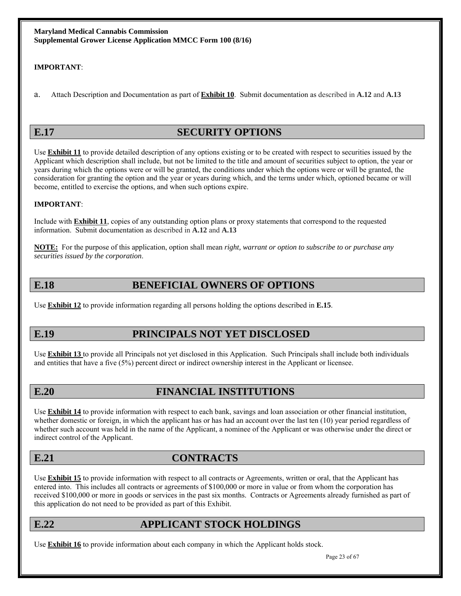### **IMPORTANT**:

a. Attach Description and Documentation as part of **Exhibit 10**. Submit documentation as described in **A.12** and **A.13**

## **E.17** SECURITY OPTIONS

Use **Exhibit 11** to provide detailed description of any options existing or to be created with respect to securities issued by the Applicant which description shall include, but not be limited to the title and amount of securities subject to option, the year or years during which the options were or will be granted, the conditions under which the options were or will be granted, the consideration for granting the option and the year or years during which, and the terms under which, optioned became or will become, entitled to exercise the options, and when such options expire.

### **IMPORTANT**:

Include with **Exhibit 11**, copies of any outstanding option plans or proxy statements that correspond to the requested information. Submit documentation as described in **A.12** and **A.13**

**NOTE:** For the purpose of this application, option shall mean *right, warrant or option to subscribe to or purchase any securities issued by the corporation*.

## **E.18** BENEFICIAL OWNERS OF OPTIONS

Use **Exhibit 12** to provide information regarding all persons holding the options described in **E.15**.

## **E.19 PRINCIPALS NOT YET DISCLOSED**

Use **Exhibit 13** to provide all Principals not yet disclosed in this Application. Such Principals shall include both individuals and entities that have a five (5%) percent direct or indirect ownership interest in the Applicant or licensee.

## **E.20 FINANCIAL INSTITUTIONS**

Use **Exhibit 14** to provide information with respect to each bank, savings and loan association or other financial institution, whether domestic or foreign, in which the applicant has or has had an account over the last ten (10) year period regardless of whether such account was held in the name of the Applicant, a nominee of the Applicant or was otherwise under the direct or indirect control of the Applicant.

## **E.21 CONTRACTS**

Use **Exhibit 15** to provide information with respect to all contracts or Agreements, written or oral, that the Applicant has entered into. This includes all contracts or agreements of \$100,000 or more in value or from whom the corporation has received \$100,000 or more in goods or services in the past six months. Contracts or Agreements already furnished as part of this application do not need to be provided as part of this Exhibit.

## **E.22 APPLICANT STOCK HOLDINGS**

Use **Exhibit 16** to provide information about each company in which the Applicant holds stock.

Page 23 of 67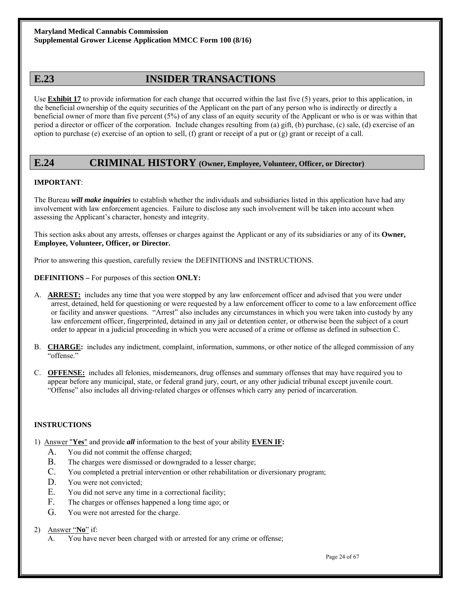## **E.23 INSIDER TRANSACTIONS**

Use **Exhibit 17** to provide information for each change that occurred within the last five (5) years, prior to this application, in the beneficial ownership of the equity securities of the Applicant on the part of any person who is indirectly or directly a beneficial owner of more than five percent (5%) of any class of an equity security of the Applicant or who is or was within that period a director or officer of the corporation. Include changes resulting from (a) gift, (b) purchase, (c) sale, (d) exercise of an option to purchase (e) exercise of an option to sell, (f) grant or receipt of a put or (g) grant or receipt of a call.

## **E.24 CRIMINAL HISTORY (Owner, Employee, Volunteer, Officer, or Director)**

### **IMPORTANT**:

The Bureau *will make inquiries* to establish whether the individuals and subsidiaries listed in this application have had any involvement with law enforcement agencies. Failure to disclose any such involvement will be taken into account when assessing the Applicant's character, honesty and integrity.

This section asks about any arrests, offenses or charges against the Applicant or any of its subsidiaries or any of its **Owner, Employee, Volunteer, Officer, or Director.**

Prior to answering this question, carefully review the DEFINITIONS and INSTRUCTIONS.

**DEFINITIONS –** For purposes of this section **ONLY:**

- A. **ARREST:** includes any time that you were stopped by any law enforcement officer and advised that you were under arrest, detained, held for questioning or were requested by a law enforcement officer to come to a law enforcement office or facility and answer questions. "Arrest" also includes any circumstances in which you were taken into custody by any law enforcement officer, fingerprinted, detained in any jail or detention center, or otherwise been the subject of a court order to appear in a judicial proceeding in which you were accused of a crime or offense as defined in subsection C.
- B. **CHARGE:** includes any indictment, complaint, information, summons, or other notice of the alleged commission of any "offense."
- C. **OFFENSE:** includes all felonies, misdemeanors, drug offenses and summary offenses that may have required you to appear before any municipal, state, or federal grand jury, court, or any other judicial tribunal except juvenile court. "Offense" also includes all driving-related charges or offenses which carry any period of incarceration.

### **INSTRUCTIONS**

- 1) Answer "**Yes**" and provide *all* information to the best of your ability **EVEN IF:**
	- A. You did not commit the offense charged;
	- B. The charges were dismissed or downgraded to a lesser charge;
	- C. You completed a pretrial intervention or other rehabilitation or diversionary program;
	- D. You were not convicted;
	- E. You did not serve any time in a correctional facility;
	- F. The charges or offenses happened a long time ago; or
	- G. You were not arrested for the charge.

#### 2) Answer "**No**" if:

A. You have never been charged with or arrested for any crime or offense;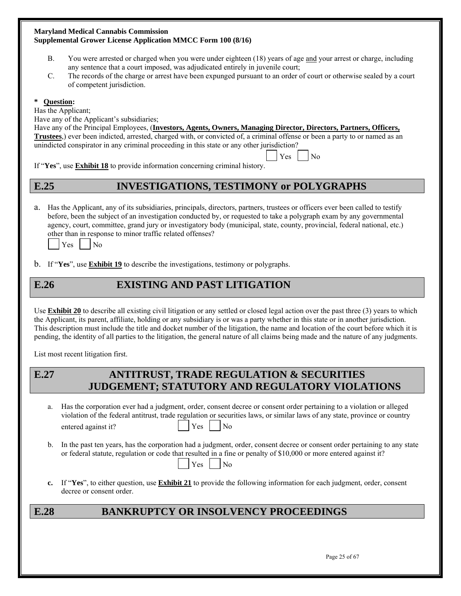- B. You were arrested or charged when you were under eighteen (18) years of age and your arrest or charge, including any sentence that a court imposed, was adjudicated entirely in juvenile court;
- C. The records of the charge or arrest have been expunged pursuant to an order of court or otherwise sealed by a court of competent jurisdiction.

### **\* Question:**

Has the Applicant;

Have any of the Applicant's subsidiaries;

Have any of the Principal Employees, (**Investors, Agents, Owners, Managing Director, Directors, Partners, Officers, Trustees**,) ever been indicted, arrested, charged with, or convicted of, a criminal offense or been a party to or named as an unindicted conspirator in any criminal proceeding in this state or any other jurisdiction?

 $\begin{array}{|c|c|c|c|c|c|c|c|} \hline \text{Yes} & \text{No} \end{array}$ If "**Yes**", use **Exhibit 18** to provide information concerning criminal history.

## **E.25 INVESTIGATIONS, TESTIMONY or POLYGRAPHS**

a. Has the Applicant, any of its subsidiaries, principals, directors, partners, trustees or officers ever been called to testify before, been the subject of an investigation conducted by, or requested to take a polygraph exam by any governmental agency, court, committee, grand jury or investigatory body (municipal, state, county, provincial, federal national, etc.) other than in response to minor traffic related offenses?



b. If "**Yes**", use **Exhibit 19** to describe the investigations, testimony or polygraphs.

## **E.26 EXISTING AND PAST LITIGATION**

Use **Exhibit 20** to describe all existing civil litigation or any settled or closed legal action over the past three (3) years to which the Applicant, its parent, affiliate, holding or any subsidiary is or was a party whether in this state or in another jurisdiction. This description must include the title and docket number of the litigation, the name and location of the court before which it is pending, the identity of all parties to the litigation, the general nature of all claims being made and the nature of any judgments.

List most recent litigation first.

## **E.27 ANTITRUST, TRADE REGULATION & SECURITIES JUDGEMENT; STATUTORY AND REGULATORY VIOLATIONS**

- a. Has the corporation ever had a judgment, order, consent decree or consent order pertaining to a violation or alleged violation of the federal antitrust, trade regulation or securities laws, or similar laws of any state, province or country entered against it?  $|\nabla$   $|N_0|$
- b. In the past ten years, has the corporation had a judgment, order, consent decree or consent order pertaining to any state or federal statute, regulation or code that resulted in a fine or penalty of \$10,000 or more entered against it?  $Y$ es  $N$ o
- **c.** If "**Yes**", to either question, use **Exhibit 21** to provide the following information for each judgment, order, consent decree or consent order.

## **E.28 BANKRUPTCY OR INSOLVENCY PROCEEDINGS**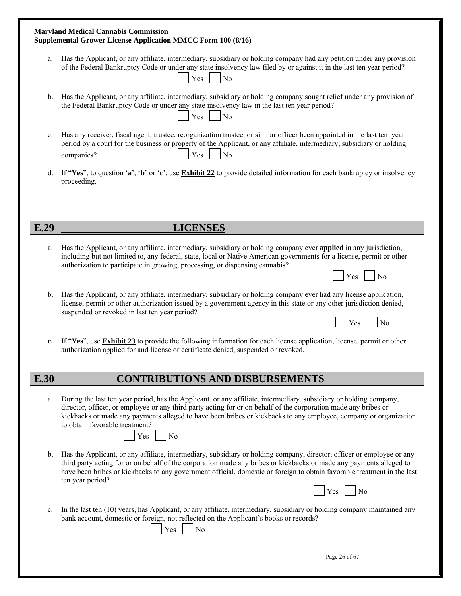|                | <b>Maryland Medical Cannabis Commission</b><br>Supplemental Grower License Application MMCC Form 100 (8/16)                                                                                                                                                                                                                                                                                                  |  |  |  |  |
|----------------|--------------------------------------------------------------------------------------------------------------------------------------------------------------------------------------------------------------------------------------------------------------------------------------------------------------------------------------------------------------------------------------------------------------|--|--|--|--|
| a.             | Has the Applicant, or any affiliate, intermediary, subsidiary or holding company had any petition under any provision<br>of the Federal Bankruptcy Code or under any state insolvency law filed by or against it in the last ten year period?<br>Yes<br>N <sub>o</sub>                                                                                                                                       |  |  |  |  |
| b.             | Has the Applicant, or any affiliate, intermediary, subsidiary or holding company sought relief under any provision of<br>the Federal Bankruptcy Code or under any state insolvency law in the last ten year period?<br>N <sub>0</sub><br>Yes                                                                                                                                                                 |  |  |  |  |
| $\mathbf{c}$ . | Has any receiver, fiscal agent, trustee, reorganization trustee, or similar officer been appointed in the last ten year<br>period by a court for the business or property of the Applicant, or any affiliate, intermediary, subsidiary or holding<br>Yes<br>N <sub>0</sub><br>companies?                                                                                                                     |  |  |  |  |
| d.             | If "Yes", to question 'a', 'b' or 'c', use Exhibit 22 to provide detailed information for each bankruptcy or insolvency<br>proceeding.                                                                                                                                                                                                                                                                       |  |  |  |  |
|                |                                                                                                                                                                                                                                                                                                                                                                                                              |  |  |  |  |
| E.29           | <b>LICENSES</b>                                                                                                                                                                                                                                                                                                                                                                                              |  |  |  |  |
| a.             | Has the Applicant, or any affiliate, intermediary, subsidiary or holding company ever applied in any jurisdiction,<br>including but not limited to, any federal, state, local or Native American governments for a license, permit or other<br>authorization to participate in growing, processing, or dispensing cannabis?                                                                                  |  |  |  |  |
|                | No<br>Yes                                                                                                                                                                                                                                                                                                                                                                                                    |  |  |  |  |
| b.             | Has the Applicant, or any affiliate, intermediary, subsidiary or holding company ever had any license application,<br>license, permit or other authorization issued by a government agency in this state or any other jurisdiction denied,<br>suspended or revoked in last ten year period?                                                                                                                  |  |  |  |  |
|                | Yes<br>N <sub>0</sub>                                                                                                                                                                                                                                                                                                                                                                                        |  |  |  |  |
| c.             | If "Yes", use Exhibit 23 to provide the following information for each license application, license, permit or other<br>authorization applied for and license or certificate denied, suspended or revoked.                                                                                                                                                                                                   |  |  |  |  |
| E.30           | <b>CONTRIBUTIONS AND DISBURSEMENTS</b>                                                                                                                                                                                                                                                                                                                                                                       |  |  |  |  |
| a.             | During the last ten year period, has the Applicant, or any affiliate, intermediary, subsidiary or holding company,<br>director, officer, or employee or any third party acting for or on behalf of the corporation made any bribes or<br>kickbacks or made any payments alleged to have been bribes or kickbacks to any employee, company or organization<br>to obtain favorable treatment?<br>$Yes \mid No$ |  |  |  |  |
| b.             | Has the Applicant, or any affiliate, intermediary, subsidiary or holding company, director, officer or employee or any<br>third party acting for or on behalf of the corporation made any bribes or kickbacks or made any payments alleged to<br>have been bribes or kickbacks to any government official, domestic or foreign to obtain favorable treatment in the last<br>ten year period?<br>No<br>Yes    |  |  |  |  |
| $\mathbf{c}$ . | In the last ten (10) years, has Applicant, or any affiliate, intermediary, subsidiary or holding company maintained any<br>bank account, domestic or foreign, not reflected on the Applicant's books or records?<br>Yes<br>No                                                                                                                                                                                |  |  |  |  |
|                | Page 26 of 67                                                                                                                                                                                                                                                                                                                                                                                                |  |  |  |  |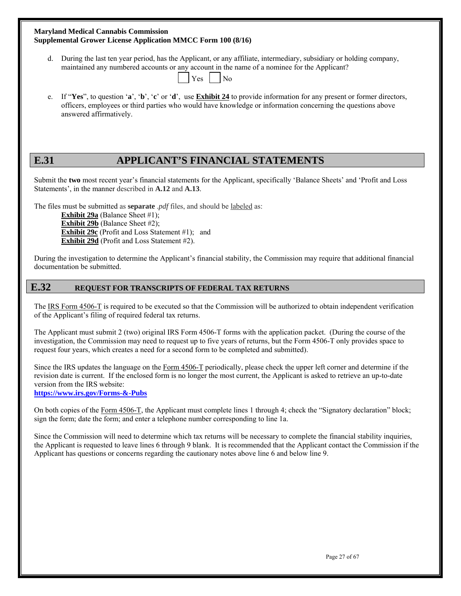| <b>Maryland Medical Cannabis Commission</b>                         |  |
|---------------------------------------------------------------------|--|
| <b>Supplemental Grower License Application MMCC Form 100 (8/16)</b> |  |

d. During the last ten year period, has the Applicant, or any affiliate, intermediary, subsidiary or holding company, maintained any numbered accounts or any account in the name of a nominee for the Applicant?

| $\vert$ $\vert$ Yes $\vert$ $\vert$ No |  |  |  |
|----------------------------------------|--|--|--|
|                                        |  |  |  |

 e. If "**Yes**", to question '**a**', '**b**', '**c**' or '**d**', use **Exhibit 24** to provide information for any present or former directors, officers, employees or third parties who would have knowledge or information concerning the questions above answered affirmatively.

## **E.31 APPLICANT'S FINANCIAL STATEMENTS**

Submit the **two** most recent year's financial statements for the Applicant, specifically 'Balance Sheets' and 'Profit and Loss Statements', in the manner described in **A.12** and **A.13**.

The files must be submitted as **separate** .*pdf* files, and should be labeled as:

**Exhibit 29a** (Balance Sheet #1); **Exhibit 29b** (Balance Sheet #2); **Exhibit 29c** (Profit and Loss Statement #1); and **Exhibit 29d** (Profit and Loss Statement #2).

During the investigation to determine the Applicant's financial stability, the Commission may require that additional financial documentation be submitted.

## **E.32 REQUEST FOR TRANSCRIPTS OF FEDERAL TAX RETURNS**

The IRS Form 4506-T is required to be executed so that the Commission will be authorized to obtain independent verification of the Applicant's filing of required federal tax returns.

The Applicant must submit 2 (two) original IRS Form 4506-T forms with the application packet. (During the course of the investigation, the Commission may need to request up to five years of returns, but the Form 4506-T only provides space to request four years, which creates a need for a second form to be completed and submitted).

Since the IRS updates the language on the Form 4506-T periodically, please check the upper left corner and determine if the revision date is current. If the enclosed form is no longer the most current, the Applicant is asked to retrieve an up-to-date version from the IRS website:

**https://www.irs.gov/Forms-&-Pubs**

On both copies of the Form 4506-T, the Applicant must complete lines 1 through 4; check the "Signatory declaration" block; sign the form; date the form; and enter a telephone number corresponding to line 1a.

Since the Commission will need to determine which tax returns will be necessary to complete the financial stability inquiries, the Applicant is requested to leave lines 6 through 9 blank. It is recommended that the Applicant contact the Commission if the Applicant has questions or concerns regarding the cautionary notes above line 6 and below line 9.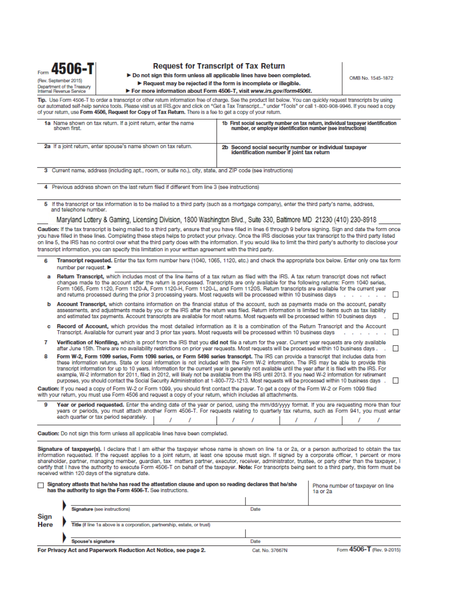

#### **Request for Transcript of Tax Return**

> Do not sign this form unless all applicable lines have been completed.

Request may be rejected if the form is incomplete or illegible.

OMB No. 1545-1872

For more information about Form 4506-T, visit www.irs.gov/form4506t.

Tip. Use Form 4506-T to order a transcript or other return information free of charge. See the product list below. You can quickly request transcripts by using our automated self-help service tools. Please visit us at IRS gov and click on "Get a Tax Transcript..." under "Tools" or call 1-800-908-9946. If you need a copy of your return, use Form 4506, Request for Copy of Tax Return. There is a fee to get a copy of your return.

| 1a Name shown on tax return. If a joint return, enter the name | 1b First social security number on tax return, individual taxpayer identification                    |
|----------------------------------------------------------------|------------------------------------------------------------------------------------------------------|
| shown first.                                                   | number, or employer identification number (see instructions)                                         |
| 2a If a joint return, enter spouse's name shown on tax return. | 2b Second social security number or individual taxpayer<br>identification number if joint tax return |

3 Current name, address (including apt., room, or suite no.), city, state, and ZIP code (see instructions)

4 Previous address shown on the last return filed if different from line 3 (see instructions)

5 If the transcript or tax information is to be mailed to a third party (such as a mortgage company), enter the third party's name, address, and telephone number.

#### Maryland Lottery & Gaming, Licensing Division, 1800 Washington Blvd., Suite 330, Baltimore MD 21230 (410) 230-8918

Caution: If the tax transcript is being mailed to a third party, ensure that you have filled in lines 6 through 9 before signing. Sign and date the form once you have filled in these lines. Completing these steps helps to protect your privacy. Once the IRS discloses your tax transcript to the third party listed on line 5, the IRS has no control over what the third party does with the information. If you would like to limit the third party's authority to disclose your transcript information, you can specify this limitation in your written agreement with the third party.

Transcript requested. Enter the tax form number here (1040, 1065, 1120, etc.) and check the appropriate box below. Enter only one tax form 6 number per request. ▶

|   | Return Transcript, which includes most of the line items of a tax return as filed with the IRS. A tax return transcript does not reflect<br>changes made to the account after the return is processed. Transcripts are only available for the following returns: Form 1040 series,<br>Form 1065, Form 1120, Form 1120-A, Form 1120-H, Form 1120-L, and Form 1120S. Return transcripts are available for the current year<br>and returns processed during the prior 3 processing years. Most requests will be processed within 10 business days represent asset of the represent and the processed within 10 business days represent asset of the represent                                                                                            |         |
|---|-------------------------------------------------------------------------------------------------------------------------------------------------------------------------------------------------------------------------------------------------------------------------------------------------------------------------------------------------------------------------------------------------------------------------------------------------------------------------------------------------------------------------------------------------------------------------------------------------------------------------------------------------------------------------------------------------------------------------------------------------------|---------|
| ь | Account Transcript, which contains information on the financial status of the account, such as payments made on the account, penalty<br>assessments, and adjustments made by you or the IRS after the return was filed. Return information is limited to items such as tax liability<br>and estimated tax payments. Account transcripts are available for most returns. Most requests will be processed within 10 business days                                                                                                                                                                                                                                                                                                                       | $\perp$ |
| c | <b>Record of Account,</b> which provides the most detailed information as it is a combination of the Return Transcript and the Account<br>Transcript. Available for current year and 3 prior tax years. Most requests will be processed within 10 business days                                                                                                                                                                                                                                                                                                                                                                                                                                                                                       | $\Box$  |
|   | Verification of Nonfiling, which is proof from the IRS that you did not file a return for the year. Current year requests are only available<br>after June 15th. There are no availability restrictions on prior year requests. Most requests will be processed within 10 business days. .                                                                                                                                                                                                                                                                                                                                                                                                                                                            | $\Box$  |
| 8 | Form W-2, Form 1099 series, Form 1098 series, or Form 5498 series transcript. The IRS can provide a transcript that includes data from<br>these information returns. State or local information is not included with the Form W-2 information. The IRS may be able to provide this<br>transcript information for up to 10 years. Information for the current year is generally not available until the year after it is filed with the IRS. For<br>example, W-2 information for 2011, filed in 2012, will likely not be available from the IRS until 2013. If you need W-2 information for retirement<br>purposes, you should contact the Social Security Administration at 1-800-772-1213. Most requests will be processed within 10 business days . |         |
|   | Caution: If you need a copy of Form W-2 or Form 1099, you should first contact the payer. To get a copy of the Form W-2 or Form 1099 filed<br>with your return, you must use Form 4506 and request a copy of your return, which includes all attachments.                                                                                                                                                                                                                                                                                                                                                                                                                                                                                             |         |
| Q | Year or period requested. Enter the ending date of the year or period, using the mm/dd/yyyy format. If you are requesting more than fou<br>years or periods, you must attach another Form 4506-T. For requests relating to quarterly tax returns, such as Form 941, you must enter<br>each quarter or tax period separately.                                                                                                                                                                                                                                                                                                                                                                                                                          |         |
|   | Caution: Do not sign this form unless all applicable lines have been completed.                                                                                                                                                                                                                                                                                                                                                                                                                                                                                                                                                                                                                                                                       |         |

Signature of taxpayer(s). I declare that I am either the taxpayer whose name is shown on line 1a or 2a, or a person authorized to obtain the tax information requested. If the request applies to a joint return, at least one spouse must sign. If signed by a corporate officer, 1 percent or more shareholder, partner, managing member, quardian, tax matters partner, executor, receiver, administrator, trustee, or party other than the taxpayer, I certify that I have the authority to execute Form 4506-T on behalf of the taxpayer. Note: For transcripts being sent to a third party, this form must be received within 120 days of the signature date.

|      | □ Signatory attests that he/she has read the attestation clause and upon so reading declares that he/she<br>has the authority to sign the Form 4506-T. See instructions. |                     | Phone number of taxpayer on line<br>1a or 2a |
|------|--------------------------------------------------------------------------------------------------------------------------------------------------------------------------|---------------------|----------------------------------------------|
|      |                                                                                                                                                                          |                     |                                              |
|      | Signature (see instructions)                                                                                                                                             | Date                |                                              |
| Sign |                                                                                                                                                                          |                     |                                              |
| Here | Title (if line 1a above is a corporation, partnership, estate, or trust)                                                                                                 |                     |                                              |
|      |                                                                                                                                                                          |                     |                                              |
|      | Spouse's signature                                                                                                                                                       | Date                |                                              |
|      | Ear Driveau Act and Department Deduction Act Nation, and none 0.                                                                                                         | $P = 1$ M. $07007M$ | $Ecom$ $A506.$ T $Bov$ a 2015                |

For Privacy Act and Paperwork Reduction Act Notice, see page 2.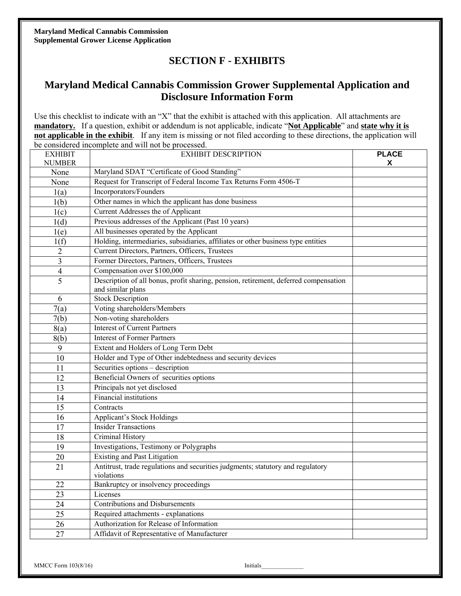**Maryland Medical Cannabis Commission Supplemental Grower License Application** 

## **SECTION F - EXHIBITS**

## **Maryland Medical Cannabis Commission Grower Supplemental Application and Disclosure Information Form**

Use this checklist to indicate with an "X" that the exhibit is attached with this application. All attachments are **mandatory.** If a question, exhibit or addendum is not applicable, indicate "**Not Applicable**" and **state why it is not applicable in the exhibit**. If any item is missing or not filed according to these directions, the application will be considered incomplete and will not be processed.

| <b>EXHIBIT</b>  | <b>EXHIBIT DESCRIPTION</b>                                                                                | <b>PLACE</b> |
|-----------------|-----------------------------------------------------------------------------------------------------------|--------------|
| <b>NUMBER</b>   |                                                                                                           | X            |
| None            | Maryland SDAT "Certificate of Good Standing"                                                              |              |
| None            | Request for Transcript of Federal Income Tax Returns Form 4506-T                                          |              |
| 1(a)            | Incorporators/Founders                                                                                    |              |
| 1(b)            | Other names in which the applicant has done business                                                      |              |
| 1(c)            | Current Addresses the of Applicant                                                                        |              |
| 1(d)            | Previous addresses of the Applicant (Past 10 years)                                                       |              |
| 1(e)            | All businesses operated by the Applicant                                                                  |              |
| 1(f)            | Holding, intermediaries, subsidiaries, affiliates or other business type entities                         |              |
| $\overline{2}$  | Current Directors, Partners, Officers, Trustees                                                           |              |
| 3               | Former Directors, Partners, Officers, Trustees                                                            |              |
| $\overline{4}$  | Compensation over \$100,000                                                                               |              |
| 5               | Description of all bonus, profit sharing, pension, retirement, deferred compensation<br>and similar plans |              |
| 6               | <b>Stock Description</b>                                                                                  |              |
| 7(a)            | Voting shareholders/Members                                                                               |              |
| 7(b)            | Non-voting shareholders                                                                                   |              |
| 8(a)            | <b>Interest of Current Partners</b>                                                                       |              |
| 8(b)            | <b>Interest of Former Partners</b>                                                                        |              |
| 9               | Extent and Holders of Long Term Debt                                                                      |              |
| 10              | Holder and Type of Other indebtedness and security devices                                                |              |
| 11              | Securities options - description                                                                          |              |
| 12              | Beneficial Owners of securities options                                                                   |              |
| 13              | Principals not yet disclosed                                                                              |              |
| 14              | <b>Financial institutions</b>                                                                             |              |
| 15              | Contracts                                                                                                 |              |
| $\overline{16}$ | <b>Applicant's Stock Holdings</b>                                                                         |              |
| $\overline{17}$ | <b>Insider Transactions</b>                                                                               |              |
| 18              | Criminal History                                                                                          |              |
| 19              | Investigations, Testimony or Polygraphs                                                                   |              |
| 20              | <b>Existing and Past Litigation</b>                                                                       |              |
| 21              | Antitrust, trade regulations and securities judgments; statutory and regulatory<br>violations             |              |
| 22              | Bankruptcy or insolvency proceedings                                                                      |              |
| $\overline{23}$ | Licenses                                                                                                  |              |
| $\overline{24}$ | <b>Contributions and Disbursements</b>                                                                    |              |
| 25              | Required attachments - explanations                                                                       |              |
| 26              | Authorization for Release of Information                                                                  |              |
| 27              | Affidavit of Representative of Manufacturer                                                               |              |
|                 |                                                                                                           |              |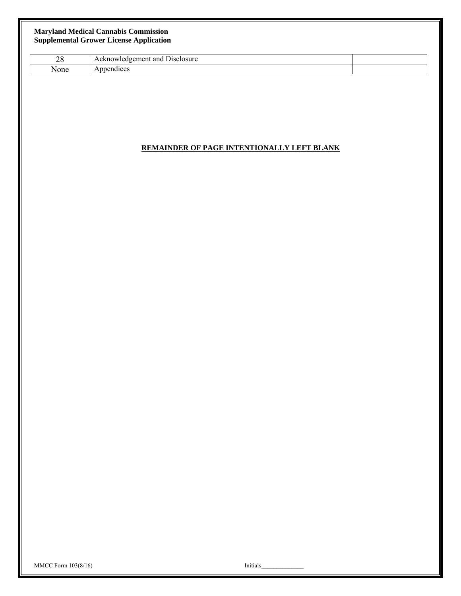#### **Maryland Medical Cannabis Commission Supplemental Grower License Application**

| ററ<br>20 | and<br>Disclosure<br>edgement<br>$\Delta E$<br>Teg.<br>ACKIIO |  |
|----------|---------------------------------------------------------------|--|
| None     | idices<br>эŧ<br>.                                             |  |

### **REMAINDER OF PAGE INTENTIONALLY LEFT BLANK**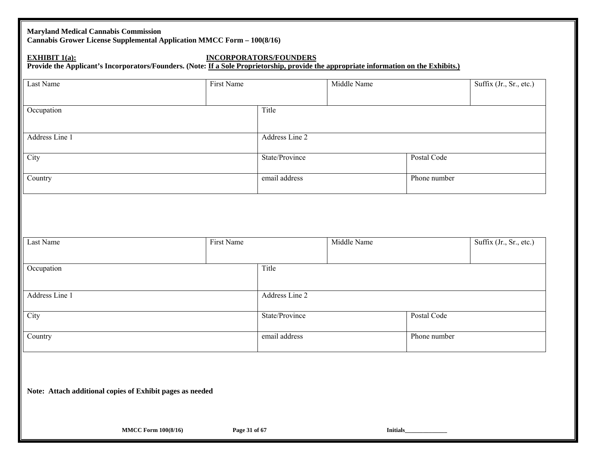### **Maryland Medical Cannabis Commission**

**Cannabis Grower License Supplemental Application MMCC Form – 100(8/16)** 

## **EXHIBIT 1(a): INCORPORATORS/FOUNDERS**

Provide the Applicant's Incorporators/Founders. (Note: If a Sole Proprietorship, provide the appropriate information on the Exhibits.)

| Last Name                                                 | First Name |                | Middle Name |              | Suffix (Jr., Sr., etc.) |
|-----------------------------------------------------------|------------|----------------|-------------|--------------|-------------------------|
| Occupation                                                |            | Title          |             |              |                         |
| Address Line 1                                            |            | Address Line 2 |             |              |                         |
| City                                                      |            | State/Province |             | Postal Code  |                         |
| Country                                                   |            | email address  |             | Phone number |                         |
|                                                           |            |                |             |              |                         |
|                                                           |            |                |             |              |                         |
| Last Name                                                 | First Name |                | Middle Name |              | Suffix (Jr., Sr., etc.) |
| Occupation                                                |            | Title          |             |              |                         |
| Address Line 1                                            |            | Address Line 2 |             |              |                         |
| City                                                      |            | State/Province |             | Postal Code  |                         |
| Country                                                   |            | email address  |             | Phone number |                         |
|                                                           |            |                |             |              |                         |
|                                                           |            |                |             |              |                         |
| Note: Attach additional copies of Exhibit pages as needed |            |                |             |              |                         |

**MMCC Form 100(8/16)** Page 31 of 67 **Initials**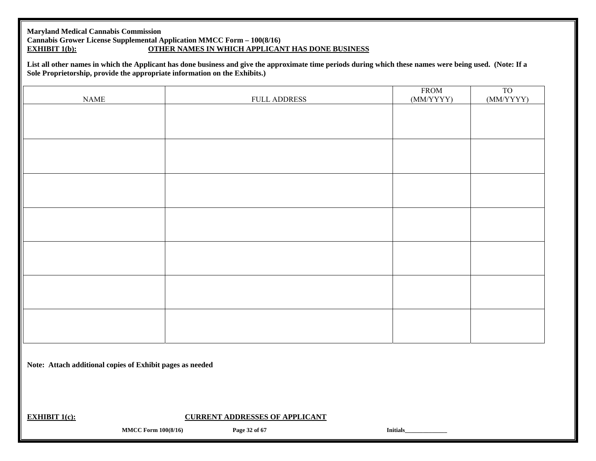### **Maryland Medical Cannabis Commission Cannabis Grower License Supplemental Application MMCC Form – 100(8/16)<br>EXHIBIT 1(b): OTHER NAMES IN WHICH APPLICAN EXHIBIT 10 OTHER NAMES IN WHICH APPLICANT HAS DONE BUSINESS**

**List all other names in which the Applicant has done business and give the approximate time periods during which these names were being used. (Note: If a Sole Proprietorship, provide the appropriate information on the Exhibits.)** 

| NAME | FULL ADDRESS | FROM<br>(MM/YYYY) | T <sub>O</sub><br>(MM/YYYY) |
|------|--------------|-------------------|-----------------------------|
|      |              |                   |                             |
|      |              |                   |                             |
|      |              |                   |                             |
|      |              |                   |                             |
|      |              |                   |                             |
|      |              |                   |                             |
|      |              |                   |                             |
|      |              |                   |                             |
|      |              |                   |                             |
|      |              |                   |                             |
|      |              |                   |                             |
|      |              |                   |                             |
|      |              |                   |                             |
|      |              |                   |                             |

**Note: Attach additional copies of Exhibit pages as needed**

**EXHIBIT 1(c): CURRENT ADDRESSES OF APPLICANT** 

**MMCC Form 100(8/16)** Page 32 of 67 **Initials**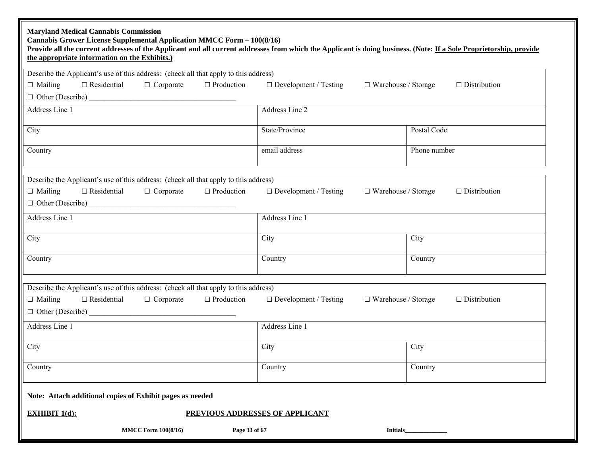| <b>Maryland Medical Cannabis Commission</b><br>Cannabis Grower License Supplemental Application MMCC Form - 100(8/16)<br>Provide all the current addresses of the Applicant and all current addresses from which the Applicant is doing business. (Note: If a Sole Proprietorship, provide<br>the appropriate information on the Exhibits.) |                                                            |                     |
|---------------------------------------------------------------------------------------------------------------------------------------------------------------------------------------------------------------------------------------------------------------------------------------------------------------------------------------------|------------------------------------------------------------|---------------------|
| Describe the Applicant's use of this address: (check all that apply to this address)                                                                                                                                                                                                                                                        |                                                            |                     |
| $\Box$ Corporate<br>$\Box$ Production<br>$\Box$ Mailing<br>$\Box$ Residential                                                                                                                                                                                                                                                               | $\Box$ Development / Testing<br>$\Box$ Warehouse / Storage | $\Box$ Distribution |
|                                                                                                                                                                                                                                                                                                                                             |                                                            |                     |
| Address Line 1                                                                                                                                                                                                                                                                                                                              | Address Line 2                                             |                     |
| City                                                                                                                                                                                                                                                                                                                                        | State/Province                                             | Postal Code         |
| Country                                                                                                                                                                                                                                                                                                                                     | email address                                              | Phone number        |
| Describe the Applicant's use of this address: (check all that apply to this address)                                                                                                                                                                                                                                                        |                                                            |                     |
| $\Box$ Mailing<br>$\Box$ Residential<br>$\Box$ Corporate<br>$\Box$ Production                                                                                                                                                                                                                                                               | $\Box$ Development / Testing<br>$\Box$ Warehouse / Storage | $\Box$ Distribution |
| $\Box$ Other (Describe) $\Box$                                                                                                                                                                                                                                                                                                              |                                                            |                     |
| Address Line 1                                                                                                                                                                                                                                                                                                                              | Address Line 1                                             |                     |
| City                                                                                                                                                                                                                                                                                                                                        | City                                                       | City                |
| Country                                                                                                                                                                                                                                                                                                                                     | Country                                                    | Country             |
| Describe the Applicant's use of this address: (check all that apply to this address)                                                                                                                                                                                                                                                        |                                                            |                     |
| $\Box$ Mailing<br>$\Box$ Residential<br>$\Box$ Corporate<br>$\Box$ Production                                                                                                                                                                                                                                                               | $\Box$ Development / Testing<br>$\Box$ Warehouse / Storage | $\Box$ Distribution |
|                                                                                                                                                                                                                                                                                                                                             |                                                            |                     |
| Address Line 1                                                                                                                                                                                                                                                                                                                              | Address Line 1                                             |                     |
| City                                                                                                                                                                                                                                                                                                                                        | City                                                       | City                |
| Country                                                                                                                                                                                                                                                                                                                                     | Country                                                    | Country             |
| Note: Attach additional copies of Exhibit pages as needed                                                                                                                                                                                                                                                                                   |                                                            |                     |
| <b>EXHIBIT <math>1(d)</math>:</b>                                                                                                                                                                                                                                                                                                           | PREVIOUS ADDRESSES OF APPLICANT                            |                     |
| <b>MMCC Form 100(8/16)</b><br>Page 33 of 67                                                                                                                                                                                                                                                                                                 | <b>Initials</b>                                            |                     |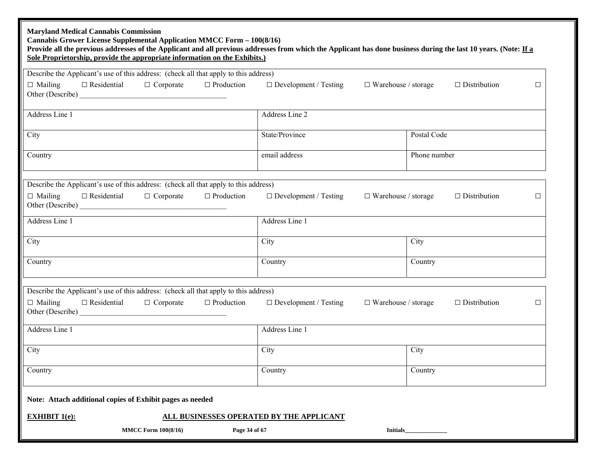| <b>Maryland Medical Cannabis Commission</b><br>Cannabis Grower License Supplemental Application MMCC Form - 100(8/16)<br>Provide all the previous addresses of the Applicant and all previous addresses from which the Applicant has done business during the last 10 years. (Note: If a<br>Sole Proprietorship, provide the appropriate information on the Exhibits.) |                                                            |                               |
|------------------------------------------------------------------------------------------------------------------------------------------------------------------------------------------------------------------------------------------------------------------------------------------------------------------------------------------------------------------------|------------------------------------------------------------|-------------------------------|
| Describe the Applicant's use of this address: (check all that apply to this address)                                                                                                                                                                                                                                                                                   |                                                            |                               |
| $\Box$ Production<br>$\Box$ Mailing<br>$\Box$ Residential<br>$\Box$ Corporate                                                                                                                                                                                                                                                                                          | $\Box$ Development / Testing<br>$\Box$ Warehouse / storage | $\Box$ Distribution<br>$\Box$ |
| Address Line 1                                                                                                                                                                                                                                                                                                                                                         | Address Line 2                                             |                               |
| City                                                                                                                                                                                                                                                                                                                                                                   | State/Province                                             | Postal Code                   |
| Country                                                                                                                                                                                                                                                                                                                                                                | email address                                              | Phone number                  |
| Describe the Applicant's use of this address: (check all that apply to this address)                                                                                                                                                                                                                                                                                   |                                                            |                               |
| $\Box$ Residential<br>$\Box$ Production<br>$\Box$ Mailing<br>$\Box$ Corporate                                                                                                                                                                                                                                                                                          | $\Box$ Development / Testing<br>$\Box$ Warehouse / storage | $\Box$ Distribution<br>$\Box$ |
| Address Line 1                                                                                                                                                                                                                                                                                                                                                         | Address Line 1                                             |                               |
| City                                                                                                                                                                                                                                                                                                                                                                   | City                                                       | City                          |
| Country                                                                                                                                                                                                                                                                                                                                                                | Country                                                    | Country                       |
| Describe the Applicant's use of this address: (check all that apply to this address)                                                                                                                                                                                                                                                                                   |                                                            |                               |
| $\Box$ Production<br>$\Box$ Mailing<br>$\Box$ Residential<br>$\Box$ Corporate                                                                                                                                                                                                                                                                                          | $\Box$ Development / Testing<br>$\Box$ Warehouse / storage | $\Box$ Distribution<br>$\Box$ |
| Address Line 1                                                                                                                                                                                                                                                                                                                                                         | Address Line 1                                             |                               |
| City                                                                                                                                                                                                                                                                                                                                                                   | City                                                       | City                          |
| Country                                                                                                                                                                                                                                                                                                                                                                | Country                                                    | Country                       |
| Note: Attach additional copies of Exhibit pages as needed                                                                                                                                                                                                                                                                                                              |                                                            |                               |
| <b>EXHIBIT <math>1(e)</math>:</b>                                                                                                                                                                                                                                                                                                                                      | ALL BUSINESSES OPERATED BY THE APPLICANT                   |                               |
| <b>MMCC Form 100(8/16)</b><br>Page 34 of 67                                                                                                                                                                                                                                                                                                                            | Initials                                                   |                               |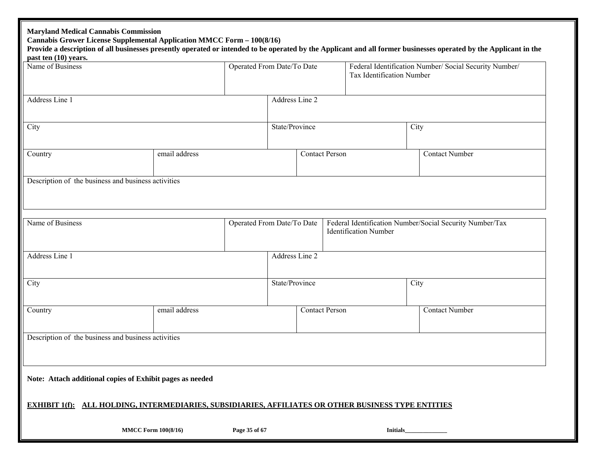| <b>Maryland Medical Cannabis Commission</b><br>Cannabis Grower License Supplemental Application MMCC Form - 100(8/16)<br>past ten (10) years. |                            |               |                            |                           |                              | Provide a description of all businesses presently operated or intended to be operated by the Applicant and all former businesses operated by the Applicant in the |
|-----------------------------------------------------------------------------------------------------------------------------------------------|----------------------------|---------------|----------------------------|---------------------------|------------------------------|-------------------------------------------------------------------------------------------------------------------------------------------------------------------|
| Name of Business                                                                                                                              |                            |               | Operated From Date/To Date | Tax Identification Number |                              | Federal Identification Number/ Social Security Number/                                                                                                            |
| Address Line 1                                                                                                                                |                            |               | Address Line 2             |                           |                              |                                                                                                                                                                   |
| City                                                                                                                                          |                            |               | State/Province             |                           |                              | City                                                                                                                                                              |
| Country                                                                                                                                       | email address              |               | <b>Contact Person</b>      |                           |                              | <b>Contact Number</b>                                                                                                                                             |
| Description of the business and business activities                                                                                           |                            |               |                            |                           |                              |                                                                                                                                                                   |
| Name of Business                                                                                                                              |                            |               | Operated From Date/To Date |                           | <b>Identification Number</b> | Federal Identification Number/Social Security Number/Tax                                                                                                          |
| Address Line 1                                                                                                                                |                            |               | Address Line 2             |                           |                              |                                                                                                                                                                   |
| City                                                                                                                                          |                            |               | State/Province             |                           |                              | City                                                                                                                                                              |
| Country                                                                                                                                       | email address              |               | <b>Contact Person</b>      |                           |                              | <b>Contact Number</b>                                                                                                                                             |
| Description of the business and business activities                                                                                           |                            |               |                            |                           |                              |                                                                                                                                                                   |
| Note: Attach additional copies of Exhibit pages as needed                                                                                     |                            |               |                            |                           |                              |                                                                                                                                                                   |
| <b>EXHIBIT 1(f): ALL HOLDING, INTERMEDIARIES, SUBSIDIARIES, AFFILIATES OR OTHER BUSINESS TYPE ENTITIES</b>                                    |                            |               |                            |                           |                              |                                                                                                                                                                   |
|                                                                                                                                               | <b>MMCC Form 100(8/16)</b> | Page 35 of 67 |                            |                           | <b>Initials</b>              |                                                                                                                                                                   |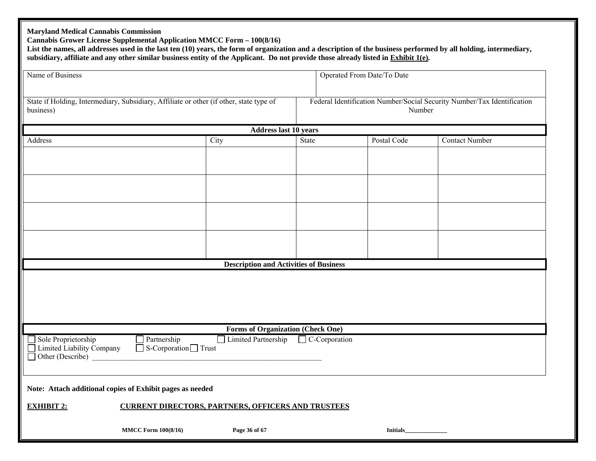| <b>Maryland Medical Cannabis Commission</b><br>Cannabis Grower License Supplemental Application MMCC Form - 100(8/16) |                                      | subsidiary, affiliate and any other similar business entity of the Applicant. Do not provide those already listed in Exhibit 1(e). |                         |                            | List the names, all addresses used in the last ten (10) years, the form of organization and a description of the business performed by all holding, intermediary, |
|-----------------------------------------------------------------------------------------------------------------------|--------------------------------------|------------------------------------------------------------------------------------------------------------------------------------|-------------------------|----------------------------|-------------------------------------------------------------------------------------------------------------------------------------------------------------------|
| Name of Business                                                                                                      |                                      |                                                                                                                                    |                         | Operated From Date/To Date |                                                                                                                                                                   |
|                                                                                                                       |                                      |                                                                                                                                    |                         |                            |                                                                                                                                                                   |
| State if Holding, Intermediary, Subsidiary, Affiliate or other (if other, state type of<br>business)                  |                                      |                                                                                                                                    |                         | Number                     | Federal Identification Number/Social Security Number/Tax Identification                                                                                           |
|                                                                                                                       |                                      | <b>Address last 10 years</b>                                                                                                       |                         |                            |                                                                                                                                                                   |
| Address                                                                                                               |                                      | City                                                                                                                               | <b>State</b>            | Postal Code                | <b>Contact Number</b>                                                                                                                                             |
|                                                                                                                       |                                      |                                                                                                                                    |                         |                            |                                                                                                                                                                   |
|                                                                                                                       |                                      |                                                                                                                                    |                         |                            |                                                                                                                                                                   |
|                                                                                                                       |                                      |                                                                                                                                    |                         |                            |                                                                                                                                                                   |
|                                                                                                                       |                                      |                                                                                                                                    |                         |                            |                                                                                                                                                                   |
|                                                                                                                       |                                      | <b>Description and Activities of Business</b>                                                                                      |                         |                            |                                                                                                                                                                   |
|                                                                                                                       |                                      |                                                                                                                                    |                         |                            |                                                                                                                                                                   |
|                                                                                                                       |                                      | <b>Forms of Organization (Check One)</b>                                                                                           |                         |                            |                                                                                                                                                                   |
| Sole Proprietorship<br>Limited Liability Company<br>Other (Describe)                                                  | Partnership<br>$S-Corporation$ Trust | Limited Partnership                                                                                                                | $\exists$ C-Corporation |                            |                                                                                                                                                                   |
| Note: Attach additional copies of Exhibit pages as needed                                                             |                                      |                                                                                                                                    |                         |                            |                                                                                                                                                                   |
| <b>EXHIBIT 2:</b>                                                                                                     |                                      | <b>CURRENT DIRECTORS, PARTNERS, OFFICERS AND TRUSTEES</b>                                                                          |                         |                            |                                                                                                                                                                   |
|                                                                                                                       | <b>MMCC Form 100(8/16)</b>           | Page 36 of 67                                                                                                                      |                         | <b>Initials</b>            |                                                                                                                                                                   |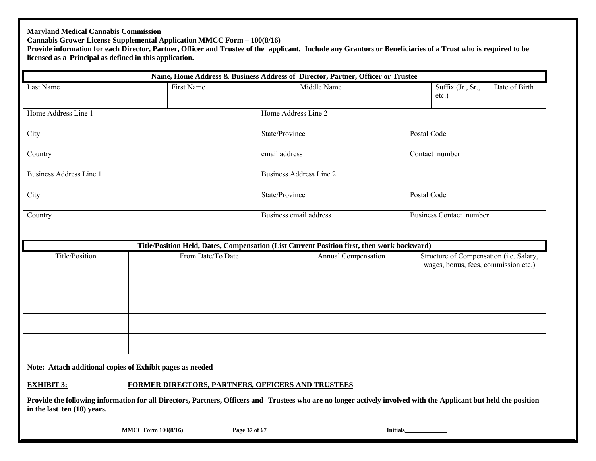#### **Maryland Medical Cannabis Commission**

**Cannabis Grower License Supplemental Application MMCC Form – 100(8/16)** 

Provide information for each Director, Partner, Officer and Trustee of the applicant. Include any Grantors or Beneficiaries of a Trust who is required to be **licensed as a Principal as defined in this application.** 

|                                |                   |                | Name, Home Address & Business Address of Director, Partner, Officer or Trustee             |             |                                                                                 |               |
|--------------------------------|-------------------|----------------|--------------------------------------------------------------------------------------------|-------------|---------------------------------------------------------------------------------|---------------|
| Last Name                      | First Name        | Middle Name    |                                                                                            |             | Suffix (Jr., Sr.,<br>$etc.$ )                                                   | Date of Birth |
| Home Address Line 1            |                   |                | Home Address Line 2                                                                        |             |                                                                                 |               |
| City                           |                   | State/Province |                                                                                            | Postal Code |                                                                                 |               |
| Country                        |                   |                | email address                                                                              |             | Contact number                                                                  |               |
| <b>Business Address Line 1</b> |                   |                | Business Address Line 2                                                                    |             |                                                                                 |               |
| City                           |                   | State/Province |                                                                                            | Postal Code |                                                                                 |               |
| Country                        |                   |                | Business email address                                                                     |             | <b>Business Contact number</b>                                                  |               |
|                                |                   |                |                                                                                            |             |                                                                                 |               |
|                                |                   |                | Title/Position Held, Dates, Compensation (List Current Position first, then work backward) |             |                                                                                 |               |
| Title/Position                 | From Date/To Date |                | Annual Compensation                                                                        |             | Structure of Compensation (i.e. Salary,<br>wages, bonus, fees, commission etc.) |               |
|                                |                   |                |                                                                                            |             |                                                                                 |               |
|                                |                   |                |                                                                                            |             |                                                                                 |               |
|                                |                   |                |                                                                                            |             |                                                                                 |               |
|                                |                   |                |                                                                                            |             |                                                                                 |               |

**Note: Attach additional copies of Exhibit pages as needed**

#### **EXHIBIT 3:FORMER DIRECTORS, PARTNERS, OFFICERS AND TRUSTEES**

**Provide the following information for all Directors, Partners, Officers and Trustees who are no longer actively involved with the Applicant but held the position in the last ten (10) years.** 

**MMCC Form 100(8/16)** Page 37 of 67 **Initials**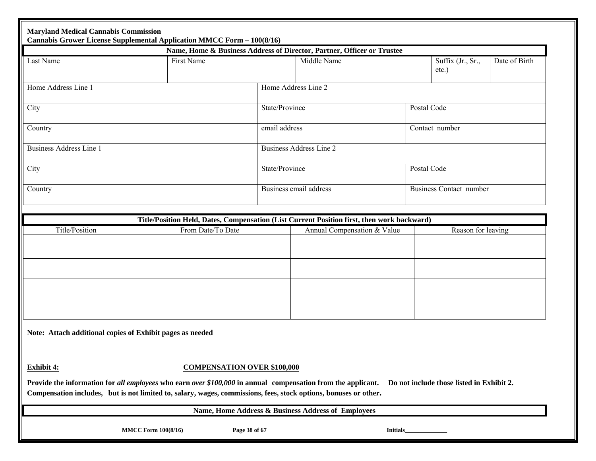|                                                                                                                                                                                                                                  | Cannabis Grower License Supplemental Application MMCC Form - 100(8/16) |                                    | Name, Home & Business Address of Director, Partner, Officer or Trustee                                                    |  |                                           |               |
|----------------------------------------------------------------------------------------------------------------------------------------------------------------------------------------------------------------------------------|------------------------------------------------------------------------|------------------------------------|---------------------------------------------------------------------------------------------------------------------------|--|-------------------------------------------|---------------|
| Last Name                                                                                                                                                                                                                        | First Name                                                             |                                    | Middle Name                                                                                                               |  | Suffix (Jr., Sr.,<br>$etc.$ )             | Date of Birth |
| Home Address Line 1                                                                                                                                                                                                              |                                                                        |                                    | Home Address Line 2                                                                                                       |  |                                           |               |
| City                                                                                                                                                                                                                             |                                                                        | State/Province                     |                                                                                                                           |  | Postal Code                               |               |
| Country                                                                                                                                                                                                                          |                                                                        | email address                      |                                                                                                                           |  | Contact number                            |               |
| Business Address Line 1                                                                                                                                                                                                          |                                                                        |                                    | <b>Business Address Line 2</b>                                                                                            |  |                                           |               |
| City                                                                                                                                                                                                                             |                                                                        | State/Province                     |                                                                                                                           |  | Postal Code                               |               |
| Country                                                                                                                                                                                                                          |                                                                        |                                    | Business email address                                                                                                    |  | <b>Business Contact number</b>            |               |
|                                                                                                                                                                                                                                  |                                                                        |                                    |                                                                                                                           |  |                                           |               |
| Title/Position                                                                                                                                                                                                                   | From Date/To Date                                                      |                                    | Title/Position Held, Dates, Compensation (List Current Position first, then work backward)<br>Annual Compensation & Value |  | Reason for leaving                        |               |
|                                                                                                                                                                                                                                  |                                                                        |                                    |                                                                                                                           |  |                                           |               |
| Note: Attach additional copies of Exhibit pages as needed                                                                                                                                                                        |                                                                        |                                    |                                                                                                                           |  |                                           |               |
| Exhibit 4:                                                                                                                                                                                                                       |                                                                        | <b>COMPENSATION OVER \$100,000</b> |                                                                                                                           |  |                                           |               |
| Provide the information for all employees who earn over \$100,000 in annual compensation from the applicant.<br>Compensation includes, but is not limited to, salary, wages, commissions, fees, stock options, bonuses or other. |                                                                        |                                    |                                                                                                                           |  | Do not include those listed in Exhibit 2. |               |
|                                                                                                                                                                                                                                  |                                                                        |                                    | Name, Home Address & Business Address of Employees                                                                        |  |                                           |               |
|                                                                                                                                                                                                                                  |                                                                        |                                    |                                                                                                                           |  |                                           |               |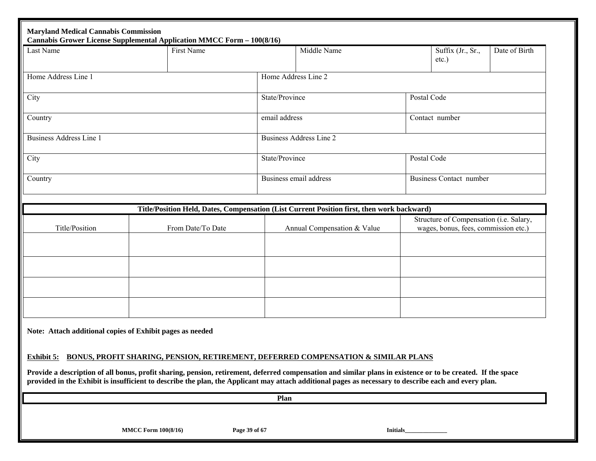| Last Name               | Cannabis Grower License Supplemental Application MMCC Form - 100(8/16)<br>First Name |                | Middle Name                                                                                                                                                                                                                                                                                                           |             | Suffix (Jr., Sr.,                                                               | Date of Birth |
|-------------------------|--------------------------------------------------------------------------------------|----------------|-----------------------------------------------------------------------------------------------------------------------------------------------------------------------------------------------------------------------------------------------------------------------------------------------------------------------|-------------|---------------------------------------------------------------------------------|---------------|
|                         |                                                                                      |                |                                                                                                                                                                                                                                                                                                                       |             | $etc.$ )                                                                        |               |
| Home Address Line 1     |                                                                                      |                | Home Address Line 2                                                                                                                                                                                                                                                                                                   |             |                                                                                 |               |
| City                    |                                                                                      |                | State/Province                                                                                                                                                                                                                                                                                                        |             | Postal Code                                                                     |               |
| Country                 |                                                                                      | email address  |                                                                                                                                                                                                                                                                                                                       |             | Contact number                                                                  |               |
| Business Address Line 1 |                                                                                      |                | <b>Business Address Line 2</b>                                                                                                                                                                                                                                                                                        |             |                                                                                 |               |
| City                    |                                                                                      | State/Province |                                                                                                                                                                                                                                                                                                                       | Postal Code |                                                                                 |               |
| Country                 |                                                                                      |                | Business email address                                                                                                                                                                                                                                                                                                |             | <b>Business Contact number</b>                                                  |               |
|                         |                                                                                      |                | Title/Position Held, Dates, Compensation (List Current Position first, then work backward)                                                                                                                                                                                                                            |             |                                                                                 |               |
| Title/Position          | From Date/To Date                                                                    |                | Annual Compensation & Value                                                                                                                                                                                                                                                                                           |             | Structure of Compensation (i.e. Salary,<br>wages, bonus, fees, commission etc.) |               |
|                         |                                                                                      |                |                                                                                                                                                                                                                                                                                                                       |             |                                                                                 |               |
|                         |                                                                                      |                |                                                                                                                                                                                                                                                                                                                       |             |                                                                                 |               |
|                         |                                                                                      |                |                                                                                                                                                                                                                                                                                                                       |             |                                                                                 |               |
|                         |                                                                                      |                |                                                                                                                                                                                                                                                                                                                       |             |                                                                                 |               |
|                         | Note: Attach additional copies of Exhibit pages as needed                            |                |                                                                                                                                                                                                                                                                                                                       |             |                                                                                 |               |
|                         |                                                                                      |                | Exhibit 5: BONUS, PROFIT SHARING, PENSION, RETIREMENT, DEFERRED COMPENSATION & SIMILAR PLANS                                                                                                                                                                                                                          |             |                                                                                 |               |
|                         |                                                                                      |                | Provide a description of all bonus, profit sharing, pension, retirement, deferred compensation and similar plans in existence or to be created. If the space<br>provided in the Exhibit is insufficient to describe the plan, the Applicant may attach additional pages as necessary to describe each and every plan. |             |                                                                                 |               |
|                         |                                                                                      |                |                                                                                                                                                                                                                                                                                                                       |             |                                                                                 |               |
|                         |                                                                                      | Plan           |                                                                                                                                                                                                                                                                                                                       |             |                                                                                 |               |
|                         |                                                                                      |                |                                                                                                                                                                                                                                                                                                                       |             |                                                                                 |               |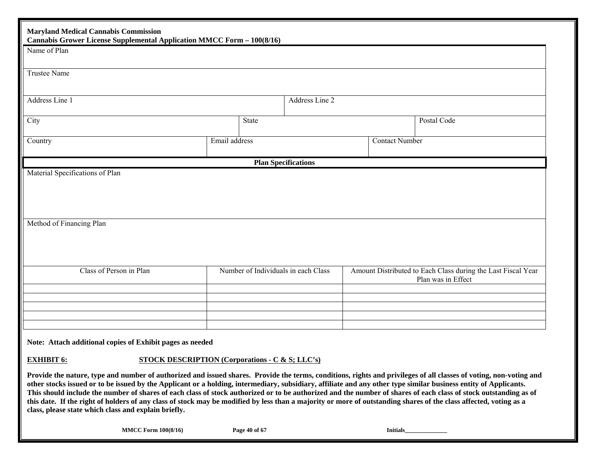| <b>Maryland Medical Cannabis Commission</b><br>Cannabis Grower License Supplemental Application MMCC Form - 100(8/16)                                              |               |                            |                                     |                       |                                                                                    |
|--------------------------------------------------------------------------------------------------------------------------------------------------------------------|---------------|----------------------------|-------------------------------------|-----------------------|------------------------------------------------------------------------------------|
| Name of Plan                                                                                                                                                       |               |                            |                                     |                       |                                                                                    |
| Trustee Name                                                                                                                                                       |               |                            |                                     |                       |                                                                                    |
| Address Line 1                                                                                                                                                     |               |                            | Address Line 2                      |                       |                                                                                    |
| City                                                                                                                                                               | State         |                            |                                     |                       | Postal Code                                                                        |
| Country                                                                                                                                                            | Email address |                            |                                     | <b>Contact Number</b> |                                                                                    |
|                                                                                                                                                                    |               | <b>Plan Specifications</b> |                                     |                       |                                                                                    |
| Method of Financing Plan                                                                                                                                           |               |                            |                                     |                       |                                                                                    |
| Class of Person in Plan                                                                                                                                            |               |                            | Number of Individuals in each Class |                       | Amount Distributed to Each Class during the Last Fiscal Year<br>Plan was in Effect |
|                                                                                                                                                                    |               |                            |                                     |                       |                                                                                    |
| Note: Attach additional copies of Exhibit pages as needed                                                                                                          |               |                            |                                     |                       |                                                                                    |
| <b>EXHIBIT 6:</b><br><b>STOCK DESCRIPTION (Corporations - C &amp; S; LLC's)</b>                                                                                    |               |                            |                                     |                       |                                                                                    |
| Provide the nature, type and number of authorized and issued shares. Provide the terms, conditions, rights and privileges of all classes of voting, non-voting and |               |                            |                                     |                       |                                                                                    |

**other stocks issued or to be issued by the Applicant or a holding, intermediary, subsidiary, affiliate and any other type similar business entity of Applicants. This should include the number of shares of each class of stock authorized or to be authorized and the number of shares of each class of stock outstanding as of this date. If the right of holders of any class of stock may be modified by less than a majority or more of outstanding shares of the class affected, voting as a class, please state which class and explain briefly.** 

**MMCC Form 100(8/16) Page 40 of 67 Initials Initials**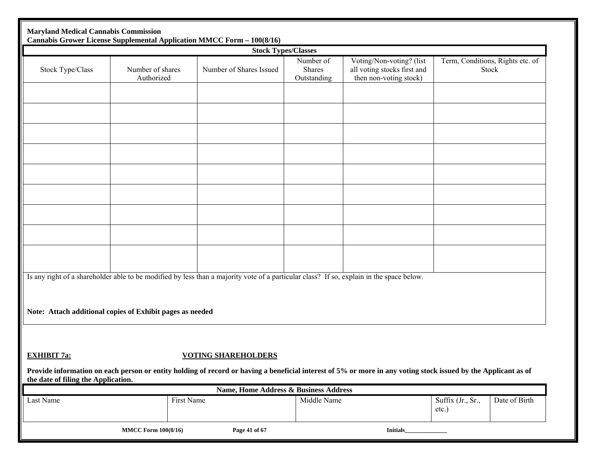|                                                           | <b>Maryland Medical Cannabis Commission</b> | Cannabis Grower License Supplemental Application MMCC Form - 100(8/16)                                                                                         |                                           |                                                                                   |                               |                                           |
|-----------------------------------------------------------|---------------------------------------------|----------------------------------------------------------------------------------------------------------------------------------------------------------------|-------------------------------------------|-----------------------------------------------------------------------------------|-------------------------------|-------------------------------------------|
|                                                           |                                             | <b>Stock Types/Classes</b>                                                                                                                                     |                                           |                                                                                   |                               |                                           |
| Stock Type/Class                                          | Number of shares<br>Authorized              | Number of Shares Issued                                                                                                                                        | Number of<br><b>Shares</b><br>Outstanding | Voting/Non-voting? (list<br>all voting stocks first and<br>then non-voting stock) |                               | Term, Conditions, Rights etc. of<br>Stock |
|                                                           |                                             |                                                                                                                                                                |                                           |                                                                                   |                               |                                           |
|                                                           |                                             |                                                                                                                                                                |                                           |                                                                                   |                               |                                           |
|                                                           |                                             |                                                                                                                                                                |                                           |                                                                                   |                               |                                           |
|                                                           |                                             |                                                                                                                                                                |                                           |                                                                                   |                               |                                           |
|                                                           |                                             |                                                                                                                                                                |                                           |                                                                                   |                               |                                           |
|                                                           |                                             | Is any right of a shareholder able to be modified by less than a majority vote of a particular class? If so, explain in the space below.                       |                                           |                                                                                   |                               |                                           |
| Note: Attach additional copies of Exhibit pages as needed |                                             |                                                                                                                                                                |                                           |                                                                                   |                               |                                           |
| <b>EXHIBIT 7a:</b>                                        |                                             | <b>VOTING SHAREHOLDERS</b>                                                                                                                                     |                                           |                                                                                   |                               |                                           |
| the date of filing the Application.                       |                                             | Provide information on each person or entity holding of record or having a beneficial interest of 5% or more in any voting stock issued by the Applicant as of |                                           |                                                                                   |                               |                                           |
|                                                           |                                             | Name, Home Address & Business Address                                                                                                                          |                                           |                                                                                   |                               |                                           |
| Last Name                                                 | First Name                                  |                                                                                                                                                                | Middle Name                               |                                                                                   | Suffix (Jr., Sr.,<br>$etc.$ ) | Date of Birth                             |
|                                                           | <b>MMCC Form 100(8/16)</b>                  | Page 41 of 67                                                                                                                                                  |                                           | Initials                                                                          |                               |                                           |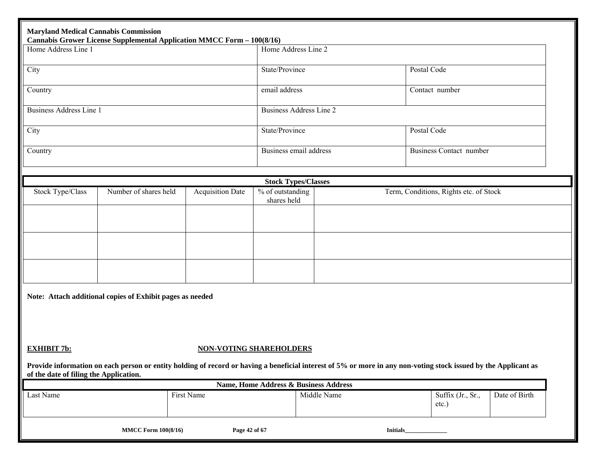| <b>Maryland Medical Cannabis Commission</b> |                                                           | Cannabis Grower License Supplemental Application MMCC Form - 100(8/16)                                                                                          |                                       |                     |                 |                                        |               |  |  |
|---------------------------------------------|-----------------------------------------------------------|-----------------------------------------------------------------------------------------------------------------------------------------------------------------|---------------------------------------|---------------------|-----------------|----------------------------------------|---------------|--|--|
| Home Address Line 1                         |                                                           |                                                                                                                                                                 |                                       | Home Address Line 2 |                 |                                        |               |  |  |
| City                                        |                                                           |                                                                                                                                                                 | State/Province                        |                     | Postal Code     |                                        |               |  |  |
| Country                                     |                                                           |                                                                                                                                                                 | email address                         |                     |                 | Contact number                         |               |  |  |
| <b>Business Address Line 1</b>              |                                                           |                                                                                                                                                                 | <b>Business Address Line 2</b>        |                     |                 |                                        |               |  |  |
| City                                        |                                                           |                                                                                                                                                                 | State/Province                        |                     | Postal Code     |                                        |               |  |  |
| Country                                     |                                                           |                                                                                                                                                                 | Business email address                |                     |                 | <b>Business Contact number</b>         |               |  |  |
|                                             |                                                           |                                                                                                                                                                 |                                       |                     |                 |                                        |               |  |  |
|                                             | Number of shares held                                     |                                                                                                                                                                 | <b>Stock Types/Classes</b>            |                     |                 |                                        |               |  |  |
| Stock Type/Class                            |                                                           | <b>Acquisition Date</b>                                                                                                                                         | % of outstanding<br>shares held       |                     |                 | Term, Conditions, Rights etc. of Stock |               |  |  |
|                                             |                                                           |                                                                                                                                                                 |                                       |                     |                 |                                        |               |  |  |
|                                             |                                                           |                                                                                                                                                                 |                                       |                     |                 |                                        |               |  |  |
|                                             |                                                           |                                                                                                                                                                 |                                       |                     |                 |                                        |               |  |  |
|                                             |                                                           |                                                                                                                                                                 |                                       |                     |                 |                                        |               |  |  |
|                                             | Note: Attach additional copies of Exhibit pages as needed |                                                                                                                                                                 |                                       |                     |                 |                                        |               |  |  |
|                                             |                                                           |                                                                                                                                                                 |                                       |                     |                 |                                        |               |  |  |
|                                             |                                                           |                                                                                                                                                                 |                                       |                     |                 |                                        |               |  |  |
| <b>EXHIBIT 7b:</b>                          |                                                           |                                                                                                                                                                 | <b>NON-VOTING SHAREHOLDERS</b>        |                     |                 |                                        |               |  |  |
| of the date of filing the Application.      |                                                           | Provide information on each person or entity holding of record or having a beneficial interest of 5% or more in any non-voting stock issued by the Applicant as |                                       |                     |                 |                                        |               |  |  |
|                                             |                                                           |                                                                                                                                                                 | Name, Home Address & Business Address |                     |                 |                                        |               |  |  |
| Last Name                                   |                                                           | First Name                                                                                                                                                      |                                       | Middle Name         |                 | Suffix (Jr., Sr.,<br>$etc.$ )          | Date of Birth |  |  |
|                                             | <b>MMCC Form 100(8/16)</b>                                | Page 42 of 67                                                                                                                                                   |                                       |                     | <b>Initials</b> |                                        |               |  |  |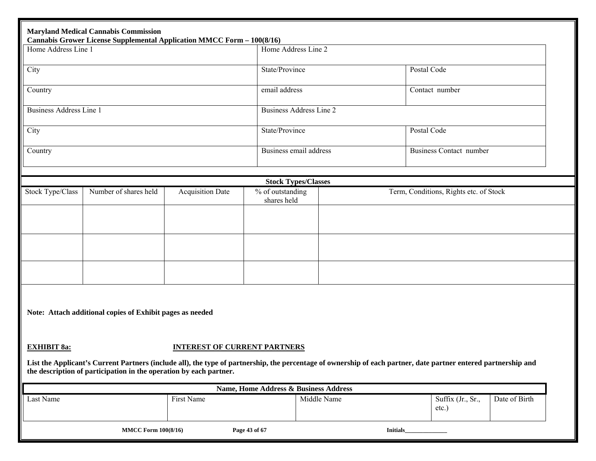| Home Address Line 1            | Cannabis Grower License Supplemental Application MMCC Form - 100(8/16) |                                     | Home Address Line 2                   |             |                                                                                                                                                                 |               |
|--------------------------------|------------------------------------------------------------------------|-------------------------------------|---------------------------------------|-------------|-----------------------------------------------------------------------------------------------------------------------------------------------------------------|---------------|
| City                           |                                                                        |                                     | State/Province                        |             | Postal Code                                                                                                                                                     |               |
| Country                        |                                                                        |                                     | email address                         |             | Contact number                                                                                                                                                  |               |
| <b>Business Address Line 1</b> |                                                                        |                                     | <b>Business Address Line 2</b>        |             |                                                                                                                                                                 |               |
| City                           |                                                                        |                                     | State/Province                        |             | Postal Code                                                                                                                                                     |               |
| Country                        |                                                                        |                                     | Business email address                |             | <b>Business Contact number</b>                                                                                                                                  |               |
|                                |                                                                        |                                     | <b>Stock Types/Classes</b>            |             |                                                                                                                                                                 |               |
| Stock Type/Class               | Number of shares held                                                  | <b>Acquisition Date</b>             | % of outstanding                      |             | Term, Conditions, Rights etc. of Stock                                                                                                                          |               |
|                                |                                                                        |                                     | shares held                           |             |                                                                                                                                                                 |               |
|                                |                                                                        |                                     |                                       |             |                                                                                                                                                                 |               |
|                                |                                                                        |                                     |                                       |             |                                                                                                                                                                 |               |
|                                |                                                                        |                                     |                                       |             |                                                                                                                                                                 |               |
|                                |                                                                        |                                     |                                       |             |                                                                                                                                                                 |               |
|                                |                                                                        |                                     |                                       |             |                                                                                                                                                                 |               |
|                                |                                                                        |                                     |                                       |             |                                                                                                                                                                 |               |
|                                | Note: Attach additional copies of Exhibit pages as needed              |                                     |                                       |             |                                                                                                                                                                 |               |
| <b>EXHIBIT 8a:</b>             |                                                                        | <b>INTEREST OF CURRENT PARTNERS</b> |                                       |             |                                                                                                                                                                 |               |
|                                |                                                                        |                                     |                                       |             |                                                                                                                                                                 |               |
|                                | the description of participation in the operation by each partner.     |                                     |                                       |             | List the Applicant's Current Partners (include all), the type of partnership, the percentage of ownership of each partner, date partner entered partnership and |               |
|                                |                                                                        |                                     | Name, Home Address & Business Address |             |                                                                                                                                                                 |               |
| Last Name                      |                                                                        | First Name                          |                                       | Middle Name | Suffix (Jr., Sr.,<br>$etc.$ )                                                                                                                                   | Date of Birth |
|                                |                                                                        |                                     |                                       |             |                                                                                                                                                                 |               |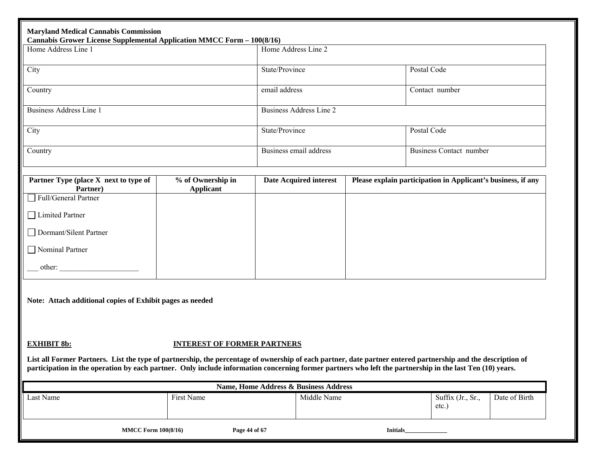| Home Address Line 1                                                                                                                                                                                                                                                                                                      |                                       | Home Address Line 2                   |             |                                                              |  |
|--------------------------------------------------------------------------------------------------------------------------------------------------------------------------------------------------------------------------------------------------------------------------------------------------------------------------|---------------------------------------|---------------------------------------|-------------|--------------------------------------------------------------|--|
| City                                                                                                                                                                                                                                                                                                                     |                                       | State/Province                        |             | Postal Code                                                  |  |
| Country                                                                                                                                                                                                                                                                                                                  |                                       | email address                         |             | Contact number                                               |  |
| <b>Business Address Line 1</b>                                                                                                                                                                                                                                                                                           |                                       | <b>Business Address Line 2</b>        |             |                                                              |  |
| City                                                                                                                                                                                                                                                                                                                     |                                       | State/Province                        | Postal Code |                                                              |  |
| Country                                                                                                                                                                                                                                                                                                                  |                                       | Business email address                |             | <b>Business Contact number</b>                               |  |
| Partner Type (place X next to type of<br>Partner)                                                                                                                                                                                                                                                                        | % of Ownership in<br><b>Applicant</b> | <b>Date Acquired interest</b>         |             | Please explain participation in Applicant's business, if any |  |
| Full/General Partner                                                                                                                                                                                                                                                                                                     |                                       |                                       |             |                                                              |  |
| □ Limited Partner                                                                                                                                                                                                                                                                                                        |                                       |                                       |             |                                                              |  |
| Dormant/Silent Partner                                                                                                                                                                                                                                                                                                   |                                       |                                       |             |                                                              |  |
| Nominal Partner                                                                                                                                                                                                                                                                                                          |                                       |                                       |             |                                                              |  |
|                                                                                                                                                                                                                                                                                                                          |                                       |                                       |             |                                                              |  |
| Note: Attach additional copies of Exhibit pages as needed                                                                                                                                                                                                                                                                |                                       |                                       |             |                                                              |  |
|                                                                                                                                                                                                                                                                                                                          |                                       |                                       |             |                                                              |  |
| <b>EXHIBIT 8b:</b>                                                                                                                                                                                                                                                                                                       | <b>INTEREST OF FORMER PARTNERS</b>    |                                       |             |                                                              |  |
| List all Former Partners. List the type of partnership, the percentage of ownership of each partner, date partner entered partnership and the description of<br>participation in the operation by each partner. Only include information concerning former partners who left the partnership in the last Ten (10) years. |                                       |                                       |             |                                                              |  |
|                                                                                                                                                                                                                                                                                                                          |                                       | Name, Home Address & Business Address |             |                                                              |  |
|                                                                                                                                                                                                                                                                                                                          |                                       |                                       |             |                                                              |  |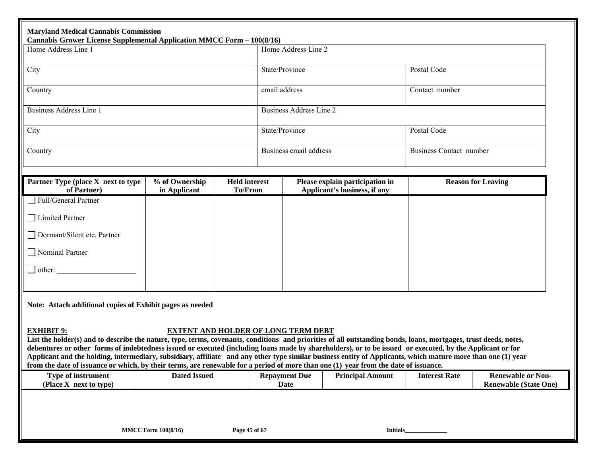| <b>Maryland Medical Cannabis Commission</b><br><b>Cannabis Grower License Supplemental Application MMCC Form - 100(8/16)</b>                                                                                                                                                                                                                                                                                                                                                                                                                                                                                                                              |                                |                                 |                                            |                                                                 |                                |                              |  |  |
|-----------------------------------------------------------------------------------------------------------------------------------------------------------------------------------------------------------------------------------------------------------------------------------------------------------------------------------------------------------------------------------------------------------------------------------------------------------------------------------------------------------------------------------------------------------------------------------------------------------------------------------------------------------|--------------------------------|---------------------------------|--------------------------------------------|-----------------------------------------------------------------|--------------------------------|------------------------------|--|--|
| Home Address Line 1                                                                                                                                                                                                                                                                                                                                                                                                                                                                                                                                                                                                                                       |                                |                                 | Home Address Line 2                        |                                                                 |                                |                              |  |  |
| City                                                                                                                                                                                                                                                                                                                                                                                                                                                                                                                                                                                                                                                      |                                |                                 | State/Province                             |                                                                 | Postal Code                    |                              |  |  |
| Country                                                                                                                                                                                                                                                                                                                                                                                                                                                                                                                                                                                                                                                   |                                |                                 |                                            |                                                                 | Contact number                 |                              |  |  |
| <b>Business Address Line 1</b>                                                                                                                                                                                                                                                                                                                                                                                                                                                                                                                                                                                                                            |                                | <b>Business Address Line 2</b>  |                                            |                                                                 |                                |                              |  |  |
| City                                                                                                                                                                                                                                                                                                                                                                                                                                                                                                                                                                                                                                                      |                                |                                 |                                            |                                                                 | Postal Code                    |                              |  |  |
| Country                                                                                                                                                                                                                                                                                                                                                                                                                                                                                                                                                                                                                                                   |                                |                                 | Business email address                     |                                                                 | <b>Business Contact number</b> |                              |  |  |
|                                                                                                                                                                                                                                                                                                                                                                                                                                                                                                                                                                                                                                                           |                                |                                 |                                            |                                                                 |                                |                              |  |  |
| Partner Type (place X next to type<br>of Partner)                                                                                                                                                                                                                                                                                                                                                                                                                                                                                                                                                                                                         | % of Ownership<br>in Applicant | <b>Held interest</b><br>To/From |                                            | Please explain participation in<br>Applicant's business, if any |                                | <b>Reason for Leaving</b>    |  |  |
| Full/General Partner                                                                                                                                                                                                                                                                                                                                                                                                                                                                                                                                                                                                                                      |                                |                                 |                                            |                                                                 |                                |                              |  |  |
| □ Limited Partner                                                                                                                                                                                                                                                                                                                                                                                                                                                                                                                                                                                                                                         |                                |                                 |                                            |                                                                 |                                |                              |  |  |
| Dormant/Silent etc. Partner                                                                                                                                                                                                                                                                                                                                                                                                                                                                                                                                                                                                                               |                                |                                 |                                            |                                                                 |                                |                              |  |  |
| Nominal Partner                                                                                                                                                                                                                                                                                                                                                                                                                                                                                                                                                                                                                                           |                                |                                 |                                            |                                                                 |                                |                              |  |  |
| $\Box$ other:                                                                                                                                                                                                                                                                                                                                                                                                                                                                                                                                                                                                                                             |                                |                                 |                                            |                                                                 |                                |                              |  |  |
|                                                                                                                                                                                                                                                                                                                                                                                                                                                                                                                                                                                                                                                           |                                |                                 |                                            |                                                                 |                                |                              |  |  |
| Note: Attach additional copies of Exhibit pages as needed                                                                                                                                                                                                                                                                                                                                                                                                                                                                                                                                                                                                 |                                |                                 |                                            |                                                                 |                                |                              |  |  |
| <b>EXHIBIT 9:</b><br>List the holder(s) and to describe the nature, type, terms, covenants, conditions and priorities of all outstanding bonds, loans, mortgages, trust deeds, notes,<br>debentures or other forms of indebtedness issued or executed (including loans made by shareholders), or to be issued or executed, by the Applicant or for<br>Applicant and the holding, intermediary, subsidiary, affiliate and any other type similar business entity of Applicants, which mature more than one (1) year<br>from the date of issuance or which, by their terms, are renewable for a period of more than one (1) year from the date of issuance. |                                |                                 | <b>EXTENT AND HOLDER OF LONG TERM DEBT</b> |                                                                 |                                |                              |  |  |
| Type of instrument<br>(Place X next to type)                                                                                                                                                                                                                                                                                                                                                                                                                                                                                                                                                                                                              | <b>Dated Issued</b>            |                                 | <b>Repayment Due</b>                       | <b>Principal Amount</b>                                         | <b>Interest Rate</b>           | <b>Renewable or Non-</b>     |  |  |
|                                                                                                                                                                                                                                                                                                                                                                                                                                                                                                                                                                                                                                                           |                                |                                 | Date                                       |                                                                 |                                | <b>Renewable (State One)</b> |  |  |
|                                                                                                                                                                                                                                                                                                                                                                                                                                                                                                                                                                                                                                                           |                                |                                 |                                            |                                                                 |                                |                              |  |  |
|                                                                                                                                                                                                                                                                                                                                                                                                                                                                                                                                                                                                                                                           | <b>MMCC Form 100(8/16)</b>     | Page 45 of 67                   |                                            | <b>Initials</b>                                                 |                                |                              |  |  |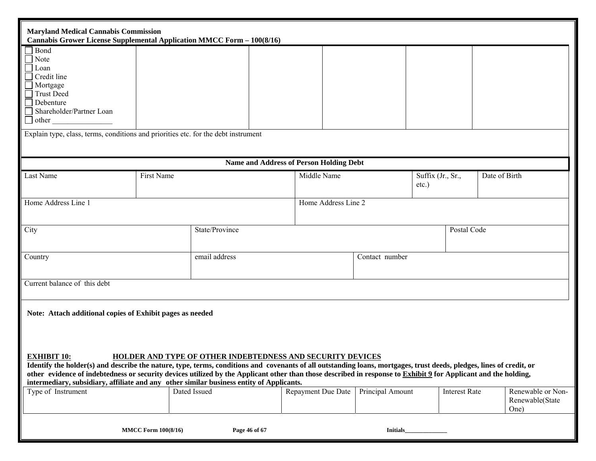| <b>Maryland Medical Cannabis Commission</b><br>Cannabis Grower License Supplemental Application MMCC Form - 100(8/16)                                                                                                                                                                                                                                                                                                                                                                                                                                                                                                                                                           |                            |                |                                                |                 |                               |               |  |
|---------------------------------------------------------------------------------------------------------------------------------------------------------------------------------------------------------------------------------------------------------------------------------------------------------------------------------------------------------------------------------------------------------------------------------------------------------------------------------------------------------------------------------------------------------------------------------------------------------------------------------------------------------------------------------|----------------------------|----------------|------------------------------------------------|-----------------|-------------------------------|---------------|--|
| Bond<br>$\Box$ Note<br>$\Box$ Loan<br>$\Box$ Credit line<br>Mortgage<br>$\Box$ Trust Deed<br>$\Box$ Debenture<br>Shareholder/Partner Loan<br>$\Box$ other<br>Explain type, class, terms, conditions and priorities etc. for the debt instrument                                                                                                                                                                                                                                                                                                                                                                                                                                 |                            |                |                                                |                 |                               |               |  |
|                                                                                                                                                                                                                                                                                                                                                                                                                                                                                                                                                                                                                                                                                 |                            |                | <b>Name and Address of Person Holding Debt</b> |                 |                               |               |  |
| Last Name                                                                                                                                                                                                                                                                                                                                                                                                                                                                                                                                                                                                                                                                       | First Name                 |                | Middle Name                                    |                 | Suffix (Jr., Sr.,<br>$etc.$ ) | Date of Birth |  |
| Home Address Line 1                                                                                                                                                                                                                                                                                                                                                                                                                                                                                                                                                                                                                                                             |                            |                | Home Address Line 2                            |                 |                               |               |  |
| City                                                                                                                                                                                                                                                                                                                                                                                                                                                                                                                                                                                                                                                                            |                            | State/Province | Postal Code                                    |                 |                               |               |  |
| Country                                                                                                                                                                                                                                                                                                                                                                                                                                                                                                                                                                                                                                                                         |                            | email address  |                                                | Contact number  |                               |               |  |
| Current balance of this debt                                                                                                                                                                                                                                                                                                                                                                                                                                                                                                                                                                                                                                                    |                            |                |                                                |                 |                               |               |  |
| Note: Attach additional copies of Exhibit pages as needed                                                                                                                                                                                                                                                                                                                                                                                                                                                                                                                                                                                                                       |                            |                |                                                |                 |                               |               |  |
| <b>EXHIBIT 10:</b><br>HOLDER AND TYPE OF OTHER INDEBTEDNESS AND SECURITY DEVICES<br>Identify the holder(s) and describe the nature, type, terms, conditions and covenants of all outstanding loans, mortgages, trust deeds, pledges, lines of credit, or<br>other evidence of indebtedness or security devices utilized by the Applicant other than those described in response to Exhibit 9 for Applicant and the holding,<br>intermediary, subsidiary, affiliate and any other similar business entity of Applicants.<br>Repayment Due Date<br>Principal Amount<br>Renewable or Non-<br>Type of Instrument<br>Dated Issued<br><b>Interest Rate</b><br>Renewable(State<br>One) |                            |                |                                                |                 |                               |               |  |
|                                                                                                                                                                                                                                                                                                                                                                                                                                                                                                                                                                                                                                                                                 | <b>MMCC Form 100(8/16)</b> | Page 46 of 67  |                                                | <b>Initials</b> |                               |               |  |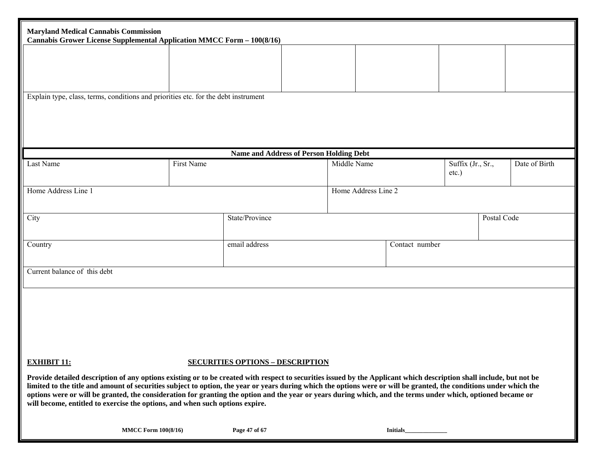| <b>Maryland Medical Cannabis Commission</b><br>Cannabis Grower License Supplemental Application MMCC Form - 100(8/16)                                                                                                                                                                                                                                                                                                                                                                                                                                                                       |                                                              |                                         |                     |                 |                               |             |               |
|---------------------------------------------------------------------------------------------------------------------------------------------------------------------------------------------------------------------------------------------------------------------------------------------------------------------------------------------------------------------------------------------------------------------------------------------------------------------------------------------------------------------------------------------------------------------------------------------|--------------------------------------------------------------|-----------------------------------------|---------------------|-----------------|-------------------------------|-------------|---------------|
|                                                                                                                                                                                                                                                                                                                                                                                                                                                                                                                                                                                             |                                                              |                                         |                     |                 |                               |             |               |
|                                                                                                                                                                                                                                                                                                                                                                                                                                                                                                                                                                                             |                                                              |                                         |                     |                 |                               |             |               |
| Explain type, class, terms, conditions and priorities etc. for the debt instrument                                                                                                                                                                                                                                                                                                                                                                                                                                                                                                          |                                                              |                                         |                     |                 |                               |             |               |
|                                                                                                                                                                                                                                                                                                                                                                                                                                                                                                                                                                                             |                                                              |                                         |                     |                 |                               |             |               |
|                                                                                                                                                                                                                                                                                                                                                                                                                                                                                                                                                                                             |                                                              |                                         |                     |                 |                               |             |               |
| Last Name                                                                                                                                                                                                                                                                                                                                                                                                                                                                                                                                                                                   | <b>Name and Address of Person Holding Debt</b><br>First Name |                                         |                     | Middle Name     | Suffix (Jr., Sr.,<br>$etc.$ ) |             | Date of Birth |
| Home Address Line 1                                                                                                                                                                                                                                                                                                                                                                                                                                                                                                                                                                         |                                                              |                                         | Home Address Line 2 |                 |                               |             |               |
| City                                                                                                                                                                                                                                                                                                                                                                                                                                                                                                                                                                                        |                                                              | State/Province                          |                     |                 |                               | Postal Code |               |
| Country                                                                                                                                                                                                                                                                                                                                                                                                                                                                                                                                                                                     |                                                              | email address                           |                     | Contact number  |                               |             |               |
| Current balance of this debt                                                                                                                                                                                                                                                                                                                                                                                                                                                                                                                                                                |                                                              |                                         |                     |                 |                               |             |               |
|                                                                                                                                                                                                                                                                                                                                                                                                                                                                                                                                                                                             |                                                              |                                         |                     |                 |                               |             |               |
|                                                                                                                                                                                                                                                                                                                                                                                                                                                                                                                                                                                             |                                                              |                                         |                     |                 |                               |             |               |
|                                                                                                                                                                                                                                                                                                                                                                                                                                                                                                                                                                                             |                                                              |                                         |                     |                 |                               |             |               |
| <b>EXHIBIT 11:</b>                                                                                                                                                                                                                                                                                                                                                                                                                                                                                                                                                                          |                                                              | <b>SECURITIES OPTIONS - DESCRIPTION</b> |                     |                 |                               |             |               |
| Provide detailed description of any options existing or to be created with respect to securities issued by the Applicant which description shall include, but not be<br>limited to the title and amount of securities subject to option, the year or years during which the options were or will be granted, the conditions under which the<br>options were or will be granted, the consideration for granting the option and the year or years during which, and the terms under which, optioned became or<br>will become, entitled to exercise the options, and when such options expire. |                                                              |                                         |                     |                 |                               |             |               |
| <b>MMCC Form 100(8/16)</b>                                                                                                                                                                                                                                                                                                                                                                                                                                                                                                                                                                  |                                                              | Page 47 of 67                           |                     | <b>Initials</b> |                               |             |               |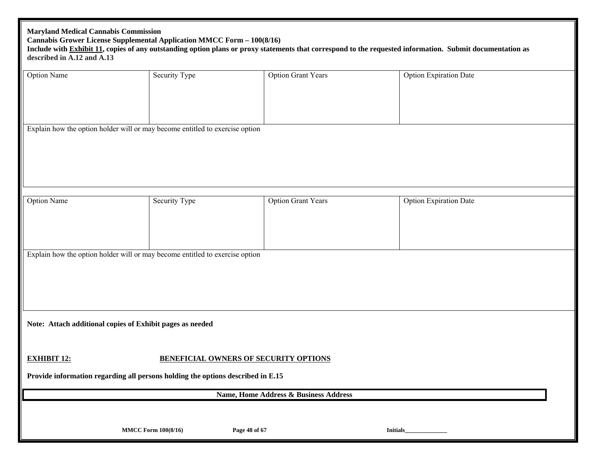| <b>Maryland Medical Cannabis Commission</b><br>Cannabis Grower License Supplemental Application MMCC Form - 100(8/16)<br>Include with Exhibit 11, copies of any outstanding option plans or proxy statements that correspond to the requested information. Submit documentation as<br>described in A.12 and A.13 |                                              |                                       |                               |  |  |  |  |  |  |  |
|------------------------------------------------------------------------------------------------------------------------------------------------------------------------------------------------------------------------------------------------------------------------------------------------------------------|----------------------------------------------|---------------------------------------|-------------------------------|--|--|--|--|--|--|--|
| <b>Option Name</b>                                                                                                                                                                                                                                                                                               | Security Type                                | <b>Option Grant Years</b>             | <b>Option Expiration Date</b> |  |  |  |  |  |  |  |
| Explain how the option holder will or may become entitled to exercise option                                                                                                                                                                                                                                     |                                              |                                       |                               |  |  |  |  |  |  |  |
|                                                                                                                                                                                                                                                                                                                  |                                              |                                       |                               |  |  |  |  |  |  |  |
|                                                                                                                                                                                                                                                                                                                  |                                              |                                       |                               |  |  |  |  |  |  |  |
| <b>Option Name</b>                                                                                                                                                                                                                                                                                               | Security Type                                | <b>Option Grant Years</b>             | <b>Option Expiration Date</b> |  |  |  |  |  |  |  |
|                                                                                                                                                                                                                                                                                                                  |                                              |                                       |                               |  |  |  |  |  |  |  |
| Explain how the option holder will or may become entitled to exercise option                                                                                                                                                                                                                                     |                                              |                                       |                               |  |  |  |  |  |  |  |
|                                                                                                                                                                                                                                                                                                                  |                                              |                                       |                               |  |  |  |  |  |  |  |
| Note: Attach additional copies of Exhibit pages as needed                                                                                                                                                                                                                                                        |                                              |                                       |                               |  |  |  |  |  |  |  |
| <b>EXHIBIT 12:</b>                                                                                                                                                                                                                                                                                               | <b>BENEFICIAL OWNERS OF SECURITY OPTIONS</b> |                                       |                               |  |  |  |  |  |  |  |
| Provide information regarding all persons holding the options described in E.15                                                                                                                                                                                                                                  |                                              | Name, Home Address & Business Address |                               |  |  |  |  |  |  |  |
|                                                                                                                                                                                                                                                                                                                  | <b>MMCC Form 100(8/16)</b><br>Page 48 of 67  | <b>Initials</b>                       |                               |  |  |  |  |  |  |  |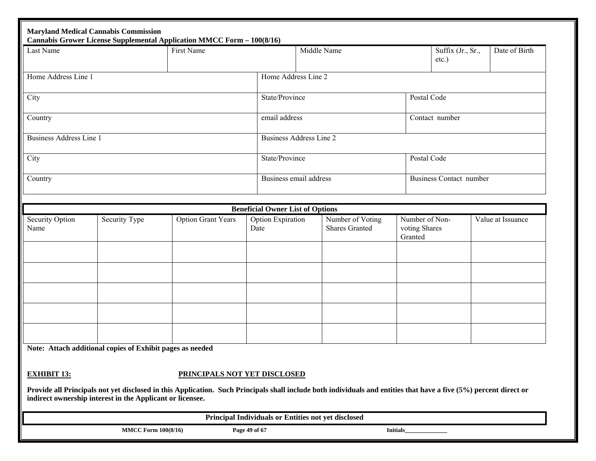|                                | <b>Maryland Medical Cannabis Commission</b><br>Cannabis Grower License Supplemental Application MMCC Form - 100(8/16) |                              |                                         |                                                                                                                                                                   |                                            |                                |                   |
|--------------------------------|-----------------------------------------------------------------------------------------------------------------------|------------------------------|-----------------------------------------|-------------------------------------------------------------------------------------------------------------------------------------------------------------------|--------------------------------------------|--------------------------------|-------------------|
| Last Name                      |                                                                                                                       | First Name                   |                                         | Middle Name                                                                                                                                                       |                                            | Suffix (Jr., Sr.,<br>$etc.$ )  | Date of Birth     |
| Home Address Line 1            |                                                                                                                       |                              | Home Address Line 2                     |                                                                                                                                                                   |                                            |                                |                   |
| City                           |                                                                                                                       |                              |                                         | State/Province                                                                                                                                                    | Postal Code                                |                                |                   |
| Country                        |                                                                                                                       |                              |                                         | email address                                                                                                                                                     |                                            | Contact number                 |                   |
| <b>Business Address Line 1</b> |                                                                                                                       |                              |                                         | <b>Business Address Line 2</b>                                                                                                                                    |                                            |                                |                   |
| City                           |                                                                                                                       |                              | State/Province                          |                                                                                                                                                                   | Postal Code                                |                                |                   |
| Country                        |                                                                                                                       |                              |                                         | Business email address                                                                                                                                            |                                            | <b>Business Contact number</b> |                   |
|                                |                                                                                                                       |                              | <b>Beneficial Owner List of Options</b> |                                                                                                                                                                   |                                            |                                |                   |
| Security Option<br>Name        | Security Type                                                                                                         | <b>Option Grant Years</b>    | <b>Option Expiration</b><br>Date        | Number of Voting<br><b>Shares Granted</b>                                                                                                                         | Number of Non-<br>voting Shares<br>Granted |                                | Value at Issuance |
|                                |                                                                                                                       |                              |                                         |                                                                                                                                                                   |                                            |                                |                   |
|                                |                                                                                                                       |                              |                                         |                                                                                                                                                                   |                                            |                                |                   |
|                                |                                                                                                                       |                              |                                         |                                                                                                                                                                   |                                            |                                |                   |
|                                |                                                                                                                       |                              |                                         |                                                                                                                                                                   |                                            |                                |                   |
|                                | Note: Attach additional copies of Exhibit pages as needed                                                             |                              |                                         |                                                                                                                                                                   |                                            |                                |                   |
|                                |                                                                                                                       |                              |                                         |                                                                                                                                                                   |                                            |                                |                   |
| <b>EXHIBIT 13:</b>             |                                                                                                                       | PRINCIPALS NOT YET DISCLOSED |                                         |                                                                                                                                                                   |                                            |                                |                   |
|                                | indirect ownership interest in the Applicant or licensee.                                                             |                              |                                         | Provide all Principals not yet disclosed in this Application. Such Principals shall include both individuals and entities that have a five (5%) percent direct or |                                            |                                |                   |
|                                |                                                                                                                       |                              |                                         | Principal Individuals or Entities not yet disclosed                                                                                                               |                                            |                                |                   |
|                                | <b>MMCC Form 100(8/16)</b>                                                                                            |                              | Page 49 of 67                           |                                                                                                                                                                   | <b>Initials</b>                            |                                |                   |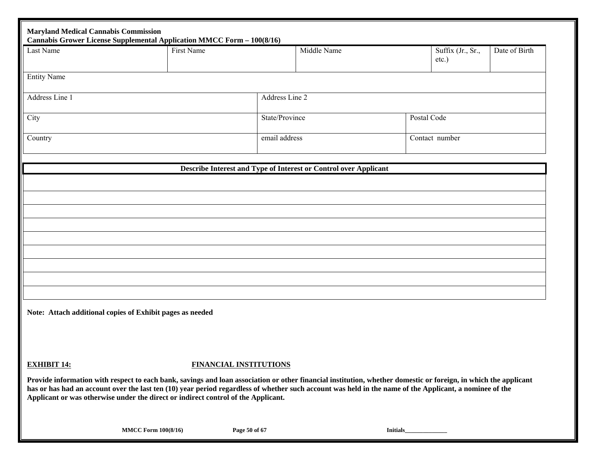| <b>Maryland Medical Cannabis Commission</b>               | Cannabis Grower License Supplemental Application MMCC Form - 100(8/16)                                                                                                                                                                                                                                                                                                                                          |                               |                                                                  |             |                               |               |
|-----------------------------------------------------------|-----------------------------------------------------------------------------------------------------------------------------------------------------------------------------------------------------------------------------------------------------------------------------------------------------------------------------------------------------------------------------------------------------------------|-------------------------------|------------------------------------------------------------------|-------------|-------------------------------|---------------|
| Last Name                                                 | First Name                                                                                                                                                                                                                                                                                                                                                                                                      |                               | Middle Name                                                      |             | Suffix (Jr., Sr.,<br>$etc.$ ) | Date of Birth |
| <b>Entity Name</b>                                        |                                                                                                                                                                                                                                                                                                                                                                                                                 |                               |                                                                  |             |                               |               |
| Address Line 1                                            |                                                                                                                                                                                                                                                                                                                                                                                                                 | Address Line 2                |                                                                  |             |                               |               |
| City                                                      |                                                                                                                                                                                                                                                                                                                                                                                                                 |                               | State/Province                                                   | Postal Code |                               |               |
| Country                                                   |                                                                                                                                                                                                                                                                                                                                                                                                                 | email address                 |                                                                  |             | Contact number                |               |
|                                                           |                                                                                                                                                                                                                                                                                                                                                                                                                 |                               | Describe Interest and Type of Interest or Control over Applicant |             |                               |               |
|                                                           |                                                                                                                                                                                                                                                                                                                                                                                                                 |                               |                                                                  |             |                               |               |
|                                                           |                                                                                                                                                                                                                                                                                                                                                                                                                 |                               |                                                                  |             |                               |               |
|                                                           |                                                                                                                                                                                                                                                                                                                                                                                                                 |                               |                                                                  |             |                               |               |
|                                                           |                                                                                                                                                                                                                                                                                                                                                                                                                 |                               |                                                                  |             |                               |               |
|                                                           |                                                                                                                                                                                                                                                                                                                                                                                                                 |                               |                                                                  |             |                               |               |
|                                                           |                                                                                                                                                                                                                                                                                                                                                                                                                 |                               |                                                                  |             |                               |               |
|                                                           |                                                                                                                                                                                                                                                                                                                                                                                                                 |                               |                                                                  |             |                               |               |
| Note: Attach additional copies of Exhibit pages as needed |                                                                                                                                                                                                                                                                                                                                                                                                                 |                               |                                                                  |             |                               |               |
|                                                           |                                                                                                                                                                                                                                                                                                                                                                                                                 |                               |                                                                  |             |                               |               |
| <b>EXHIBIT 14:</b>                                        |                                                                                                                                                                                                                                                                                                                                                                                                                 | <b>FINANCIAL INSTITUTIONS</b> |                                                                  |             |                               |               |
|                                                           | Provide information with respect to each bank, savings and loan association or other financial institution, whether domestic or foreign, in which the applicant<br>has or has had an account over the last ten (10) year period regardless of whether such account was held in the name of the Applicant, a nominee of the<br>Applicant or was otherwise under the direct or indirect control of the Applicant. |                               |                                                                  |             |                               |               |

**MMCC Form 100(8/16) Page 50 of 67 Initials\_\_\_\_\_\_\_\_\_\_\_\_\_\_**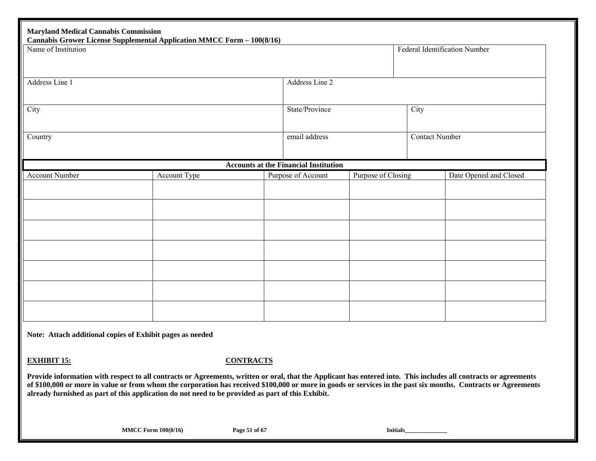| <b>Maryland Medical Cannabis Commission</b><br><b>Cannabis Grower License Supplemental Application MMCC Form - 100(8/16)</b><br>Name of Institution |              |               |                                              |                       |      | Federal Identification Number |
|-----------------------------------------------------------------------------------------------------------------------------------------------------|--------------|---------------|----------------------------------------------|-----------------------|------|-------------------------------|
| Address Line 1                                                                                                                                      |              |               | Address Line 2                               |                       |      |                               |
| City                                                                                                                                                |              |               | State/Province                               |                       | City |                               |
| Country                                                                                                                                             |              | email address |                                              | <b>Contact Number</b> |      |                               |
|                                                                                                                                                     |              |               | <b>Accounts at the Financial Institution</b> |                       |      |                               |
| Account Number                                                                                                                                      | Account Type |               | Purpose of Account                           | Purpose of Closing    |      | Date Opened and Closed        |
|                                                                                                                                                     |              |               |                                              |                       |      |                               |
|                                                                                                                                                     |              |               |                                              |                       |      |                               |
|                                                                                                                                                     |              |               |                                              |                       |      |                               |
|                                                                                                                                                     |              |               |                                              |                       |      |                               |
|                                                                                                                                                     |              |               |                                              |                       |      |                               |
|                                                                                                                                                     |              |               |                                              |                       |      |                               |
|                                                                                                                                                     |              |               |                                              |                       |      |                               |

**EXHIBIT 15:**

#### **CONTRACTS**

**Provide information with respect to all contracts or Agreements, written or oral, that the Applicant has entered into. This includes all contracts or agreements of \$100,000 or more in value or from whom the corporation has received \$100,000 or more in goods or services in the past six months. Contracts or Agreements already furnished as part of this application do not need to be provided as part of this Exhibit.**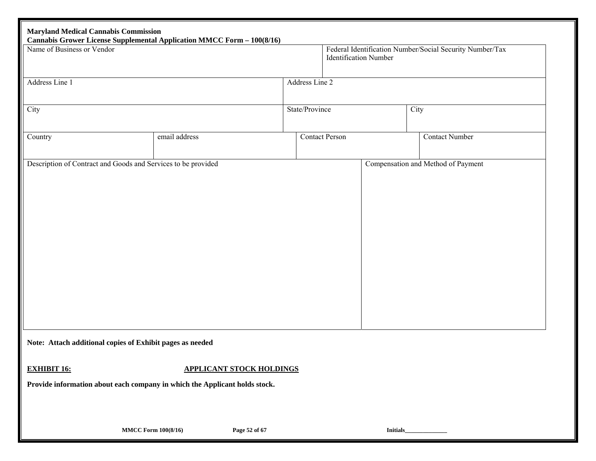| Name of Business or Vendor | Cannabis Grower License Supplemental Application MMCC Form - 100(8/16)     |                                 |                | Federal Identification Number/Social Security Number/Tax<br><b>Identification Number</b> |      |                       |  |
|----------------------------|----------------------------------------------------------------------------|---------------------------------|----------------|------------------------------------------------------------------------------------------|------|-----------------------|--|
| Address Line 1             |                                                                            |                                 | Address Line 2 |                                                                                          |      |                       |  |
| City                       |                                                                            |                                 | State/Province |                                                                                          | City |                       |  |
| Country                    | email address                                                              |                                 |                | <b>Contact Person</b>                                                                    |      | <b>Contact Number</b> |  |
|                            | Description of Contract and Goods and Services to be provided              |                                 |                | Compensation and Method of Payment                                                       |      |                       |  |
|                            |                                                                            |                                 |                |                                                                                          |      |                       |  |
|                            |                                                                            |                                 |                |                                                                                          |      |                       |  |
|                            |                                                                            |                                 |                |                                                                                          |      |                       |  |
|                            |                                                                            |                                 |                |                                                                                          |      |                       |  |
|                            |                                                                            |                                 |                |                                                                                          |      |                       |  |
|                            |                                                                            |                                 |                |                                                                                          |      |                       |  |
|                            |                                                                            |                                 |                |                                                                                          |      |                       |  |
|                            |                                                                            |                                 |                |                                                                                          |      |                       |  |
|                            |                                                                            |                                 |                |                                                                                          |      |                       |  |
|                            | Note: Attach additional copies of Exhibit pages as needed                  |                                 |                |                                                                                          |      |                       |  |
|                            |                                                                            | <b>APPLICANT STOCK HOLDINGS</b> |                |                                                                                          |      |                       |  |
|                            | Provide information about each company in which the Applicant holds stock. |                                 |                |                                                                                          |      |                       |  |
| <b>EXHIBIT 16:</b>         |                                                                            |                                 |                |                                                                                          |      |                       |  |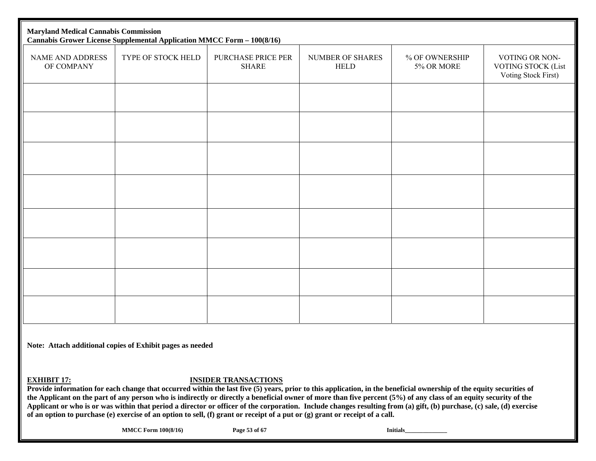| <b>Maryland Medical Cannabis Commission</b><br><b>Cannabis Grower License Supplemental Application MMCC Form - 100(8/16)</b> |                    |                                    |                                 |                              |                                                                    |  |  |  |  |
|------------------------------------------------------------------------------------------------------------------------------|--------------------|------------------------------------|---------------------------------|------------------------------|--------------------------------------------------------------------|--|--|--|--|
| NAME AND ADDRESS<br>OF COMPANY                                                                                               | TYPE OF STOCK HELD | PURCHASE PRICE PER<br><b>SHARE</b> | NUMBER OF SHARES<br><b>HELD</b> | % OF OWNERSHIP<br>5% OR MORE | VOTING OR NON-<br><b>VOTING STOCK (List</b><br>Voting Stock First) |  |  |  |  |
|                                                                                                                              |                    |                                    |                                 |                              |                                                                    |  |  |  |  |
|                                                                                                                              |                    |                                    |                                 |                              |                                                                    |  |  |  |  |
|                                                                                                                              |                    |                                    |                                 |                              |                                                                    |  |  |  |  |
|                                                                                                                              |                    |                                    |                                 |                              |                                                                    |  |  |  |  |
|                                                                                                                              |                    |                                    |                                 |                              |                                                                    |  |  |  |  |
|                                                                                                                              |                    |                                    |                                 |                              |                                                                    |  |  |  |  |
|                                                                                                                              |                    |                                    |                                 |                              |                                                                    |  |  |  |  |
|                                                                                                                              |                    |                                    |                                 |                              |                                                                    |  |  |  |  |

**EXHIBIT 17:**

**INSIDER TRANSACTIONS** 

**Provide information for each change that occurred within the last five (5) years, prior to this application, in the beneficial ownership of the equity securities of the Applicant on the part of any person who is indirectly or directly a beneficial owner of more than five percent (5%) of any class of an equity security of the Applicant or who is or was within that period a director or officer of the corporation. Include changes resulting from (a) gift, (b) purchase, (c) sale, (d) exercise of an option to purchase (e) exercise of an option to sell, (f) grant or receipt of a put or (g) grant or receipt of a call.** 

**MMCC Form 100(8/16)** Page 53 of 67 **Initials**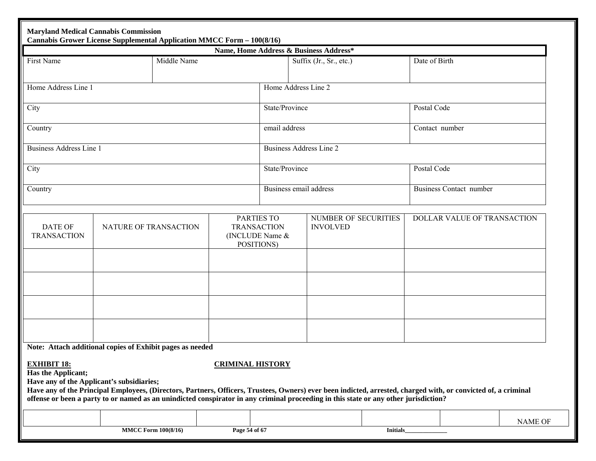|                                          | <b>Maryland Medical Cannabis Commission</b><br>Cannabis Grower License Supplemental Application MMCC Form - 100(8/16)                                                                                                                                                                                                                                                                                            |                         |                                                                                                                            |                                        |           |                |                                |
|------------------------------------------|------------------------------------------------------------------------------------------------------------------------------------------------------------------------------------------------------------------------------------------------------------------------------------------------------------------------------------------------------------------------------------------------------------------|-------------------------|----------------------------------------------------------------------------------------------------------------------------|----------------------------------------|-----------|----------------|--------------------------------|
|                                          |                                                                                                                                                                                                                                                                                                                                                                                                                  |                         |                                                                                                                            | Name, Home Address & Business Address* |           |                |                                |
| First Name                               | Middle Name                                                                                                                                                                                                                                                                                                                                                                                                      |                         |                                                                                                                            | Suffix (Jr., Sr., etc.)                |           | Date of Birth  |                                |
| Home Address Line 1                      |                                                                                                                                                                                                                                                                                                                                                                                                                  |                         |                                                                                                                            | Home Address Line 2                    |           |                |                                |
| City                                     |                                                                                                                                                                                                                                                                                                                                                                                                                  |                         | State/Province                                                                                                             |                                        |           | Postal Code    |                                |
| Country                                  |                                                                                                                                                                                                                                                                                                                                                                                                                  |                         | email address                                                                                                              |                                        |           | Contact number |                                |
| <b>Business Address Line 1</b>           |                                                                                                                                                                                                                                                                                                                                                                                                                  |                         |                                                                                                                            | <b>Business Address Line 2</b>         |           |                |                                |
| City                                     |                                                                                                                                                                                                                                                                                                                                                                                                                  |                         | State/Province                                                                                                             |                                        |           | Postal Code    |                                |
| Country                                  |                                                                                                                                                                                                                                                                                                                                                                                                                  |                         |                                                                                                                            | Business email address                 |           |                | <b>Business Contact number</b> |
| <b>DATE OF</b><br><b>TRANSACTION</b>     | NATURE OF TRANSACTION                                                                                                                                                                                                                                                                                                                                                                                            |                         | <b>PARTIES TO</b><br><b>NUMBER OF SECURITIES</b><br><b>TRANSACTION</b><br><b>INVOLVED</b><br>(INCLUDE Name &<br>POSITIONS) |                                        |           |                | DOLLAR VALUE OF TRANSACTION    |
|                                          |                                                                                                                                                                                                                                                                                                                                                                                                                  |                         |                                                                                                                            |                                        |           |                |                                |
|                                          |                                                                                                                                                                                                                                                                                                                                                                                                                  |                         |                                                                                                                            |                                        |           |                |                                |
| <b>EXHIBIT 18:</b><br>Has the Applicant; | Note: Attach additional copies of Exhibit pages as needed<br>Have any of the Applicant's subsidiaries;<br>Have any of the Principal Employees, (Directors, Partners, Officers, Trustees, Owners) ever been indicted, arrested, charged with, or convicted of, a criminal<br>offense or been a party to or named as an unindicted conspirator in any criminal proceeding in this state or any other jurisdiction? | <b>CRIMINAL HISTORY</b> |                                                                                                                            |                                        |           |                |                                |
|                                          |                                                                                                                                                                                                                                                                                                                                                                                                                  |                         |                                                                                                                            |                                        |           |                | NAME OF                        |
|                                          | <b>MMCC Form 100(8/16)</b>                                                                                                                                                                                                                                                                                                                                                                                       | Page 54 of 67           |                                                                                                                            |                                        | Initials_ |                |                                |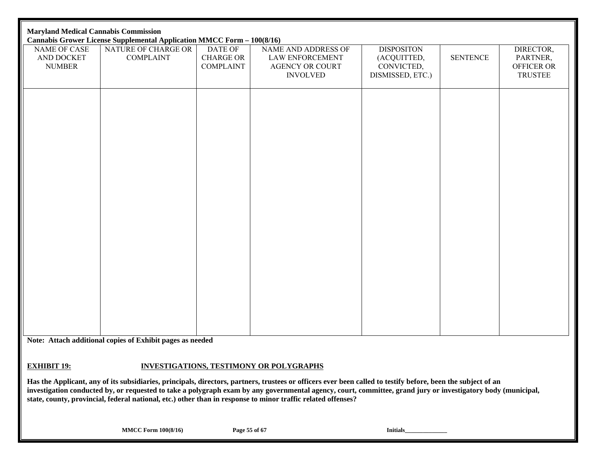| <b>Maryland Medical Cannabis Commission</b><br>Cannabis Grower License Supplemental Application MMCC Form - 100(8/16) |                                         |                                                        |                                                                                     |                                                                    |                 |                                                       |  |  |  |
|-----------------------------------------------------------------------------------------------------------------------|-----------------------------------------|--------------------------------------------------------|-------------------------------------------------------------------------------------|--------------------------------------------------------------------|-----------------|-------------------------------------------------------|--|--|--|
| NAME OF CASE<br>AND DOCKET<br><b>NUMBER</b>                                                                           | NATURE OF CHARGE OR<br><b>COMPLAINT</b> | <b>DATE OF</b><br><b>CHARGE OR</b><br><b>COMPLAINT</b> | NAME AND ADDRESS OF<br>LAW ENFORCEMENT<br><b>AGENCY OR COURT</b><br><b>INVOLVED</b> | <b>DISPOSITON</b><br>(ACQUITTED,<br>CONVICTED,<br>DISMISSED, ETC.) | <b>SENTENCE</b> | DIRECTOR,<br>PARTNER,<br>OFFICER OR<br><b>TRUSTEE</b> |  |  |  |
|                                                                                                                       |                                         |                                                        |                                                                                     |                                                                    |                 |                                                       |  |  |  |
|                                                                                                                       |                                         |                                                        |                                                                                     |                                                                    |                 |                                                       |  |  |  |
|                                                                                                                       |                                         |                                                        |                                                                                     |                                                                    |                 |                                                       |  |  |  |
|                                                                                                                       |                                         |                                                        |                                                                                     |                                                                    |                 |                                                       |  |  |  |
|                                                                                                                       |                                         |                                                        |                                                                                     |                                                                    |                 |                                                       |  |  |  |
|                                                                                                                       |                                         |                                                        |                                                                                     |                                                                    |                 |                                                       |  |  |  |
|                                                                                                                       |                                         |                                                        |                                                                                     |                                                                    |                 |                                                       |  |  |  |
|                                                                                                                       |                                         |                                                        |                                                                                     |                                                                    |                 |                                                       |  |  |  |
|                                                                                                                       |                                         |                                                        |                                                                                     |                                                                    |                 |                                                       |  |  |  |
|                                                                                                                       |                                         |                                                        |                                                                                     |                                                                    |                 |                                                       |  |  |  |

#### **EXHIBIT 19:INVESTIGATIONS, TESTIMONY OR POLYGRAPHS**

**Has the Applicant, any of its subsidiaries, principals, directors, partners, trustees or officers ever been called to testify before, been the subject of an investigation conducted by, or requested to take a polygraph exam by any governmental agency, court, committee, grand jury or investigatory body (municipal, state, county, provincial, federal national, etc.) other than in response to minor traffic related offenses?** 

**MMCC Form 100(8/16)** Page 55 of 67 **Initials**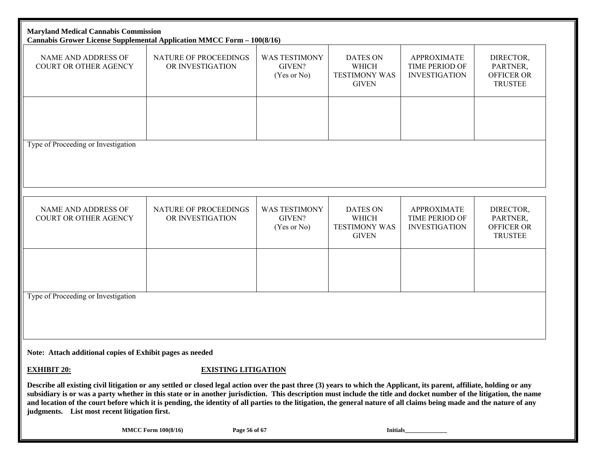| <b>Maryland Medical Cannabis Commission</b>               | Cannabis Grower License Supplemental Application MMCC Form - 100(8/16)                                                                                                                                                                                                                                                                                                                                                                                                                                                     |                                               |                                                                  |                                                                     |                                                              |
|-----------------------------------------------------------|----------------------------------------------------------------------------------------------------------------------------------------------------------------------------------------------------------------------------------------------------------------------------------------------------------------------------------------------------------------------------------------------------------------------------------------------------------------------------------------------------------------------------|-----------------------------------------------|------------------------------------------------------------------|---------------------------------------------------------------------|--------------------------------------------------------------|
| NAME AND ADDRESS OF<br><b>COURT OR OTHER AGENCY</b>       | NATURE OF PROCEEDINGS<br>OR INVESTIGATION                                                                                                                                                                                                                                                                                                                                                                                                                                                                                  | <b>WAS TESTIMONY</b><br>GIVEN?<br>(Yes or No) | <b>DATES ON</b><br>WHICH<br><b>TESTIMONY WAS</b><br><b>GIVEN</b> | <b>APPROXIMATE</b><br>TIME PERIOD OF<br><b>INVESTIGATION</b>        | DIRECTOR,<br>PARTNER,<br><b>OFFICER OR</b><br><b>TRUSTEE</b> |
| Type of Proceeding or Investigation                       |                                                                                                                                                                                                                                                                                                                                                                                                                                                                                                                            |                                               |                                                                  |                                                                     |                                                              |
|                                                           |                                                                                                                                                                                                                                                                                                                                                                                                                                                                                                                            |                                               |                                                                  |                                                                     |                                                              |
| <b>NAME AND ADDRESS OF</b><br>COURT OR OTHER AGENCY       | NATURE OF PROCEEDINGS<br>OR INVESTIGATION                                                                                                                                                                                                                                                                                                                                                                                                                                                                                  | <b>WAS TESTIMONY</b><br>GIVEN?<br>(Yes or No) | <b>DATES ON</b><br>WHICH<br><b>TESTIMONY WAS</b><br><b>GIVEN</b> | <b>APPROXIMATE</b><br><b>TIME PERIOD OF</b><br><b>INVESTIGATION</b> | DIRECTOR,<br>PARTNER,<br><b>OFFICER OR</b><br><b>TRUSTEE</b> |
|                                                           |                                                                                                                                                                                                                                                                                                                                                                                                                                                                                                                            |                                               |                                                                  |                                                                     |                                                              |
| Type of Proceeding or Investigation                       |                                                                                                                                                                                                                                                                                                                                                                                                                                                                                                                            |                                               |                                                                  |                                                                     |                                                              |
| Note: Attach additional copies of Exhibit pages as needed |                                                                                                                                                                                                                                                                                                                                                                                                                                                                                                                            |                                               |                                                                  |                                                                     |                                                              |
| <b>EXHIBIT 20:</b>                                        |                                                                                                                                                                                                                                                                                                                                                                                                                                                                                                                            | <b>EXISTING LITIGATION</b>                    |                                                                  |                                                                     |                                                              |
| judgments. List most recent litigation first.             | Describe all existing civil litigation or any settled or closed legal action over the past three (3) years to which the Applicant, its parent, affiliate, holding or any<br>subsidiary is or was a party whether in this state or in another jurisdiction. This description must include the title and docket number of the litigation, the name<br>and location of the court before which it is pending, the identity of all parties to the litigation, the general nature of all claims being made and the nature of any |                                               |                                                                  |                                                                     |                                                              |
|                                                           | <b>MMCC Form 100(8/16)</b>                                                                                                                                                                                                                                                                                                                                                                                                                                                                                                 | Page 56 of 67                                 |                                                                  |                                                                     |                                                              |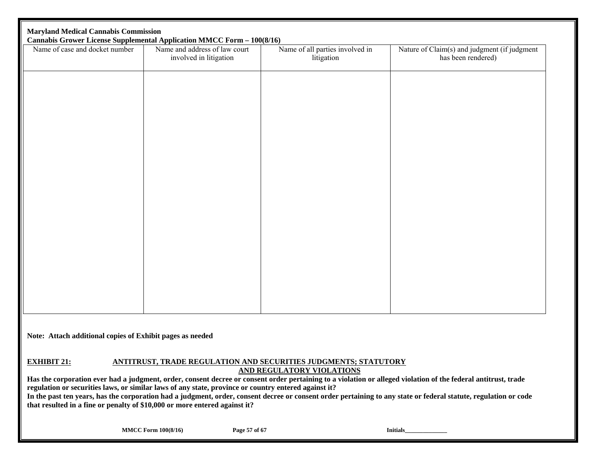| Name of case and docket number | <b>Cannabis Grower License Supplemental Application MMCC Form - 100(8/16)</b><br>Name and address of law court<br>involved in litigation | Name of all parties involved in<br>litigation | Nature of Claim(s) and judgment (if judgment<br>has been rendered) |
|--------------------------------|------------------------------------------------------------------------------------------------------------------------------------------|-----------------------------------------------|--------------------------------------------------------------------|
|                                |                                                                                                                                          |                                               |                                                                    |
|                                |                                                                                                                                          |                                               |                                                                    |
|                                |                                                                                                                                          |                                               |                                                                    |
|                                |                                                                                                                                          |                                               |                                                                    |
|                                |                                                                                                                                          |                                               |                                                                    |
|                                |                                                                                                                                          |                                               |                                                                    |
|                                |                                                                                                                                          |                                               |                                                                    |
|                                |                                                                                                                                          |                                               |                                                                    |
|                                |                                                                                                                                          |                                               |                                                                    |
|                                |                                                                                                                                          |                                               |                                                                    |
|                                |                                                                                                                                          |                                               |                                                                    |

#### **EXHIBIT 21: ANTITRUST, TRADE REGULATION AND SECURITIES JUDGMENTS; STATUTORY AND REGULATORY VIOLATIONS**

**Has the corporation ever had a judgment, order, consent decree or consent order pertaining to a violation or alleged violation of the federal antitrust, trade regulation or securities laws, or similar laws of any state, province or country entered against it?** 

**In the past ten years, has the corporation had a judgment, order, consent decree or consent order pertaining to any state or federal statute, regulation or code that resulted in a fine or penalty of \$10,000 or more entered against it?** 

**MMCC Form 100(8/16)** Page 57 of 67 **Initials**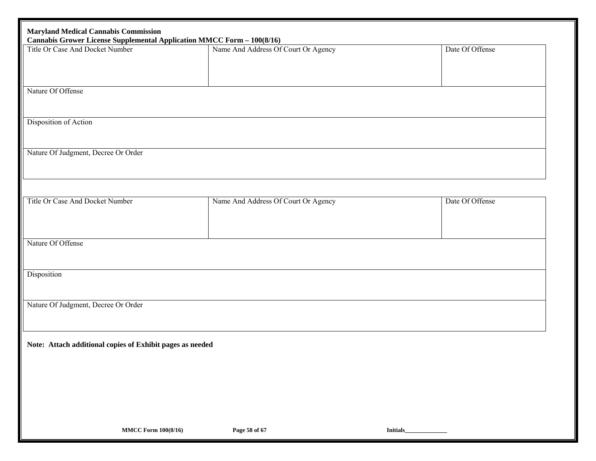| <b>Maryland Medical Cannabis Commission</b><br><b>Cannabis Grower License Supplemental Application MMCC Form - 100(8/16)</b> |                                     |                 |
|------------------------------------------------------------------------------------------------------------------------------|-------------------------------------|-----------------|
| Title Or Case And Docket Number                                                                                              | Name And Address Of Court Or Agency | Date Of Offense |
|                                                                                                                              |                                     |                 |
|                                                                                                                              |                                     |                 |
|                                                                                                                              |                                     |                 |
| Nature Of Offense                                                                                                            |                                     |                 |
|                                                                                                                              |                                     |                 |
| Disposition of Action                                                                                                        |                                     |                 |
|                                                                                                                              |                                     |                 |
|                                                                                                                              |                                     |                 |
| Nature Of Judgment, Decree Or Order                                                                                          |                                     |                 |
|                                                                                                                              |                                     |                 |
|                                                                                                                              |                                     |                 |
|                                                                                                                              |                                     |                 |
| Title Or Case And Docket Number                                                                                              | Name And Address Of Court Or Agency | Date Of Offense |
|                                                                                                                              |                                     |                 |
|                                                                                                                              |                                     |                 |
| Nature Of Offense                                                                                                            |                                     |                 |
|                                                                                                                              |                                     |                 |
|                                                                                                                              |                                     |                 |
| Disposition                                                                                                                  |                                     |                 |
|                                                                                                                              |                                     |                 |
| Nature Of Judgment, Decree Or Order                                                                                          |                                     |                 |
|                                                                                                                              |                                     |                 |
|                                                                                                                              |                                     |                 |
|                                                                                                                              |                                     |                 |
| Note: Attach additional copies of Exhibit pages as needed                                                                    |                                     |                 |
|                                                                                                                              |                                     |                 |
|                                                                                                                              |                                     |                 |
|                                                                                                                              |                                     |                 |
|                                                                                                                              |                                     |                 |
|                                                                                                                              |                                     |                 |
|                                                                                                                              |                                     |                 |
| <b>MMCC Form 100(8/16)</b>                                                                                                   | Page 58 of 67                       | Initials_       |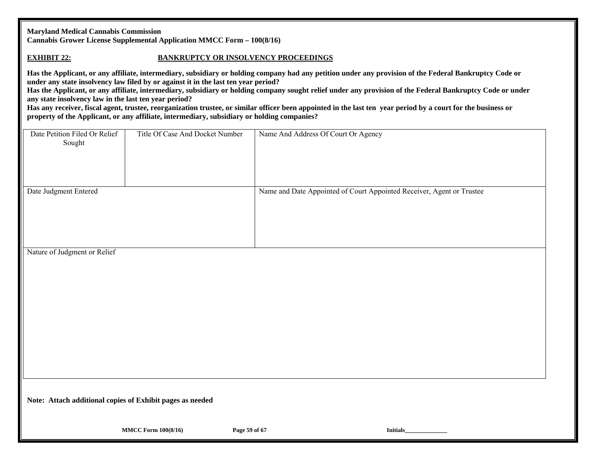|  | <b>Maryland Medical Cannabis Commission</b> |  |  |        |
|--|---------------------------------------------|--|--|--------|
|  |                                             |  |  | $   -$ |

**Cannabis Grower License Supplemental Application MMCC Form – 100(8/16)** 

#### **EXHIBIT 22:**

#### **BANKRUPTCY OR INSOLVENCY PROCEEDINGS**

**Has the Applicant, or any affiliate, intermediary, subsidiary or holding company had any petition under any provision of the Federal Bankruptcy Code or under any state insolvency law filed by or against it in the last ten year period?** 

**Has the Applicant, or any affiliate, intermediary, subsidiary or holding company sought relief under any provision of the Federal Bankruptcy Code or under any state insolvency law in the last ten year period?** 

Has any receiver, fiscal agent, trustee, reorganization trustee, or similar officer been appointed in the last ten year period by a court for the business or **property of the Applicant, or any affiliate, intermediary, subsidiary or holding companies?** 

| Date Petition Filed Or Relief<br>Sought                                                                                                             | Title Of Case And Docket Number | Name And Address Of Court Or Agency                                   |
|-----------------------------------------------------------------------------------------------------------------------------------------------------|---------------------------------|-----------------------------------------------------------------------|
| Date Judgment Entered<br>$\mathbf{A}$ $\mathbf{F}$ $\mathbf{A}$<br>$\mathbf{C}$ $\mathbf{I}$ $\mathbf{I}$ $\mathbf{I}$<br>$\mathbf{D}$ $\mathbf{P}$ |                                 | Name and Date Appointed of Court Appointed Receiver, Agent or Trustee |

Nature of Judgment or Relief

**Note: Attach additional copies of Exhibit pages as needed**

**MMCC Form 100(8/16) Page 59 of 67 Initials Initials**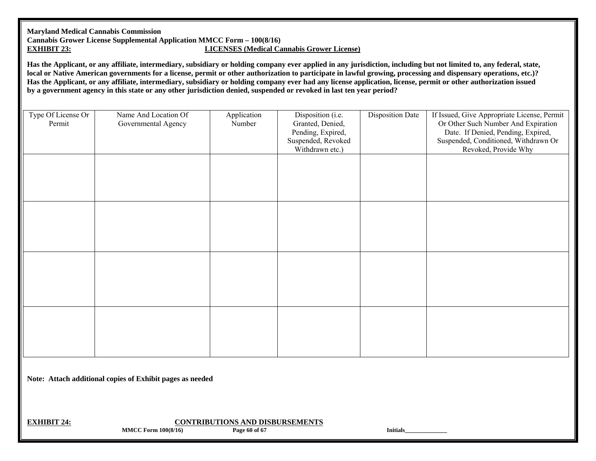#### **Maryland Medical Cannabis Commission Cannabis Grower License Supplemental Application MMCC Form – 100(8/16) EXHIBIT 23:LICENSES (Medical Cannabis Grower License)**

**Has the Applicant, or any affiliate, intermediary, subsidiary or holding company ever applied in any jurisdiction, including but not limited to, any federal, state, local or Native American governments for a license, permit or other authorization to participate in lawful growing, processing and dispensary operations, etc.)? Has the Applicant, or any affiliate, intermediary, subsidiary or holding company ever had any license application, license, permit or other authorization issued by a government agency in this state or any other jurisdiction denied, suspended or revoked in last ten year period?** 

| Type Of License Or<br>Permit | Name And Location Of<br>Governmental Agency | Application<br>Number | Disposition (i.e.<br>Granted, Denied,<br>Pending, Expired,<br>Suspended, Revoked<br>Withdrawn etc.) | <b>Disposition Date</b> | If Issued, Give Appropriate License, Permit<br>Or Other Such Number And Expiration<br>Date. If Denied, Pending, Expired,<br>Suspended, Conditioned, Withdrawn Or<br>Revoked, Provide Why |
|------------------------------|---------------------------------------------|-----------------------|-----------------------------------------------------------------------------------------------------|-------------------------|------------------------------------------------------------------------------------------------------------------------------------------------------------------------------------------|
|                              |                                             |                       |                                                                                                     |                         |                                                                                                                                                                                          |
|                              |                                             |                       |                                                                                                     |                         |                                                                                                                                                                                          |
|                              |                                             |                       |                                                                                                     |                         |                                                                                                                                                                                          |
|                              |                                             |                       |                                                                                                     |                         |                                                                                                                                                                                          |

**Note: Attach additional copies of Exhibit pages as needed** 

**EXHIBIT 24:**

**MMCC Form 100(8/16)** Page 60 of 67 **Initials CONTRIBUTIONS AND DISBURSEMENTS**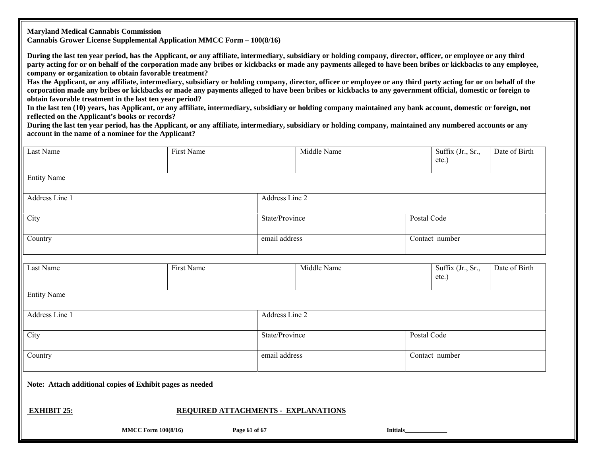**Maryland Medical Cannabis Commission** 

**Cannabis Grower License Supplemental Application MMCC Form – 100(8/16)** 

**During the last ten year period, has the Applicant, or any affiliate, intermediary, subsidiary or holding company, director, officer, or employee or any third party acting for or on behalf of the corporation made any bribes or kickbacks or made any payments alleged to have been bribes or kickbacks to any employee, company or organization to obtain favorable treatment?** 

**Has the Applicant, or any affiliate, intermediary, subsidiary or holding company, director, officer or employee or any third party acting for or on behalf of the corporation made any bribes or kickbacks or made any payments alleged to have been bribes or kickbacks to any government official, domestic or foreign to obtain favorable treatment in the last ten year period?** 

**In the last ten (10) years, has Applicant, or any affiliate, intermediary, subsidiary or holding company maintained any bank account, domestic or foreign, not reflected on the Applicant's books or records?** 

**During the last ten year period, has the Applicant, or any affiliate, intermediary, subsidiary or holding company, maintained any numbered accounts or any account in the name of a nominee for the Applicant?** 

| <b>Last Name</b>                                          | <b>First Name</b>                   | Middle Name    |                 |             | Suffix (Jr., Sr.,<br>etc.)    | Date of Birth |
|-----------------------------------------------------------|-------------------------------------|----------------|-----------------|-------------|-------------------------------|---------------|
| <b>Entity Name</b>                                        |                                     |                |                 |             |                               |               |
| Address Line 1                                            |                                     | Address Line 2 |                 |             |                               |               |
| City                                                      |                                     |                | State/Province  |             | Postal Code                   |               |
| Country                                                   |                                     | email address  |                 |             | Contact number                |               |
| Last Name                                                 | First Name                          |                | Middle Name     |             | Suffix (Jr., Sr.,<br>$etc.$ ) | Date of Birth |
| <b>Entity Name</b>                                        |                                     |                |                 |             |                               |               |
| Address Line 1                                            |                                     | Address Line 2 |                 |             |                               |               |
| City                                                      |                                     | State/Province |                 | Postal Code |                               |               |
| Country                                                   |                                     | email address  |                 |             | Contact number                |               |
| Note: Attach additional copies of Exhibit pages as needed |                                     |                |                 |             |                               |               |
| <b>EXHIBIT 25:</b>                                        | REQUIRED ATTACHMENTS - EXPLANATIONS |                |                 |             |                               |               |
| <b>MMCC Form 100(8/16)</b>                                | Page 61 of 67                       |                | <b>Initials</b> |             |                               |               |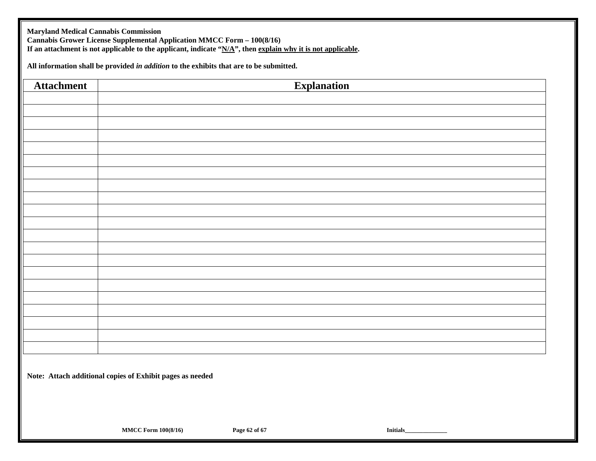**Maryland Medical Cannabis Commission Cannabis Grower License Supplemental Application MMCC Form – 100(8/16) If an attachment is not applicable to the applicant, indicate "N/A", then explain why it is not applicable.** 

**All information shall be provided** *in addition* **to the exhibits that are to be submitted.** 

| <b>Attachment</b> | <b>Explanation</b>                                        |
|-------------------|-----------------------------------------------------------|
|                   |                                                           |
|                   |                                                           |
|                   |                                                           |
|                   |                                                           |
|                   |                                                           |
|                   |                                                           |
|                   |                                                           |
|                   |                                                           |
|                   |                                                           |
|                   |                                                           |
|                   |                                                           |
|                   |                                                           |
|                   |                                                           |
|                   |                                                           |
|                   |                                                           |
|                   |                                                           |
|                   |                                                           |
|                   |                                                           |
|                   |                                                           |
|                   |                                                           |
|                   |                                                           |
|                   | Note: Attach additional copies of Exhibit pages as needed |
|                   |                                                           |
|                   |                                                           |
|                   |                                                           |

**MMCC Form 100(8/16)** Page 62 of 67 **Initials**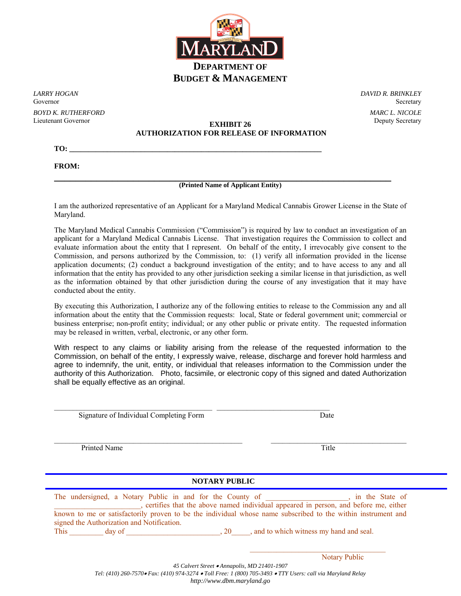

*LARRY HOGAN*  Governor *BOYD K. RUTHERFORD*  Lieutenant Governor

*DAVID R. BRINKLEY*  Secretary *MARC L. NICOLE* 

## **EXHIBIT 26 Deputy Secretary AUTHORIZATION FOR RELEASE OF INFORMATION**

**TO: \_\_\_\_\_\_\_\_\_\_\_\_\_\_\_\_\_\_\_\_\_\_\_\_\_\_\_\_\_\_\_\_\_\_\_\_\_\_\_\_\_\_\_\_\_\_\_\_\_\_\_\_\_\_\_\_\_\_\_\_\_\_\_\_\_\_\_** 

**FROM:**

#### **\_\_\_\_\_\_\_\_\_\_\_\_\_\_\_\_\_\_\_\_\_\_\_\_\_\_\_\_\_\_\_\_\_\_\_\_\_\_\_\_\_\_\_\_\_\_\_\_\_\_\_\_\_\_\_\_\_\_\_\_\_\_\_\_ (Printed Name of Applicant Entity)**

I am the authorized representative of an Applicant for a Maryland Medical Cannabis Grower License in the State of Maryland.

The Maryland Medical Cannabis Commission ("Commission") is required by law to conduct an investigation of an applicant for a Maryland Medical Cannabis License. That investigation requires the Commission to collect and evaluate information about the entity that I represent. On behalf of the entity, I irrevocably give consent to the Commission, and persons authorized by the Commission, to: (1) verify all information provided in the license application documents; (2) conduct a background investigation of the entity; and to have access to any and all information that the entity has provided to any other jurisdiction seeking a similar license in that jurisdiction, as well as the information obtained by that other jurisdiction during the course of any investigation that it may have conducted about the entity.

By executing this Authorization, I authorize any of the following entities to release to the Commission any and all information about the entity that the Commission requests: local, State or federal government unit; commercial or business enterprise; non-profit entity; individual; or any other public or private entity. The requested information may be released in written, verbal, electronic, or any other form.

With respect to any claims or liability arising from the release of the requested information to the Commission, on behalf of the entity, I expressly waive, release, discharge and forever hold harmless and agree to indemnify, the unit, entity, or individual that releases information to the Commission under the authority of this Authorization. Photo, facsimile, or electronic copy of this signed and dated Authorization shall be equally effective as an original.

 $\mathcal{L}_\text{max}$  , and the set of the set of the set of the set of the set of the set of the set of the set of the set of the set of the set of the set of the set of the set of the set of the set of the set of the set of the

Signature of Individual Completing Form Date

Printed Name Title

### **NOTARY PUBLIC**

| The undersigned, a Notary Public in and for the County of |        |  |    |                                        | in the State of                                                                                              |
|-----------------------------------------------------------|--------|--|----|----------------------------------------|--------------------------------------------------------------------------------------------------------------|
|                                                           |        |  |    |                                        | certifies that the above named individual appeared in person, and before me, either                          |
|                                                           |        |  |    |                                        | known to me or satisfactorily proven to be the individual whose name subscribed to the within instrument and |
| signed the Authorization and Notification.                |        |  |    |                                        |                                                                                                              |
| This                                                      | day of |  | 20 | and to which witness my hand and seal. |                                                                                                              |

Notary Public

*45 Calvert Street Annapolis, MD 21401-1907* 

 $\mathcal{L}_\text{max} = \mathcal{L}_\text{max} = \frac{1}{2} \sum_{i=1}^{n} \frac{1}{2} \sum_{i=1}^{n} \frac{1}{2} \sum_{i=1}^{n} \frac{1}{2} \sum_{i=1}^{n} \frac{1}{2} \sum_{i=1}^{n} \frac{1}{2} \sum_{i=1}^{n} \frac{1}{2} \sum_{i=1}^{n} \frac{1}{2} \sum_{i=1}^{n} \frac{1}{2} \sum_{i=1}^{n} \frac{1}{2} \sum_{i=1}^{n} \frac{1}{2} \sum_{i=1}^{n} \frac{1}{2} \sum$ 

*Tel: (410) 260-7570 Fax: (410) 974-3274 Toll Free: 1 (800) 705-3493 TTY Users: call via Maryland Relay http://www.dbm.maryland.go*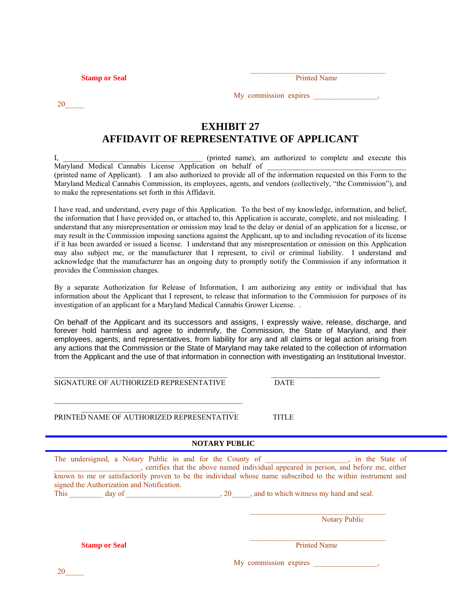**Stamp or Seal Printed Name Printed Name Printed Name Printed Name Printed Name Printed Name Printed Name Printed Name Printed Name Printed Name Printed Name Printed Name Printed Name Printed Name Printed Name Printed Name** 

20\_\_\_\_\_

| <b>Printed Name</b> |  |
|---------------------|--|
|                     |  |

My commission expires \_\_\_\_\_\_\_\_\_\_\_\_\_,

 $\mathcal{L}_\text{max} = \mathcal{L}_\text{max} = \frac{1}{2} \sum_{i=1}^{n} \frac{1}{2} \sum_{i=1}^{n} \frac{1}{2} \sum_{i=1}^{n} \frac{1}{2} \sum_{i=1}^{n} \frac{1}{2} \sum_{i=1}^{n} \frac{1}{2} \sum_{i=1}^{n} \frac{1}{2} \sum_{i=1}^{n} \frac{1}{2} \sum_{i=1}^{n} \frac{1}{2} \sum_{i=1}^{n} \frac{1}{2} \sum_{i=1}^{n} \frac{1}{2} \sum_{i=1}^{n} \frac{1}{2} \sum$ 

## **EXHIBIT 27 AFFIDAVIT OF REPRESENTATIVE OF APPLICANT**

(printed name), am authorized to complete and execute this Maryland Medical Cannabis License Application on behalf of (printed name of Applicant). I am also authorized to provide all of the information requested on this Form to the Maryland Medical Cannabis Commission, its employees, agents, and vendors (collectively, "the Commission"), and to make the representations set forth in this Affidavit.

I have read, and understand, every page of this Application. To the best of my knowledge, information, and belief, the information that I have provided on, or attached to, this Application is accurate, complete, and not misleading. I understand that any misrepresentation or omission may lead to the delay or denial of an application for a license, or may result in the Commission imposing sanctions against the Applicant, up to and including revocation of its license if it has been awarded or issued a license. I understand that any misrepresentation or omission on this Application may also subject me, or the manufacturer that I represent, to civil or criminal liability. I understand and acknowledge that the manufacturer has an ongoing duty to promptly notify the Commission if any information it provides the Commission changes.

By a separate Authorization for Release of Information, I am authorizing any entity or individual that has information about the Applicant that I represent, to release that information to the Commission for purposes of its investigation of an applicant for a Maryland Medical Cannabis Grower License. .

On behalf of the Applicant and its successors and assigns, I expressly waive, release, discharge, and forever hold harmless and agree to indemnify, the Commission, the State of Maryland, and their employees, agents, and representatives, from liability for any and all claims or legal action arising from any actions that the Commission or the State of Maryland may take related to the collection of information from the Applicant and the use of that information in connection with investigating an Institutional Investor.

 $\_$  , and the set of the set of the set of the set of the set of the set of the set of the set of the set of the set of the set of the set of the set of the set of the set of the set of the set of the set of the set of th SIGNATURE OF AUTHORIZED REPRESENTATIVE DATE

 $\mathcal{L}_\mathcal{L} = \left\{ \begin{array}{ll} \mathcal{L}_\mathcal{L} = \mathcal{L}_\mathcal{L} & \mathcal{L}_\mathcal{L} = \mathcal{L}_\mathcal{L} \\ \mathcal{L}_\mathcal{L} = \mathcal{L}_\mathcal{L} & \mathcal{L}_\mathcal{L} = \mathcal{L}_\mathcal{L} \end{array} \right. \nonumber$ PRINTED NAME OF AUTHORIZED REPRESENTATIVE TITLE

\_\_\_\_\_\_\_\_\_\_\_\_\_\_\_\_\_\_\_\_\_\_\_\_\_\_\_\_\_\_\_\_\_\_\_\_\_\_\_\_\_\_\_\_\_\_\_\_\_\_

#### **NOTARY PUBLIC**

| The undersigned, a Notary Public in and for the County of<br>signed the Authorization and Notification. |     | in the State of<br>, certifies that the above named individual appeared in person, and before me, either<br>known to me or satisfactorily proven to be the individual whose name subscribed to the within instrument and |
|---------------------------------------------------------------------------------------------------------|-----|--------------------------------------------------------------------------------------------------------------------------------------------------------------------------------------------------------------------------|
| day of<br>This                                                                                          | .20 | and to which witness my hand and seal.                                                                                                                                                                                   |
|                                                                                                         |     | <b>Notary Public</b>                                                                                                                                                                                                     |
| <b>Stamp or Seal</b>                                                                                    |     | <b>Printed Name</b>                                                                                                                                                                                                      |
|                                                                                                         |     | My commission expires                                                                                                                                                                                                    |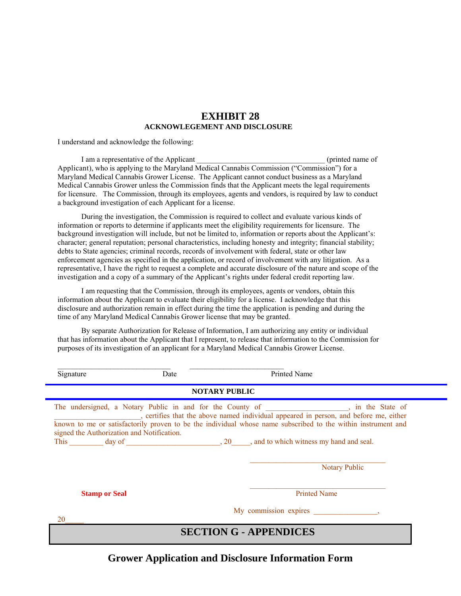### **EXHIBIT 28 ACKNOWLEGEMENT AND DISCLOSURE**

I understand and acknowledge the following:

I am a representative of the Applicant the contract of the Applicant (printed name of Applicant), who is applying to the Maryland Medical Cannabis Commission ("Commission") for a Maryland Medical Cannabis Grower License. The Applicant cannot conduct business as a Maryland Medical Cannabis Grower unless the Commission finds that the Applicant meets the legal requirements for licensure. The Commission, through its employees, agents and vendors, is required by law to conduct a background investigation of each Applicant for a license.

During the investigation, the Commission is required to collect and evaluate various kinds of information or reports to determine if applicants meet the eligibility requirements for licensure. The background investigation will include, but not be limited to, information or reports about the Applicant's: character; general reputation; personal characteristics, including honesty and integrity; financial stability; debts to State agencies; criminal records, records of involvement with federal, state or other law enforcement agencies as specified in the application, or record of involvement with any litigation. As a representative, I have the right to request a complete and accurate disclosure of the nature and scope of the investigation and a copy of a summary of the Applicant's rights under federal credit reporting law.

I am requesting that the Commission, through its employees, agents or vendors, obtain this information about the Applicant to evaluate their eligibility for a license. I acknowledge that this disclosure and authorization remain in effect during the time the application is pending and during the time of any Maryland Medical Cannabis Grower license that may be granted.

By separate Authorization for Release of Information, I am authorizing any entity or individual that has information about the Applicant that I represent, to release that information to the Commission for purposes of its investigation of an applicant for a Maryland Medical Cannabis Grower License.

| Signature                                  | Date | <b>Printed Name</b>                                                                                                                                                                                                                                                                                                                                                      |
|--------------------------------------------|------|--------------------------------------------------------------------------------------------------------------------------------------------------------------------------------------------------------------------------------------------------------------------------------------------------------------------------------------------------------------------------|
|                                            |      | <b>NOTARY PUBLIC</b>                                                                                                                                                                                                                                                                                                                                                     |
| signed the Authorization and Notification. |      | The undersigned, a Notary Public in and for the County of _______________, in the State of _______________, certifies that the above named individual appeared in person, and before me, either<br>known to me or satisfactorily proven to be the individual whose name subscribed to the within instrument and<br>This day of 20 and to which witness my hand and seal. |
|                                            |      | <b>Notary Public</b>                                                                                                                                                                                                                                                                                                                                                     |
| <b>Stamp or Seal</b>                       |      | <b>Printed Name</b>                                                                                                                                                                                                                                                                                                                                                      |
| 20                                         |      | My commission expires by the state of the state of the state of the state of the state of the state of the state of the state of the state of the state of the state of the state of the state of the state of the state of th                                                                                                                                           |
|                                            |      | <b>SECTION G - APPENDICES</b>                                                                                                                                                                                                                                                                                                                                            |

## **Grower Application and Disclosure Information Form**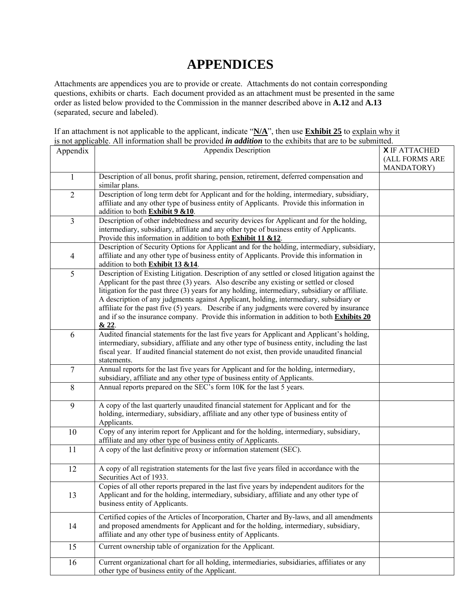# **APPENDICES**

Attachments are appendices you are to provide or create. Attachments do not contain corresponding questions, exhibits or charts. Each document provided as an attachment must be presented in the same order as listed below provided to the Commission in the manner described above in **A.12** and **A.13**  (separated, secure and labeled).

If an attachment is not applicable to the applicant, indicate "**N/A**", then use **Exhibit 25** to explain why it is not applicable. All information shall be provided *in addition* to the exhibits that are to be submitted.

| Appendix       | <b>Appendix Description</b>                                                                      | <b>X</b> IF ATTACHED |
|----------------|--------------------------------------------------------------------------------------------------|----------------------|
|                |                                                                                                  | (ALL FORMS ARE       |
|                |                                                                                                  | MANDATORY)           |
| $\mathbf{1}$   | Description of all bonus, profit sharing, pension, retirement, deferred compensation and         |                      |
|                | similar plans.                                                                                   |                      |
| $\overline{2}$ | Description of long term debt for Applicant and for the holding, intermediary, subsidiary,       |                      |
|                | affiliate and any other type of business entity of Applicants. Provide this information in       |                      |
|                | addition to both Exhibit 9 &10.                                                                  |                      |
| $\overline{3}$ | Description of other indebtedness and security devices for Applicant and for the holding,        |                      |
|                | intermediary, subsidiary, affiliate and any other type of business entity of Applicants.         |                      |
|                | Provide this information in addition to both Exhibit 11 &12.                                     |                      |
|                | Description of Security Options for Applicant and for the holding, intermediary, subsidiary,     |                      |
| $\overline{4}$ | affiliate and any other type of business entity of Applicants. Provide this information in       |                      |
|                | addition to both Exhibit 13 &14.                                                                 |                      |
| 5              | Description of Existing Litigation. Description of any settled or closed litigation against the  |                      |
|                | Applicant for the past three (3) years. Also describe any existing or settled or closed          |                      |
|                | litigation for the past three (3) years for any holding, intermediary, subsidiary or affiliate.  |                      |
|                | A description of any judgments against Applicant, holding, intermediary, subsidiary or           |                      |
|                | affiliate for the past five (5) years. Describe if any judgments were covered by insurance       |                      |
|                | and if so the insurance company. Provide this information in addition to both <b>Exhibits 20</b> |                      |
|                | & 22.                                                                                            |                      |
| 6              | Audited financial statements for the last five years for Applicant and Applicant's holding,      |                      |
|                | intermediary, subsidiary, affiliate and any other type of business entity, including the last    |                      |
|                | fiscal year. If audited financial statement do not exist, then provide unaudited financial       |                      |
|                | statements.                                                                                      |                      |
| $\overline{7}$ | Annual reports for the last five years for Applicant and for the holding, intermediary,          |                      |
|                | subsidiary, affiliate and any other type of business entity of Applicants.                       |                      |
| 8              | Annual reports prepared on the SEC's form 10K for the last 5 years.                              |                      |
|                |                                                                                                  |                      |
| 9              | A copy of the last quarterly unaudited financial statement for Applicant and for the             |                      |
|                | holding, intermediary, subsidiary, affiliate and any other type of business entity of            |                      |
|                | Applicants.                                                                                      |                      |
| 10             | Copy of any interim report for Applicant and for the holding, intermediary, subsidiary,          |                      |
|                | affiliate and any other type of business entity of Applicants.                                   |                      |
| 11             | A copy of the last definitive proxy or information statement (SEC).                              |                      |
|                |                                                                                                  |                      |
| 12             | A copy of all registration statements for the last five years filed in accordance with the       |                      |
|                | Securities Act of 1933.                                                                          |                      |
|                | Copies of all other reports prepared in the last five years by independent auditors for the      |                      |
| 13             | Applicant and for the holding, intermediary, subsidiary, affiliate and any other type of         |                      |
|                | business entity of Applicants.                                                                   |                      |
|                |                                                                                                  |                      |
|                | Certified copies of the Articles of Incorporation, Charter and By-laws, and all amendments       |                      |
| 14             | and proposed amendments for Applicant and for the holding, intermediary, subsidiary,             |                      |
|                | affiliate and any other type of business entity of Applicants.                                   |                      |
| 15             | Current ownership table of organization for the Applicant.                                       |                      |
|                |                                                                                                  |                      |
| 16             | Current organizational chart for all holding, intermediaries, subsidiaries, affiliates or any    |                      |
|                | other type of business entity of the Applicant.                                                  |                      |